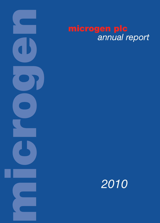

# microgen plc *annual report*

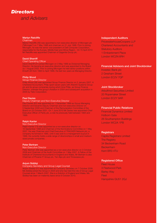

#### Martyn Ratcliffe

#### Chairman

Martyn Ratcliffe (49) was appointed a non-executive director of Microgen plc ("Microgen") on 7 May 1998 and chairman on 31 July 1998. Prior to joining Microgen, he was the senior vice-president of Dell Computer Corporation responsible for the Europe, Middle East and Africa Region. On 15 April 2010 Mr Ratcliffe was appointed Chairman of Sagentia Group plc.

#### David Sherriff

#### Chief Operating Officer

David Sherriff (47) joined Microgen on 3 May 1999 as Divisional Managing Director. He became an executive director and was appointed to the Board on 1 August 2002. Prior to joining Microgen he held senior positions within ECsoft UK from 1993 to April 1999, the last two years as Managing Director.

#### Philip Wood

#### Group Finance Director

Philip Wood (38) was appointed Group Finance Director on 2 January 2007. A Chartered Accountant, Philip spent seven years with AttentiV Systems Group plc and its group companies during which time Philip, as Group Finance Director, oversaw the group's flotation in 2004 and subsequent acquisition in 2005 by Tieto Corporation.

#### Paul Davies

#### Deputy Chairman and Non-Executive Director

Paul Davies (62) was appointed on 1 December 1999 as Group Managing Director and became Deputy Chairman and non-executive Director on 5 September 2000 and Chairman of the Remuneration Committee of the Board on 23 October 2001. On 1 June 2010 Mr Davies was appointed Chief Executive Officer of Parity plc, a role he previously held between 1994 and 1999.

#### Ralph Kanter

#### Non-Executive Director

Ralph Kanter (73) was appointed as a non-executive director on 16 September 1998 and Chairman of the Nominations Committee on 1 May 2007. He was Chairman and Chief Executive of TRACKER Network plc, a company he formed in 1990, until it was sold to a management buyout in 1999. He currently holds a wide range of directorships in small and mediumsized private companies.

#### Peter Bertram

#### Non-Executive Director

Peter Bertram (56) was appointed as a non-executive director on 3 October 2006 and Chairman of the Audit Committee on 1 May 2007. A Fellow of the Institute of Chartered Accountants in England and Wales, Mr Bertram is also Chairman of Phoenix IT Group plc, Ten Alps plc and Timeweave plc.

#### Anjum Siddiqi

#### Company Secretary and Group Legal Counsel

Anjum Siddiqi (31) was appointed as Company Secretary on 7 October 2008. Ms Siddiqi joined the Group in 2004 and she has held the role of Group Legal Counsel since 1 March 2007. She is a Solicitor of England and Wales. Ms Siddigi has been on maternity leave since 9 October 2010.

#### Independent Auditors

PricewaterhouseCoopers LLP Chartered Accountants and **Statutory Auditors** 1 Embankment Place London WC2N 6RH

#### Financial Advisors and Joint Stockbroker

Investec Bank plc 2 Gresham Street London EC2V 7QP

#### Joint Stockbroker

Arbuthnot Securities Limited 20 Ropemaker Street London EC2Y 9AR

#### Financial Public Relations

Financial Dynamics Limited Holborn Gate 26 Southampton Buildings London WC2A 1PB

#### **Registrars**

Capita Registrars Limited The Registry 34 Beckenham Road Beckenham Kent BR3 4TU

#### Registered Office

Fleet House 3 Fleetwood Park Barley Way **Fleet** Hampshire GU51 2QJ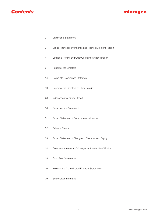

- Chairman's Statement
- Group Financial Performance and Finance Director's Report
- Divisional Review and Chief Operating Officer's Report
- Report of the Directors
- Corporate Governance Statement
- Report of the Directors on Remuneration
- Independent Auditors' Report
- Group Income Statement
- Group Statement of Comprehensive Income
- Balance Sheets
- Group Statement of Changes in Shareholders' Equity
- Company Statement of Changes in Shareholders' Equity
- Cash Flow Statements
- Notes to the Consolidated Financial Statements
- Shareholder Information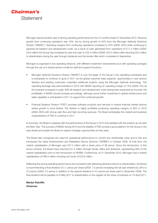

Microgen reports another year of strong operating performance for the 12 months ended 31 December 2010. Revenue growth from continuing operations was 16%, led by strong growth of 44% from the Microgen Aptitude Solutions Division ("MASD"). Operating margins from continuing operations increased to 24% (2009: 20%) while continuing to expense all research and development costs. As a result of cash generated from operations of £11.3 million (2009: £9.8 million) the Group has increased its year end cash to £25.4 million (2009: £24.2 million) after returning £8.2 million to shareholders during the year through dividends and the tender offer which completed in September.

Microgen is organised in two operating divisions, with different investment characteristics but with operating synergies through the use of a shared service model for staff and support functions.

- Microgen Aptitude Solutions Division ("MASD") is now the larger of the Group's two operating businesses and is anticipated to continue to grow in 2011 as the global customer base expands, opportunities in new sectors develop and existing customers undertake additional projects using the Microgen Aptitude technology. The operating leverage was demonstrated in 2010 with MASD reporting an operating margin of 15% (2009: 3%) as the business increased in scale. With all research and development costs having been expensed as incurred, the profitability of MASD should increase accordingly, although some further investment in global infrastructure and sales capability is anticipated in 2011 to support the continued growth.
- Financial Systems Division ("FSD") provides software products and services in mature financial market sectors where growth is more limited. The division is highly profitable producing operating margins of 48% in 2010 (2009: 48%) with strong cash flow and high recurring revenues. The Board anticipates the market and business characteristics of FSD to continue in 2011.

In summary, the Board is pleased with the performance of the Group in 2010 and satisfied with the position as we start the New Year. The success of MASD during 2010 and the stability of FSD provide a good platform for the Group in the year ahead and enable the Board to explore strategic opportunities as they arise.

The Board also recognises the need for operational performance to convert into shareholder value and to this end introduced the Value Enhancement and Realisation Bonus Scheme ("VERBS") in October 2008. At that time, the market capitalisation of Microgen was £37.0 million with a share price of 36 pence. Since the introduction of this bonus scheme, the Board have returned £21.5 million through tender offers and dividends, representing 58% of the market capitalisation prior to the introduction of VERBS. Furthermore, at 31 December 2010, Microgen had a market capitalisation of £86.5 million including net funds of £23.6 million.

Reflecting the strong operating performance and consistent with delivering attractive returns to shareholders, the Board is recommending a final dividend of 2.1 pence per share (2009: 1.5 pence) increasing the full year dividend by 30% to 3.0 pence (2009: 2.3 pence in addition to the special dividend of 4.0 pence per share paid in December 2009). The final dividend will be payable on 6 May 2011 to shareholders on the register at the close of business on 15 April 2011.

### **Martyn Ratcliffe Chairman**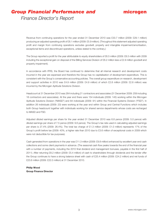### *Group Financial Performance and*

### microgen

*Finance Director's Report*

Revenue from continuing operations for the year ended 31 December 2010 was £33.7 million (2009: £29.1 million) producing an adjusted operating profit of £8.1 million (2009: £5.9 million). (Throughout this statement adjusted operating profit and margin from continuing operations excludes goodwill, property and intangible impairment/amortisation, exceptional items and discontinued operations, unless stated to the contrary.)

The Group reported a profit for the year attributable to equity shareholders of £6.5 million (2009: £8.5 million with 2009 including the exceptional gain on disposal of the Billing Services Division of £6.2 million less a £2.9 million goodwill and property impairment).

In accordance with IFRS, the Board has continued to determine that all internal research and development costs incurred in the year are expensed and therefore the Group has no capitalisation of development expenditure. This is consistent with the Group's conservative accounting policies. The overall group expenditure on research, development and support activities in 2010 was £4.9 million (2009: £4.9 million) of which £2.8 million (2009: £2.8 million) was incurred by the Microgen Aptitude Solutions Division.

Headcount at 31 December 2010 was 264 including 21 contractors and associates (31 December 2009: 259 including 18 contractors and associates). At the year end there were 154 individuals (2009: 145) working within the Microgen Aptitude Solutions Division ("MASD") and 84 individuals (2009: 91) within the Financial Systems Division ("FSD"). In addition 26 individuals (2009: 23) were working at the year end within Group and Central Functions which includes both Group headcount together with individuals working for shared service departments whose costs are recharged to MASD and FSD.

Adjusted diluted earnings per share for the year ended 31 December 2010 was 6.8 pence (2009: 5.0 pence) with diluted earnings per share of 7.5 pence (2009: 9.6 pence). The Group's tax rate used in calculating adjusted earnings per share is 27.4% (2009: 26.4%). The total tax charge of £1.3 million (2009: £1.0 million) represents 17% of the Group's profit before tax (2009: 43%, a higher rate than 2010 due to £3.6 million of exceptional costs in 2009 which were not deductible for tax purposes).

Cash generated from operations in the year was £11.3 million (2009: £9.8 million) enhanced by excellent year end cash collections and some client payments in advance. (The seasonal cash flow peaks towards the end of the financial year with a number of payments, including the 2010 final dividend and management bonuses, payable in the first half of 2011). After returning £8.2 million (2009: £5.4 million) of cash to shareholders through dividends and the tender offer the Group continues to have a strong balance sheet with cash of £25.4 million (2009: £24.2 million) and net funds of £23.6 million (2009: £22.0 million) at 31 December 2010.

### **Philip Wood Group Finance Director**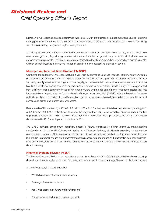### *Divisional Review and*

*Chief Operating Officer's Report*

Microgen's two operating divisions performed well in 2010 with the Microgen Aptitude Solutions Division reporting strong growth and increasing profitability as the business achieves scale and the Financial Systems Division maintaining very strong operating margins and high recurring revenues.

The Group continues to promote software licence sales on multi-year annual licence contracts, with a conservative revenue recognition policy, although some customers with capital budgets do require traditional initial/maintenance software licensing models. The Group has also maintained its disciplined approach to overhead and operating costs, while selectively investing in key areas to support growth in new geographies and market sectors.

#### **Microgen Aptitude Solutions Division ("MASD")**

Combining the capability of Microgen Aptitude, a very high performance Business Process Platform, with the Group's business domain knowledge and experience, Microgen currently provides products and solutions for the financial services (primarily investment banking and insurance), digital media/entertainment and commercial markets. In addition MASD is currently developing new name opportunities in a number of new sectors. Growth during 2010 was generated from existing clients extending their use of Microgen software and the addition of new clients commencing their first implementations. In particular the functionally-rich Microgen Accounting Hub ("MAH"), which is based on Microgen Aptitude, continues to provide strong differentiation against the large global providers of software in both the financial services and digital media/entertainment sectors.

Revenue in MASD increased by 44% to £17.0 million (2009: £11.8 million) and the division reported an operating profit of £2.6 million (2009: £0.3 million). MASD is now the larger of the Group's two operating divisions. With a number of projects continuing into 2011, together with a number of new business opportunities, the strong performance demonstrated in 2010 is anticipated to continue in 2011.

The MASD software development operation, based in Poland, continues to deliver innovative, market-leading functionality and in 2010 MASD launched Version 3 of Microgen Aptitude, significantly extending the transaction processing performance of the core product. Furthermore, innovative and functionally rich enhancement modules were launched in September offering even greater transaction processing performance and graphical in-database analytics. Following the release MAH was also released on the Teradata EDW Platform enabling greater levels of transaction and data processing.

#### **Financial Systems Division ("FSD")**

The Financial Systems Division has a well-established customer base with 86% (2009: 83%) of divisional revenue being derived from financial systems software. Recurring revenues account for approximately 80% of the divisional revenue.

The Financial Systems Division delivers:

- Wealth Management software and solutions;
- Banking software and solutions;
- Asset Management software and solutions; and
- Energy software and Application Management.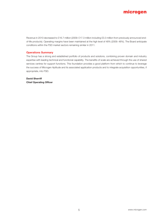Revenue in 2010 decreased to £16.7 million (2009: £17.3 million including £0.3 million from previously announced endof-life products). Operating margins have been maintained at the high level of 48% (2009: 48%). The Board anticipate conditions within the FSD market sectors remaining similar in 2011.

#### **Operations Summary**

The Group has a strong and established portfolio of products and solutions, combining proven domain and industry expertise with leading technical and functional capability. The benefits of scale are achieved through the use of shared services centres for support functions. This foundation provides a good platform from which to continue to leverage the success of Microgen Aptitude and its associated application products and to integrate acquisition opportunities, if appropriate, into FSD.

**David Sherriff Chief Operating Officer**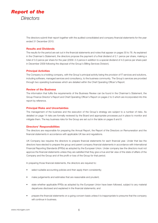

The directors submit their report together with the audited consolidated and company financial statements for the year ended 31 December 2010.

### **Results and Dividends**

The results for the period are set out in the financial statements and notes that appear on pages 30 to 78. As explained in the Chairman's Statement, the directors propose the payment of a final dividend of 2.1 pence per share, making a total of 3.0 pence per share for the year (2009: 2.3 pence in addition to a special dividend of 4.0 pence per share paid in December 2009 following the disposal of the Group's Billing Services Division).

#### **Principal Activities**

The Company is a holding company, with the Group's principal activity being the provision of IT services and solutions, including software, managed services and consultancy, to the business community. The Group's services are provided through two operating businesses which are detailed within the Chief Operating Officer's Report.

#### **Review of the Business**

The information that fulfils the requirements of the Business Review can be found in the Chairman's Statement, the Group Finance Director's Report and Chief Operating Officer's Report on pages 2 to 5 which are incorporated into this report by reference.

#### **Principal Risks and Uncertainties**

The management of the business and the execution of the Group's strategy are subject to a number of risks. As detailed on page 14 risks are formally reviewed by the Board and appropriate processes put in place to monitor and mitigate them. The key business risks for the Group are set out in the table on pages 8 and 9.

#### **Directors' Responsibilities**

The directors are responsible for preparing the Annual Report, the Report of the Directors on Remuneration and the financial statements in accordance with applicable UK law and regulations.

UK Company law requires the directors to prepare financial statements for each financial year. Under that law the directors have elected to prepare the group and parent company financial statements in accordance with International Financial Reporting Standards (IFRSs) as adopted by the European Union. Under company law the directors must not approve the financial statements unless they are satisfied that they give a true and fair view of the state of affairs of the Company and the Group and of the profit or loss of the Group for that period.

In preparing those financial statements, the directors are required to:

- select suitable accounting policies and then apply them consistently:
- make judgements and estimates that are reasonable and prudent;
- state whether applicable IFRSs as adopted by the European Union have been followed, subject to any material departures disclosed and explained in the financial statements; and
- prepare the financial statements on a going concern basis unless it is inappropriate to presume that the company will continue in business.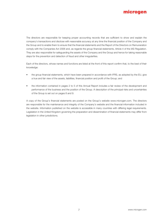

The directors are responsible for keeping proper accounting records that are sufficient to show and explain the company's transactions and disclose with reasonable accuracy at any time the financial position of the Company and the Group and to enable them to ensure that the financial statements and the Report of the Directors on Remuneration comply with the Companies Act 2006 and, as regards the group financial statements, Article 4 of the IAS Regulation. They are also responsible for safeguarding the assets of the Company and the Group and hence for taking reasonable steps for the prevention and detection of fraud and other irregularities.

Each of the directors, whose names and functions are listed at the front of this report confirm that, to the best of their knowledge:

- the group financial statements, which have been prepared in accordance with IFRS, as adopted by the EU, give a true and fair view of the assets, liabilities, financial position and profit of the Group; and
- the information contained in pages 2 to 5 of this Annual Report includes a fair review of the development and performance of the business and the position of the Group. A description of the principal risks and uncertainties of the Group is set out on pages 8 and 9.

A copy of the Group's financial statements are posted on the Group's website www.microgen.com. The directors are responsible for the maintenance and integrity of the Company's website and the financial information included in the website. Information published on the website is accessible in many countries with differing legal requirements. Legislation in the United Kingdom governing the preparation and dissemination of financial statements may differ from legislation in other jurisdictions.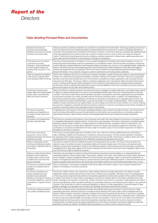

### **Table detailing Principal Risks and Uncertainties**

| Demand for the Group's<br>products may be adversely<br>affected if economic and market<br>conditions are unfavourable                                                                                             | Adverse economic conditions worldwide may contribute to slowdowns in the Information Technology spending environment<br>and may impact the Group's business resulting in reduced demand for its products as a result of decreased spending by<br>customers and increased price competition for the Group's products. The Group's revenues, expenses and operating results<br>could vary significantly from period to period as a result of a variety of factors, some of which are outside the Directors'<br>control. These factors include general economic conditions, adverse movements in interest rates, capital expenditure and<br>other costs and the introduction of new products or services by competitors.                                                                                                                                                                                                                                                                                                                                                                                        |
|-------------------------------------------------------------------------------------------------------------------------------------------------------------------------------------------------------------------|--------------------------------------------------------------------------------------------------------------------------------------------------------------------------------------------------------------------------------------------------------------------------------------------------------------------------------------------------------------------------------------------------------------------------------------------------------------------------------------------------------------------------------------------------------------------------------------------------------------------------------------------------------------------------------------------------------------------------------------------------------------------------------------------------------------------------------------------------------------------------------------------------------------------------------------------------------------------------------------------------------------------------------------------------------------------------------------------------------------|
| If the Group does not expand<br>or enhance its product<br>offerings or respond effectively<br>to technological change, the<br>business may not grow or may<br>decline                                             | The Group's future performance will depend on the successful development, introduction and market acceptance of new and<br>enhanced products that address customer requirements in a cost effective manner. If the Group does not expand or enhance its<br>product offerings or respond effectively to technological change, its business may not grow or may potentially decline. Additionally,<br>there is a risk that the Group's technological approach will not achieve broad market acceptance or that other technologies or<br>solutions will supplant the Group's approach. Some of the Group's markets are characterised by rapid technological change,<br>frequent introduction of new products, changes in customer requirements and evolving industry standards.                                                                                                                                                                                                                                                                                                                                 |
| There is substantial competition<br>in the Group's markets which<br>could adversely affect the Group                                                                                                              | Some of the markets for the Group's products are intensely competitive, rapidly evolving and subject to rapid technological<br>change. As a result the Group expects competition to persist, intensify and increase in the future. There are no substantial<br>barriers to entry into these markets and some of the Group's competitors are large organisations with far greater financial<br>resources than Microgen. The Group's ability to compete is dependent upon many factors within and beyond the Group's<br>control, including (a) timing and market acceptance of new solutions and enhancements to existing solutions developed<br>by the Group and its competitors (b) performance, ease of use and reliability of the Group's products (c) price (d) customer<br>service and support and (e) sales and marketing efforts.                                                                                                                                                                                                                                                                      |
| The Group's products have<br>lengthy sales and implementation<br>cycles, which could adversely<br>affect the Group's business                                                                                     | Sales of the Group's software products may require the Group to engage in a lengthy sales effort, and these lengthy periods<br>or delays in customer deployment of a product could materially adversely affect the Group's operating results or financial<br>condition. The Group's sales efforts include significant education of prospective customers regarding the use and benefits<br>of the Group's products. As a result, the sales cycle for the Group's products varies. In addition, the implementation of<br>the Group's products involves a significant commitment of resources by customers over an extended period of time. The<br>Group's sales and customer implementation cycles may be subject to a number of potential delays. These include delays<br>related to product development and implementation as well as delays over which the Group has little or no control, including<br>(a) customers' budgetary constraints (b) internal acceptance reviews (c) customer's purchasing process (d) the complexity of<br>customer's technical needs and (e) changing customer requirements. |
| The Group's operating<br>businesses are dependent on<br>a number of major clients and<br>contracts                                                                                                                | A significant part of the revenue of the Group's operating businesses may be derived from large contracts. Loss of turnover from<br>any one of these clients (either as a result of external factors or other factors such as performance on contracts) as well as any<br>expiry without renewal or delay of these contracts could adversely affect the Group's business and results of operations.                                                                                                                                                                                                                                                                                                                                                                                                                                                                                                                                                                                                                                                                                                          |
| Consultancy and development<br>fee rates could decrease                                                                                                                                                           | The Group may experience fluctuations in future revenues and profits if fee rates charged for the Group's consultants and/<br>or chargeable development engineers decline. The fee rates could decrease in the future in response to competitive pricing<br>pressures, general market conditions, increased adoption of offshore services, competitor actions or other factors. The<br>Group may not be able to increase sales sufficiently to prevent its revenue and operating margins from declining. Due to<br>contractual or commercial considerations the Group might not be able to pass on any increase it experiences in relation to<br>the delivery of services or products.                                                                                                                                                                                                                                                                                                                                                                                                                       |
| If the Group loses its key<br>personnel or cannot recruit<br>additional personnel, the Group's<br>business may suffer                                                                                             | The Group's success greatly depends on its ability to hire, train, retain and motivate qualified personnel, particularly in<br>sales, marketing, research and development, consultancy services and support. The Group faces significant competition<br>for individuals with the skills required to perform the services the Group will offer. If the Group is unable to attract and retain<br>qualified personnel it could be prevented from effectively managing and expanding its business.                                                                                                                                                                                                                                                                                                                                                                                                                                                                                                                                                                                                               |
| Failure to adequately protect<br>the Group's intellectual property<br>could result in significant harm to<br>its business                                                                                         | The Directors regard the Group's intellectual property as fundamental to its success. The Group's future success may<br>depend in part on its ability to protect its proprietary rights and the technologies used in the Group's principal products.<br>Disputes concerning the ownership or rights to use intellectual property could be costly and time consuming, may distract<br>management from other tasks related to the Group's business and may result in the Group's loss of significant rights or the<br>loss of the Group's right to operate its business.                                                                                                                                                                                                                                                                                                                                                                                                                                                                                                                                       |
| Claims by others that the Group<br>infringes on their intellectual<br>property rights could be costly<br>to defend and could harm the<br>Group's business                                                         | The Group may be subject to claims by others that the Group's products or brands infringe on or misappropriate their<br>intellectual property or other property rights. These claims, whether or not valid, could require the Group to spend significant<br>sums in litigation, distract management attention from the business, pay damages, delay or cancel product shipments, re-<br>brand or re-engineer the Group's products or acquire licences to third party intellectual property. In the event that the Group<br>needs to acquire a third party licence, the Group may not be able to secure it on commercially reasonable terms, or at all.                                                                                                                                                                                                                                                                                                                                                                                                                                                       |
| The Group is sometimes unable<br>to pass on increased costs to<br>its clients                                                                                                                                     | Due to contractual or commercial considerations the Group might not be able to pass on any increase it experiences in<br>relation to the delivery of services or products.                                                                                                                                                                                                                                                                                                                                                                                                                                                                                                                                                                                                                                                                                                                                                                                                                                                                                                                                   |
| The Group's reputation as a<br>quality professional service<br>provider may be adversely<br>affected by any failure to meet its<br>contractual obligations, customer<br>expectations or agreed services<br>levels | The Group's ability to attract new customers or retain existing customers is largely dependent on its ability to provide<br>reliable high quality products and services to them and to maintain a good reputation. Because many of the engagements<br>of the Group involve projects that are critical to the business operations and information systems of their clients, the failure<br>or inability of the Group to meet a client's expectations could have an adverse effect on the client's operations and could<br>result in damage to the reputation of the Group. Certain contracts may provide for a reduction in fees payable by the client if<br>service levels fall below certain specified thresholds, thus potentially reducing or eliminating the profit margin on any particular<br>contract. If the Group fails to meet its contractual obligations or perform to client expectations, it could be subject to legal<br>liability or damage to its reputation and the client may ultimately be entitled to terminate the contract.                                                           |
| The Group's software products<br>may contain undetected errors                                                                                                                                                    | The Group's products involve sophisticated hardware and software technology that perform critical functions to highly<br>demanding standards. Software products as complex as those offered by the Group might contain undetected errors or<br>failures. If flaws in design, production, assembly or testing of the Group's products (by the Group or the Group's suppliers)<br>were to occur, the Group could experience a rate of failure in its products that would result in substantial repair, replacement<br>or service costs and potential liability and damage to the Group's reputation. The Group will not be able to be certain that,<br>despite testing by the Group and by current and prospective customers, flaws will not be found in products or product<br>enhancements. Any flaws found may cause substantial harm to the Group's reputation and result in additional unplanned<br>expenses to remedy any defects, and liability stemming therefrom, as well as a loss in revenue and profit.                                                                                            |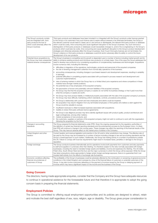

| The Group's products contain,<br>and are integrated with, third<br>party products the loss of<br>which could adversely affect the<br>Group's business | Third party products and databases have been included in or integrated with the Group's products under licences granted<br>to the Group or its customers if any such licence was to expire without renewal or be otherwise terminated, the Group or<br>the relevant customer would need to cease use of, and remove or disintegrate, the relevant third party product or database<br>which could be costly, time-consuming and cause significant disruption to the Group's business. Any such removal or<br>disintegration of third party products or databases would necessitate changes to, and/or the re-engineering of, the Group's<br>products which could also be costly, time-consuming and cause significant disruption to the Group's product development<br>strategies and otherwise adversely affect the Group's business. Even if such third party licences are not terminated, the<br>Group's reliance on third party products or databases could limit and/or adversely affect its ability to control the future<br>development of its own products. |
|-------------------------------------------------------------------------------------------------------------------------------------------------------|--------------------------------------------------------------------------------------------------------------------------------------------------------------------------------------------------------------------------------------------------------------------------------------------------------------------------------------------------------------------------------------------------------------------------------------------------------------------------------------------------------------------------------------------------------------------------------------------------------------------------------------------------------------------------------------------------------------------------------------------------------------------------------------------------------------------------------------------------------------------------------------------------------------------------------------------------------------------------------------------------------------------------------------------------------------------|
| Potential future acquisitions by<br>the Group may have unexpected<br>material adverse consequences                                                    | The Group's business is competitive and its growth is dependent upon a number of factors including market growth and its<br>ability to enhance existing products and introduce new products on a timely basis. One of the ways the Group addresses the<br>need to develop new products is by considering acquisitions of complementary businesses and technologies. Acquisitions<br>involve numerous risks, including the following:                                                                                                                                                                                                                                                                                                                                                                                                                                                                                                                                                                                                                               |
|                                                                                                                                                       | $\bullet$<br>difficulties in integration of the operations, technologies, products and personnel of the acquired companies;<br>$\bullet$<br>the risk of diverting management's attention from normal daily operations of the business;                                                                                                                                                                                                                                                                                                                                                                                                                                                                                                                                                                                                                                                                                                                                                                                                                             |
|                                                                                                                                                       | accounting consequences, including changes in purchased research and development expenses, resulting in variability<br>in earnings;<br>potential difficulties in completing projects associated with purchased in-process research and development and<br>$\bullet$<br>customer implementations;                                                                                                                                                                                                                                                                                                                                                                                                                                                                                                                                                                                                                                                                                                                                                                   |
|                                                                                                                                                       | risks of entering markets in which the Group has no or limited direct prior experience and where competitors in these<br>$\bullet$<br>markets have stronger market positions;<br>the potential loss of key employees of the acquired company;<br>$\bullet$                                                                                                                                                                                                                                                                                                                                                                                                                                                                                                                                                                                                                                                                                                                                                                                                         |
|                                                                                                                                                       | the assumption of known and potentially unknown liabilities of the acquired company;<br>the Group may find that the acquired company or assets do not further its business strategy or that it paid more than<br>$\bullet$<br>what the company or assets are worth;                                                                                                                                                                                                                                                                                                                                                                                                                                                                                                                                                                                                                                                                                                                                                                                                |
|                                                                                                                                                       | the Group may have product liability or intellectual property associated with the sale of the acquired company's products;<br>the Group may have difficulty maintaining uniform standards, controls, procedures and policies;<br>$\bullet$                                                                                                                                                                                                                                                                                                                                                                                                                                                                                                                                                                                                                                                                                                                                                                                                                         |
|                                                                                                                                                       | the Group's relationship with current and new employees and clients could be impaired;<br>$\bullet$<br>the acquisition may result in litigation from any terminated employees or third parties who believe a claim against the<br>Group would be valuable to pursue;                                                                                                                                                                                                                                                                                                                                                                                                                                                                                                                                                                                                                                                                                                                                                                                               |
|                                                                                                                                                       | insufficient revenues to offset increased expenses associated with acquisitions;<br>inability to renew third party software licence agreements;<br>$\bullet$                                                                                                                                                                                                                                                                                                                                                                                                                                                                                                                                                                                                                                                                                                                                                                                                                                                                                                       |
|                                                                                                                                                       | the Group's due diligence process may fail to identify significant issues with product quality, product architecture and<br>$\bullet$<br>legal contingencies, among other matters;<br>market acceptance of new products; and                                                                                                                                                                                                                                                                                                                                                                                                                                                                                                                                                                                                                                                                                                                                                                                                                                       |
|                                                                                                                                                       | $\bullet$<br>the customers, suppliers or partners of the acquired company might not wish to continue to work with the organisation<br>following the acquisition by the Group.                                                                                                                                                                                                                                                                                                                                                                                                                                                                                                                                                                                                                                                                                                                                                                                                                                                                                      |
| Changes in accounting<br>standards                                                                                                                    | The Group prepared its financial statements under IFRS. Given the ongoing assessment by the regulatory authorities of<br>the definition of certain key financial reporting standards and the endorsement process by the European Union, it is likely<br>that IFRS will continue to change in the coming years. These changes may affect the reporting of the financial results of the<br>Group. This may have an adverse affect on the market price of shares in the Company.                                                                                                                                                                                                                                                                                                                                                                                                                                                                                                                                                                                      |
| United Kingdom and other<br>taxation                                                                                                                  | Current taxation and revenue legislation and practice in the UK and/or other jurisdictions may change. The effective rate of<br>tax paid by the Group may be increased by a number of factors including changes in law and accounting standards and the<br>Group's overall approach to such matters. Additionally, the Group has trading activity in a number of jurisdictions outside<br>the UK. Failure to comply with local tax requirements might result in increased taxes, penalties or damage to the Group's<br>reputation.                                                                                                                                                                                                                                                                                                                                                                                                                                                                                                                                 |
| Foreign exchange                                                                                                                                      | The Group conducts business internationally and its operations involve both payments from customers and also payments<br>to staff and suppliers in currencies other than Sterling. It is therefore subject to the risks normally associated with foreign<br>businesses, including the need to translate foreign assets and liabilities, income and expenses into Sterling. The US dollar,<br>Polish Zloty, South African Rand and the Euro are the major currencies to which the Group will be exposed. While the Group<br>has taken precautions where appropriate to hedge certain foreign exchange exposure, there is no guarantee that it can<br>insulate itself entirely from the effects of exchange rate fluctuations.                                                                                                                                                                                                                                                                                                                                       |
| Economic conditions affecting<br>financial circumstances of<br>customers of Group                                                                     | The profitability of the Group's businesses could be adversely affected by the continuation or worsening of general economic<br>conditions in the United Kingdom and overseas by virtue of the financial failure of customers or potential customers of the<br>Group. It may also involve customers defaulting on the payment of invoices issued by the Group or delaying payment of<br>invoices which may have a significant impact on the income and the business of the Group.                                                                                                                                                                                                                                                                                                                                                                                                                                                                                                                                                                                  |

### **Going Concern**

The directors, having made appropriate enquiries, consider that the Company and the Group have adequate resources to continue in operational existence for the foreseeable future and that therefore it is appropriate to adopt the going concern basis in preparing the financial statements.

#### **Employment Policies**

The Group is committed to offering equal employment opportunities and its policies are designed to attract, retain and motivate the best staff regardless of sex, race, religion, age or disability. The Group gives proper consideration to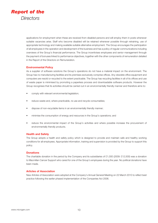

applications for employment when these are received from disabled persons and will employ them in posts whenever suitable vacancies arise. Staff who become disabled will be retained whenever possible through retraining, use of appropriate technology and making available suitable alternative employment. The Group encourages the participation of all employees in the operation and development of the business and has a policy of regular communications including overviews of the Group's financial performance. The Group incentivises employees and senior management through the payment of bonuses linked to performance objectives, together with the other components of remuneration detailed in the Report of the Directors on Remuneration.

#### **Environmental Policy**

As a supplier of software solutions the Group's operations do not have a material impact on the environment. The Group has no manufacturing facilities and its premises exclusively comprise offices. Any obsolete office equipment and computers are resold or recycled to the extent practicable. The Group has recycling facilities in all of its offices and use of waste paper is minimised by promoting a paperless process and downloadable software products. However the Group recognises that its activities should be carried out in an environmentally friendly manner and therefore aims to:

- comply with relevant environmental legislation;
- reduce waste and, where practicable, re-use and recycle consumables;
- dispose of non-recyclable items in an environmentally friendly manner;
- minimise the consumption of energy and resources in the Group's operations; and
- reduce the environmental impact of the Group's activities and where possible increase the procurement of environmentally friendly products.

#### **Health and Safety**

The Group adopts a health and safety policy which is designed to provide and maintain safe and healthy working conditions for all employees. Appropriate information, training and supervision is provided by the Group to support this policy.

#### **Donations**

The charitable donation in the period by the Company and its subsidiaries of £1,000 (2009: £12,500) was a donation to Macmillan Cancer Support who cared for one of the Group's employees during the year. No political donations have been made.

#### **Articles of Association**

New Articles of Association were adopted at the Company's Annual General Meeting on 22 March 2010 to reflect best practice following the earlier phased implementation of the Companies Act 2006.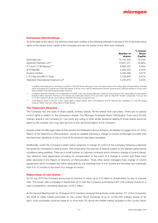#### **Substantial Shareholdings**

As at the date of this report, the directors have been notified of the following interests in excess of 3% of the total voting rights of the issued share capital of the Company and are not aware of any other such interests.

|                                       | Number of<br>shares | % Issued<br><b>Share</b><br>Capital |
|---------------------------------------|---------------------|-------------------------------------|
| Schroders plc*                        | 14,745,303          | 18.24%                              |
| Aberforth Partners LLP**              | 13,641,377          | 16.88%                              |
| P F and C C M Barbour***              | 6,865,327           | 8.49%                               |
| M R Ratcliffe                         | 5,294,524           | 6.55%                               |
| Invesco Limited                       | 4,584,349           | 5.67%                               |
| L G Crisp and Mrs H Crisp             | 3,726,602           | 4.61%                               |
| Highclere International Investors LLP | 3,234,973           | 4.00%                               |
|                                       |                     |                                     |

In addition Schroders plc is interested in a further 2,400,000 shares although it does not have access to the voting rights of these shares. Included within Schroders plc's interest are 4,006,692 shares (4.96 per cent.) held by Mineworkers Pension Scheme and 3,588,605 shares (4.44 per cent.) held by British Coal Staff Superannuation Scheme.

In addition Aberforth Partners LLP is interested in a further 3,941,300 shares although it does not have access to the voting rights of these shares. Included within Aberforth Partners LLP's interest are 8,687,826 shares (10.75 per cent.) held by Aberforth Smaller Companies Trust plc and 2,712,851 shares (3.36 per cent.) held by Aberforth UK Small Companies Fund.

CCM Barbour holds 4,734,531 of the voting rights of these shares. Both CCM Barbour and PF Barbour are interested in 2,130,796 shares however neither have any voting rights in these shares.

#### **The Takeovers Directive**

The Company has one class of share capital, ordinary shares. All the shares rank pari passu. There are no special control rights in relation to the Company's shares. The Microgen Employee Share Participation Trust owns 60,000 ordinary shares in the Company (0.1 per cent); any voting or other similar decisions relating to those shares would be taken by the trustees, who may take account of any recommendation of the Company.

Awards under the Microgen Value Enhancement and Realisation Bonus Scheme, as detailed on pages 25 to 27 of the Report of the Directors on Remuneration, would be payable following a change of control of Microgen provided that the base level valuations of one or more of the divisions have been exceeded.

Additionally, under the Company's share option schemes, a change of control of the Company following a takeover bid would be considered a vesting event. This would allow the exercise of awards subject to the relevant performance conditions being satisfied. There are a small number of customer contracts which include a change of control clause. Two directors have agreements providing for compensation in the event of a change in control and these have been disclosed in the Report of Directors on Remuneration. Three other senior managers have change of control agreements which increases the notice receivable by one individual from 3 to 6 months and the other two individuals from 6 to 12 months in the event of a change of control.

#### **Repurchase of own shares**

On 22 July 2010 the Company announced its intention to return up to £10 million to shareholders by way of a tender offer. The tender offer completed in September 2010 with the Company purchasing 6,837,339 ordinary shares for a cash consideration, excluding expenses, of £6.2 million.

At the General Meeting held on 19 August 2010 members renewed the authority under section 701 of the Companies Act 2006 to make market purchases on the London Stock Exchange of up to 12,002,358 ordinary shares of 5p each. Such purchases could be made at no more than 5% above the middle market quotation in the London Stock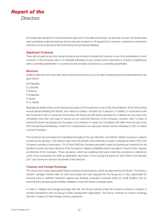

Exchange daily official list on the five business days prior to the date of purchase, nor less than 5p each. No shares have been purchased under this authority since it was last renewed on 19 August 2010, however, a resolution to renew this authority is to be proposed at the forthcoming Annual General Meeting.

#### **Significant Contracts**

There did not exist at any time during the period any contract involving the Company or any of its subsidiaries in which a director of the Company was or is materially interested or any contract which was either a contract of significance with a controlling shareholder or a contract for the provision of service by a controlling shareholder.

#### **Directors**

Details of directors who have held office during the period and up to the date of signing these financial statements are given below:

M R Ratcliffe D J Sherriff P B Wood P M Bertram P Davies R T L Kanter

Biographical details of the current directors are given on the inside front cover of this Annual Report. At the forthcoming Annual General Meeting Mr Sherriff, who retires by rotation, will stand for re-election. In addition, in accordance with the Combined Code on Corporate Governance, Mr Davies and Mr Kanter will stand for re-election as they have both completed more than nine years of service as non-executive directors of the Company, however, after 12 years of service Mr Kanter has advised the Company of his intention to resign from the Board with effect from the day of the 2012 Annual General Meeting. A search for a replacement non-executive director will be undertaken in 2011 to effect a smooth transition.

The Company has purchased and maintained throughout the year directors' and officers' liability insurance in respect of itself and its directors. The directors also have the benefit of the indemnity provision contained at article 138 of the Company's articles of association. On 24 April 2006 the Company executed a deed poll granting an indemnity for the benefit of current and future directors of the Company in respect of liabilities which may attach to them in their capacity as directors of the Company. These provisions, which are qualifying third party indemnity provisions as defined by s.234 of the Companies Act 2006 as applicable, have been in force during the period 24 April 2006 to 23 February 2011 and continue in force for the benefit of the directors.

#### **Treasury and Foreign Exchange**

The Group has in place appropriate treasury policies and procedures, which are approved by the Board. The treasury function manages interest rates for both borrowings and cash deposits for the Group and is also responsible for ensuring there is sufficient headroom against any banking covenants contained within its credit facilities, and for ensuring there are appropriate facilities available to meet the Group's strategic plans.

In order to mitigate and manage exchange rate risk, the Group routinely enters into forward contracts in respect of monthly transactions with the Group's Polish development organisation. The Group continues to monitor exchange rate risk in respect of other foreign currency exposures.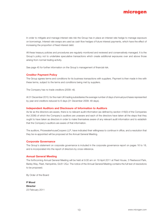

In order to mitigate and manage interest rate risk the Group has in place an interest rate hedge to manage exposure on borrowings. Interest rate swaps are used as cash flow hedges of future interest payments, which have the effect of increasing the proportion of fixed interest debt.

All these treasury policies and procedures are regularly monitored and reviewed and conservatively managed. It is the Group's policy not to undertake speculative transactions which create additional exposures over and above those arising from normal trading activity.

See page 45 for further information on the Group's management of financial risk.

#### **Creditor Payment Policy**

The Group agrees terms and conditions for its business transactions with suppliers. Payment is then made in line with these terms, subject to the terms and conditions being met by suppliers.

The Company has no trade creditors (2009: nil).

At 31 December 2010, for the main UK trading subsidiaries the average number of days of annual purchases represented by year end creditors reduced to 6 days (31 December 2009: 48 days).

#### **Independent Auditors and Disclosure of Information to Auditors**

As far as the directors are aware, there is no relevant audit information (as defined by section 418(3) of the Companies Act 2006) of which the Company's auditors are unaware and each of the directors have taken all the steps that they ought to have taken as directors in order to make themselves aware of any relevant audit information and to establish that the Company's auditors are aware of that information.

The auditors, PricewaterhouseCoopers LLP, have indicated their willingness to continue in office, and a resolution that they be re-appointed will be proposed at the Annual General Meeting.

#### **Corporate Governance**

The Group's statement on corporate governance is included in the corporate governance report on pages 16 to 18, and is incorporated into the report of directors by cross reference.

#### **Annual General Meeting**

The forthcoming Annual General Meeting will be held at 9.00 am on 19 April 2011 at Fleet House, 3 Fleetwood Park, Barley Way, Fleet, Hampshire, GU51 2QJ. The notice of the Annual General Meeting contains the full text of resolutions to be proposed.

By Order of the Board

**P Wood Director** 23 February 2011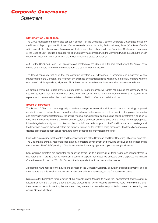# *Corporate Governance Statement*

#### **Statement of Compliance**

The Group has applied the principles set out in section 1 of the Combined Code on Corporate Governance issued by the Financial Reporting Council in June 2008, as referred to in the UK Listing Authority Listing Rules ("Combined Code") which is available online at www.frc.org.uk. A full statement of compliance with the Combined Code's main principles of the Code of Best Practice is on page 18. The Company has complied with the Combined Code throughout the year ended 31 December 2010, other than the limited exceptions stated as follows:

A.3.1 of the Combined Code - Mr Davies was an employee of the Group in 1999 and, together with Mr Kanter, have served on the Board for more than 9 years from the date of their first election.

The Board considers that all of the non-executive directors are independent in character and judgement of the management of the Company and free from any business or other relationship which could materially interfere with the exercise of their independent judgement. All of the non-executive directors have extensive business experience.

As detailed within the Report of the Directors, after 12 years of service Mr Kanter has advised the Company of his intention to resign from the Board with effect from the day of the 2012 Annual General Meeting. A search for a replacement non-executive director will be undertaken in 2011 to effect a smooth transition.

### **Board of Directors**

The Board of Directors meets regularly to review strategic, operational and financial matters, including proposed acquisitions and divestments, and has a formal schedule of matters reserved to it for decision. It approves the interim and preliminary financial statements, the annual financial plan, significant contracts and capital investment in addition to reviewing the effectiveness of the internal control systems and business risks faced by the Group. Where appropriate, it has delegated authority to committees of directors. Information is supplied to the Board in advance of meetings and the Chairman ensures that all directors are properly briefed on the matters being discussed. The Board also receives detailed presentations from senior managers at the scheduled monthly Board meetings.

It is the Group's policy that the roles and the responsibilities of the Chairman and Chief Operating Officer are separate. The Chairman is primarily responsible for strategy, corporate development and ensuring effective communication with shareholders. The Chief Operating Officer is responsible for managing the Group's operating businesses.

Non-executive directors are appointed for specified terms, up to a maximum of three years, and reappointment is not automatic. There is a formal selection process to appoint non-executive directors and a separate Nomination Committee was formed in 2001. Mr Davies is the independent senior non-executive director.

All directors have access to the advice and services of the Company Secretary or suitably qualified alternative, and all the directors are able to take independent professional advice, if necessary, at the Company's expense.

Directors offer themselves for re-election at the Annual General Meeting following their appointment and thereafter in accordance with the Company's current Articles of Association which requires directors to retire from office and offer themselves for reappointment by the members if they were not appointed or reappointed at one of the preceding two Annual General Meetings.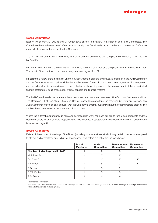### **Board Committees**

Each of Mr Bertram, Mr Davies and Mr Kanter serve on the Nomination, Remuneration and Audit Committees. The Committees have written terms of reference which clearly specify their authority and duties and those terms of reference are available upon written request to the Company.

The Nomination Committee is chaired by Mr Kanter and the Committee also comprises Mr Bertram, Mr Davies and Mr Ratclilffe.

Mr Davies is chairman of the Remuneration Committee and the Committee also comprises Mr Bertram and Mr Kanter. The report of the directors on remuneration appears on pages 19 to 27.

Mr Bertram, a Fellow of the Institute of Chartered Accountants in England and Wales, is chairman of the Audit Committee and the Committee also comprises Mr Davies and Mr Kanter. The Audit Committee meets regularly with management and the external auditors to review and monitor the financial reporting process, the statutory audit of the consolidated financial statements, audit procedures, internal controls and financial matters.

The Audit Committee also recommends the appointment, reappointment or removal of the Company's external auditors. The Chairman, Chief Operating Officer and Group Finance Director attend the meetings by invitation, however, the Audit Committee meets at least annually with the Company's external auditors without the other directors present. The auditors have unrestricted access to the Audit Committee.

Where the external auditors provide non audit services such work has been put out to tender as appropriate and the Board considers that the auditors' objectivity and independence is safeguarded. The expenditure on non audit services is set out on page 54.

#### **Board Attendance**

Details of the number of meetings of the Board (including sub-committees at which only certain directors are required to attend) and committees and individual attendances by directors are set out in the table below.

|                                 | <b>Board</b><br><b>Meetings</b> | <b>Audit</b><br>Committee | <b>Remuneration</b><br><b>Committee</b> | <b>Nomination</b><br><b>Committee</b> |
|---------------------------------|---------------------------------|---------------------------|-----------------------------------------|---------------------------------------|
| Number of Meetings held in 2010 | 11                              | 6                         | 9                                       |                                       |
| M R Ratcliffe                   | 11                              | $6*$                      | $9*$                                    |                                       |
| D J Sherriff                    | 10                              | $5^*$                     | $8*$                                    | <b>+ +</b>                            |
| P B Wood                        | 11                              | $6*$                      | $9*$                                    | $+ *$                                 |
| P Davies                        | 11                              | 6                         | 9                                       |                                       |
| R T L Kanter                    | 11                              | 6                         | 9                                       |                                       |
| P M Bertram                     | 11                              | 6                         | 9                                       |                                       |

\* attendance by invitation.

The above table details attendance at scheduled meetings. In addition 13 ad hoc meetings were held, of these meetings, 8 meetings were held in relation to the exercise of share options.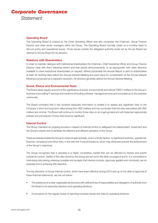# *Corporate Governance Statement*

#### **Operating Board**

The Operating Board is chaired by the Chief Operating Officer and also comprises the Chairman, Group Finance Director and other senior managers within the Group. The Operating Board normally meets on a monthly basis to discuss policy and operational issues. Those issues outside the delegated authority levels set by the plc Board are referred to the plc Board for its decision.

#### **Relations with Shareholders**

In order to maintain dialogue with institutional shareholders the Chairman, Chief Operating Officer and Group Finance Director meet with them following interim and final results announcements, or as appropriate, with other directors available to meet institutional shareholders on request. Where practicable the Annual Report is sent to shareholders at least 20 working days before the Annual General Meeting and each issue for consideration at the Annual General Meeting is proposed as a separate resolution. All directors generally attend the Annual General Meeting.

#### **Social, Ethical and Environmental Risks**

The Board takes regular account of the significance of social, environmental and ethical ("SEE") matters to the Group's business of providing IT services and solutions (including software, managed services and consultancy) to the business community.

The Board considers that it has received adequate information to enable it to assess any significant risks to the Company's short and long-term value arising from SEE matters and has concluded that the risks associated with SEE matters are minimal. The Board will continue to monitor those risks on an ongoing basis and will implement appropriate policies and procedures if those risks become significant.

#### **Internal Control**

The Group maintains an ongoing process in respect of internal control to safeguard the shareholders' investment and the Group's assets and to facilitate the effective and efficient operation of the Group.

These processes enable the Group to respond appropriately, and in a timely fashion, to significant business, operational, financial, compliance and other risks, in line with the Turnbull Guidance, which may otherwise prevent the achievement of the Group's objectives.

The Group recognises that it operates in a highly competitive market that can be affected by factors and events outside its control. Details of the risks faced by the Group are set out in the table on pages 8 and 9. It is committed to minimising risks arising wherever possible and accepts that internal controls, rigorously applied and monitored, are an essential tool in achieving this objective.

The key elements of Group internal control, which have been effective during 2010 and up to the date of approval of these financial statements, are set out below:

- The existence of a clear organisational structure with defined lines of responsibility and delegation of authority from the Board to its executive directors and operating divisions;
- A procedure for the regular review of reporting business issues and risks by operating divisions;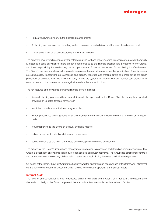- Regular review meetings with the operating management;
- A planning and management reporting system operated by each division and the executive directors; and
- The establishment of prudent operating and financial policies.

The directors have overall responsibility for establishing financial and other reporting procedures to provide them with a reasonable basis on which to make proper judgements as to the financial position and prospects of the Group, and have responsibility for establishing the Group's system of internal control and for monitoring its effectiveness. The Group's systems are designed to provide directors with reasonable assurance that physical and financial assets are safeguarded, transactions are authorised and properly recorded and material errors and irregularities are either prevented or detected with the minimum delay. However, systems of internal financial control can provide only reasonable and not absolute assurance against material misstatement or loss.

The key features of the systems of internal financial control include:

- financial planning process with an annual financial plan approved by the Board. The plan is regularly updated providing an updated forecast for the year;
- monthly comparison of actual results against plan;
- written procedures detailing operational and financial internal control policies which are reviewed on a regular basis;
- regular reporting to the Board on treasury and legal matters;
- defined investment control guidelines and procedures;
- periodic reviews by the Audit Committee of the Group's systems and procedures.

The majority of the Group's financial and management information is processed and stored on computer systems. The Group is dependent on systems that require sophisticated computer networks. The Group has established controls and procedures over the security of data held on such systems, including business continuity arrangements.

On behalf of the Board, the Audit Committee has reviewed the operation and effectiveness of this framework of internal control for the year ended 31 December 2010, and up to the date of approval of the annual report.

#### **Internal Audit**

The need for an internal audit function is reviewed on an annual basis by the Audit Committee taking into account the size and complexity of the Group. At present there is no intention to establish an internal audit function.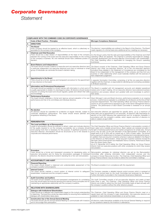# *Corporate Governance Statement*

|                         | <b>COMPLIANCE WITH THE COMBINED CODE ON CORPORATE GOVERNANCE</b>                                                                                                                                                                                                                                                                                                                                                                 |                                                                                                                                                                                                                                                                                                                                                                                                                                                                                                                                                                                                                                                                                                                                                                                                                                                                                                                                                                                                         |
|-------------------------|----------------------------------------------------------------------------------------------------------------------------------------------------------------------------------------------------------------------------------------------------------------------------------------------------------------------------------------------------------------------------------------------------------------------------------|---------------------------------------------------------------------------------------------------------------------------------------------------------------------------------------------------------------------------------------------------------------------------------------------------------------------------------------------------------------------------------------------------------------------------------------------------------------------------------------------------------------------------------------------------------------------------------------------------------------------------------------------------------------------------------------------------------------------------------------------------------------------------------------------------------------------------------------------------------------------------------------------------------------------------------------------------------------------------------------------------------|
|                         | <b>Code of Best Practice - Principles</b>                                                                                                                                                                                                                                                                                                                                                                                        | <b>Microgen Compliance Statement</b>                                                                                                                                                                                                                                                                                                                                                                                                                                                                                                                                                                                                                                                                                                                                                                                                                                                                                                                                                                    |
| A                       | <b>DIRECTORS</b>                                                                                                                                                                                                                                                                                                                                                                                                                 |                                                                                                                                                                                                                                                                                                                                                                                                                                                                                                                                                                                                                                                                                                                                                                                                                                                                                                                                                                                                         |
| 1                       | <b>The Board</b><br>Every company should be headed by an effective board, which is collectively re-<br>sponsible for the success of the company.                                                                                                                                                                                                                                                                                 | The directors' responsibilities are outlined in the Report of the Directors. The Board<br>meets regularly on a formal basis plus additional ad hoc meetings as necessary.                                                                                                                                                                                                                                                                                                                                                                                                                                                                                                                                                                                                                                                                                                                                                                                                                               |
| $\overline{2}$          | <b>Chairman and Chief Executive</b><br>There should be a clear division of responsibilities at the head of the company<br>between the running of the board and the executive responsibility for the running<br>of the company's business. No one individual should have unfettered powers of<br>decision.                                                                                                                        | It is the Group's policy that the roles and responsibilities of the Chairman and Chief<br>Operating Officer are separate. The Chairman is primarily responsible for strategy,<br>corporate development and ensuring effective communication with shareholders.<br>The Chief Operating office is responsible for managing the Group's operating<br>businesses.                                                                                                                                                                                                                                                                                                                                                                                                                                                                                                                                                                                                                                           |
| 3                       | <b>Board Balance and Independence</b><br>The board should include a balance of executive and non-executive directors (and<br>in particular independent non-executive directors) such that no individual or small<br>group of individuals can dominate the board's decision taking.                                                                                                                                               | The Board consists of the Chairman, Chief Operating Officer and Group Finance<br>Director plus three non-executive directors. All of the non-executive directors<br>(including those detailed in the Statement of Compliance) are considered by the<br>Board to be independent of the management of the company and free from any<br>business or other relationship which could materially interfere with the exercise of<br>their independent judgement.                                                                                                                                                                                                                                                                                                                                                                                                                                                                                                                                               |
| $\overline{\mathbf{4}}$ | <b>Appointments to the Board</b><br>There should be a formal, rigorous and transparent procedure for the appointment<br>of new directors to the board.                                                                                                                                                                                                                                                                           | A separate Nomination Committee, comprising of all the non-executive directors<br>together with the Chairman, is responsible for identifying and nominating candidates<br>to fill Board vacancies.                                                                                                                                                                                                                                                                                                                                                                                                                                                                                                                                                                                                                                                                                                                                                                                                      |
| 5                       | <b>Information and Professional Development</b><br>The board should be supplied in a timely manner with information in a form and of<br>a quality appropriate to enable it to discharge its duties. All directors should receive<br>induction on joining the board and should regularly update and refresh their skills<br>and knowledge.                                                                                        | The Board is supplied with full management accounts and detailed operational<br>reviews prior to each meeting. All non-executive directors have extensive business<br>experience and possess relevant and updated skills and knowledge to perform<br>their duties.                                                                                                                                                                                                                                                                                                                                                                                                                                                                                                                                                                                                                                                                                                                                      |
| 6                       | <b>Performance Evaluation</b><br>The board should undertake a formal and rigorous annual evaluation of its own<br>performance and that of its committees and individual directors.                                                                                                                                                                                                                                               | Given Microgen's size and Board structure, performance evaluation is an ongoing<br>process. A performance evaluation is undertaken for all directors at the time of their<br>proposed reappointment. The Chief Operating Officer and Group Finance Director<br>receive an annual performance appraisal as part of the Senior Management Bonus<br>Scheme. The performance of each Board Committee is reviewed on an annual<br>basis.                                                                                                                                                                                                                                                                                                                                                                                                                                                                                                                                                                     |
| $\overline{7}$          | Re-election<br>All directors should be submitted for re-election at regular intervals, subject to<br>continued satisfactory performance. The board should ensure planned and<br>progressive refreshing of the Board.                                                                                                                                                                                                             | Non-executive directors are appointed for specific terms, up to a maximum of<br>three years and re-appointment is not automatic. All directors offer themselves for<br>election at the AGM following their appointment and for re-election thereafter in<br>accordance with the company's articles, which require one-third of directors to<br>retire in rotation at each AGM.                                                                                                                                                                                                                                                                                                                                                                                                                                                                                                                                                                                                                          |
| в                       | <b>REMUNERATION</b>                                                                                                                                                                                                                                                                                                                                                                                                              |                                                                                                                                                                                                                                                                                                                                                                                                                                                                                                                                                                                                                                                                                                                                                                                                                                                                                                                                                                                                         |
| 1                       | The Level and Make-up of Remuneration<br>Levels of remuneration should be sufficient to attract, retain and motivate directors<br>of the quality required to run the company successfully, but a company should<br>avoid paying more than is necessary for this purpose. A significant proportion of<br>executive directors' remuneration should be structured so as to link rewards to<br>corporate and individual performance. | The Chief Operating Officer and Group Finance Director's remuneration consists of<br>basic salary and a variable annual bonus. Basic salaries are reviewed annually in<br>the light of individual performance and market comparisons for similar jobs. Annual<br>bonus may be paid, at the sole discretion of the Remuneration Committee, at a<br>target level of up to 50% with an overall cap of 100% of basic salary. The annual<br>bonus payment is determined on the basis of individual and corporate performance.<br>In addition there are long term incentive schemes in place as detailed in the Report<br>of the Directors on Remuneration. These long term incentive schemes include the<br>Microgen Value Enhancement and Realisation Bonus Scheme, Performance Share<br>Plan and Share Option Plans.<br>As at 31 December 2010 neither the Chief Operating Officer nor Group Finance<br>Director hold non-executive positions with other companies for which they receive<br>remuneration. |
| $\overline{2}$          | Procedure<br>There should be a formal and transparent procedure for developing policy on<br>executive remuneration and for fixing the remuneration packages of individual<br>directors. No director should be involved in deciding his or her own remuneration.                                                                                                                                                                  | Remuneration packages for individual directors are set by the Remuneration<br>Committee after receiving information from independent sources and the<br>company's Human Resources function. The Chairman, Chief Operating Officer and<br>Group Finance Director may be invited to attend the Committee's meetings.                                                                                                                                                                                                                                                                                                                                                                                                                                                                                                                                                                                                                                                                                      |
| с                       | <b>ACCOUNTABILITY AND AUDIT</b>                                                                                                                                                                                                                                                                                                                                                                                                  |                                                                                                                                                                                                                                                                                                                                                                                                                                                                                                                                                                                                                                                                                                                                                                                                                                                                                                                                                                                                         |
| 1                       | <b>Financial Reporting</b><br>The board should present a balanced and understandable assessment of the<br>company's position and prospects.                                                                                                                                                                                                                                                                                      | The Board considers it is in compliance with this requirement.                                                                                                                                                                                                                                                                                                                                                                                                                                                                                                                                                                                                                                                                                                                                                                                                                                                                                                                                          |
| $\overline{2}$          | <b>Internal Control</b><br>The board should maintain a sound system of internal control to safeguard<br>shareholders' investment and the company's assets.                                                                                                                                                                                                                                                                       | The Company operates a detailed internal control process which is reviewed at<br>least on an annual basis by the Audit Committee and endorsed by the Board.<br>Further information is provided in the Corporate Governance Statement.                                                                                                                                                                                                                                                                                                                                                                                                                                                                                                                                                                                                                                                                                                                                                                   |
| 3                       | <b>Audit Committee and Auditors</b><br>The board should establish formal and transparent arrangements for considering<br>how they should apply the financial reporting and internal control principles and for<br>maintaining an appropriate relationship with the company's auditors.                                                                                                                                           | The Audit Committee consists of all non-executive directors and meets at least<br>three times a year. The Chairman, Chief Operating Officer and Group Finance<br>Director are invited to attend but the Audit Committee meets at least annually with<br>the company's auditors without the other directors present.                                                                                                                                                                                                                                                                                                                                                                                                                                                                                                                                                                                                                                                                                     |
| D                       | <b>RELATIONS WITH SHAREHOLDERS</b>                                                                                                                                                                                                                                                                                                                                                                                               |                                                                                                                                                                                                                                                                                                                                                                                                                                                                                                                                                                                                                                                                                                                                                                                                                                                                                                                                                                                                         |
| 1                       | Dialogue with Institutional Shareholders<br>There should be a dialogue with shareholders based on the mutual understanding<br>of objectives. The board as a whole has responsibility for ensuring that a satisfactory<br>dialogue with shareholders takes place.                                                                                                                                                                 | The Chairman, Chief Operating Officer and Group Finance Director meet on a<br>regular basis with the company's major shareholders. Non-executive directors are<br>available to meet institutional shareholders on an ad hoc basis.                                                                                                                                                                                                                                                                                                                                                                                                                                                                                                                                                                                                                                                                                                                                                                      |
| $\overline{\mathbf{2}}$ | <b>Constructive Use of the Annual General Meeting</b><br>The board should use the Annual General Meeting to communicate with investors<br>and to encourage their participation.                                                                                                                                                                                                                                                  | All directors make themselves available at the Annual General Meeting to respond<br>to any questions raised by the investors in attendance.                                                                                                                                                                                                                                                                                                                                                                                                                                                                                                                                                                                                                                                                                                                                                                                                                                                             |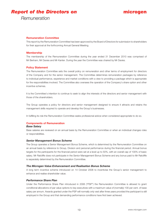# *Report of the Directors on*

## microgen

*Remuneration*

### **Remuneration Committee**

This report by the Remuneration Committee has been approved by the Board of Directors for submission to shareholders for their approval at the forthcoming Annual General Meeting.

### **Membership**

The membership of the Remuneration Committee during the year ended 31 December 2010 was comprised of Mr Bertram, Mr Davies and Mr Kanter. During the year the Committee was chaired by Mr Davies.

### **Policy Statement**

The Remuneration Committee sets the overall policy on remuneration and other terms of employment for directors of the Company and for the senior management. The Committee determines remuneration packages by reference to individual performance, experience and market conditions with a view to providing a package which is appropriate for the responsibilities involved. The Committee also oversees the operation of the Company's share option and other incentive schemes.

It is the Committee's intention to continue to seek to align the interests of the directors and senior management with those of the shareholders.

The Group operates a policy for directors and senior management designed to ensure it attracts and retains the management skills required to operate and develop the Group's businesses.

In fulfilling its role the Remuneration Committee seeks professional advice when considered appropriate to do so.

#### **Components of Remuneration**

#### *Base Salary*

Base salaries are reviewed on an annual basis by the Remuneration Committee or when an individual changes roles or responsibilities.

#### *Senior Management Bonus Scheme*

The Group operates a Senior Management Bonus Scheme, which is determined by the Remuneration Committee on an annual basis by reference to Group, Division and personal performance during the financial period. Annual bonus targets for the participants for the financial period were set at a level up to 50%, with an overall cap of 100% of basic salary. Mr Ratcliffe does not participate in the Senior Management Bonus Scheme and any bonus paid to Mr Ratcliffe is separately determined by the Remuneration Committee.

#### *The Microgen Value Enhancement and Realisation Bonus Scheme*

A long term incentive scheme introduced on 14 October 2008 to incentivise the Group's senior management to enhance and realise shareholder value.

#### *Performance Share Plan*

Under the Performance Share Plan introduced in 2006 ("PSP") the Remuneration Committee is allowed to grant conditional allocations of par value options to key executives with a maximum value of (normally) 100 per cent. of base salary per annum. Awards granted under the PSP will normally only vest after three years provided the participant is still employed in the Group and that demanding performance conditions have first been achieved.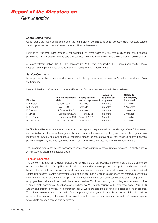# *Report of the Directors on*

*Remuneration*

### *Share Option Plans*

Option grants are made, at the discretion of the Remuneration Committee, to senior executives and managers across the Group, as well as other staff to recognise significant achievement.

Exercise of Executive Share Options is not permitted until three years after the date of grant and only if specific performance criteria, aligning the interests of executives and management with those of shareholders, have been met.

A Company Share Option Plan ("CSOP"), approved by HMRC, was introduced in 2006. Grants under this CSOP are subject to similar performance conditions as the existing Executive Option Plans.

#### *Service Contracts*

No employee or director has a service contract which incorporates more than one year's notice of termination from the Company.

Details of the directors' service contracts and/or terms of appointment are shown in the table below:

| <b>Director</b>      | Initial agreement<br>date | <b>Expiry date of</b><br>current agreement | Notice to<br>be given by<br>employer | Notice to<br>be given by<br>individual |
|----------------------|---------------------------|--------------------------------------------|--------------------------------------|----------------------------------------|
| <b>M R Ratcliffe</b> | 30 July 1998              | Indefinite                                 | 6 months                             | 6 months                               |
| D J Sherriff         | 4 May 1999                | Indefinite                                 | 6 months                             | 12 months                              |
| P B Wood             | 21 October 2006           | Indefinite                                 | 6 months                             | 12 months                              |
| P Davies             | 5 September 2000          | 14 April 2012                              | 3 months                             | 3 months                               |
| R T L Kanter         | 16 September 1998         | 14 April 2012                              | 3 months                             | 3 months                               |
| P M Bertram          | 3 October 2006            | 14 April 2012                              | 3 months                             | 3 months                               |

Mr Sherriff and Mr Wood are entitled to receive bonus payments, separate to both the Microgen Value Enhancement and Realisation and the Senior Management bonus scheme, in the event of any change of control of Microgen up to a maximum of £100,000 and such change of control will amend the notice provisions of their contracts so that the notice period to be given by the employer to either Mr Sherriff or Mr Wood is increased from six to twelve months.

The unexpired term of the service contracts or period of appointment of those directors who seek re-election at the Annual General Meeting are detailed above.

#### **Pension Schemes**

The directors, management and staff (excluding Mr Ratcliffe and the non-executive directors) are all eligible to participate on the same basis in the Group Personal Pension Scheme with directors permitted to opt for contributions on their behalf to be paid into self-invested personal pension schemes. The Group Personal Pension Scheme is a defined contribution scheme to which currently the Group contributes up to 7% of basic earnings and the employee contributes a minimum of 3%. With effect from 1 April 2011 the Group will match employee contributions on a 2 (employer) : 1 (employee) basis with employer contributions not exceeding 6% of basic earnings (excluding variable rewards). The Group currently contributes 7% of basic salary on behalf of Mr Sherriff (reducing to 6% with effect from 1 April 2011) and 6% on behalf of Mr Wood. The contributions for Mr Wood are paid into a self-invested personal pension scheme. The scheme also offers income protection for all employees, including the directors (but excluding Mr Ratcliffe and the non-executive directors), in the case of permanent ill-health as well as lump sum and dependants' pension payable where death occurs in service or in retirement.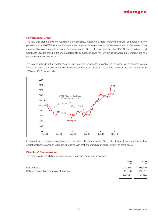### **Performance Graph**

The following graph shows the Company's performance, measured by total shareholder return, compared with the performance of the FTSE All Share Software and Computer Services Index for the five years ended 31 December 2010 measured by total shareholder return. The Remuneration Committee consider that the FTSE All Share Software and Computer Services Index is the most appropriate comparison given the similarities between the Company and the companies forming this index.

The total shareholder return performance for the Company includes the impact of the dividends paid to its shareholders across the period, however, it does not reflect either the £8.0m or £6.2m returned to shareholders via Tender Offer in 2008 and 2010 respectively.



In determining the senior management compensation, the Remuneration Committee takes into account the relative operational performance of Microgen compared with that of companies of similar size in the same sector.

#### **Directors' Remuneration**

The remuneration of all directors who served during the period was as follows:

|                                            | 2010    | 2009<br>£         |
|--------------------------------------------|---------|-------------------|
| <b>Emoluments</b>                          |         | 939,566 1,108,779 |
| Defined contribution pension contributions | 22.626  | 21.517            |
|                                            | 962.192 | 1,130,296         |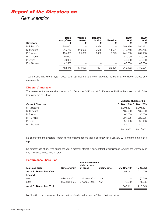# *Report of the Directors on*

*Remuneration*

| <b>Directors</b> | <b>Basic</b><br>salary/fees<br>£ | <b>Variable</b><br>reward<br>£ | <b>Benefits</b><br>in kind<br>£ | <b>Pension</b><br>£ | 2010<br>total<br>£ | 2009<br>total<br>£ |
|------------------|----------------------------------|--------------------------------|---------------------------------|---------------------|--------------------|--------------------|
| M R Ratcliffe    | 250,000                          |                                | 2,296                           |                     | 252,296            | 350,931            |
| D J Sherriff     | 215,750                          | 110,000                        | 5.965                           | 14,001              | 345,716            | 395,755            |
| P B Wood         | 164.625                          | 65,000                         | 3.430                           | 8,625               | 241,680            | 261,110            |
| R T L Kanter     | 40,000                           |                                |                                 |                     | 40,000             | 40,000             |
| P Davies         | 40,000                           |                                |                                 |                     | 40,000             | 40,000             |
| P M Bertram      | 42,500                           |                                |                                 |                     | 42,500             | 42,500             |
|                  | 752.875                          | 175,000                        | 11,691                          | 22,626              | 962,192            | 1.130.296          |

Total benefits in kind of £11,691 (2009: £9,812) include private health care and fuel benefits. No director waived any emoluments.

### **Directors' Interests**

The interest of the current directors as at 31 December 2010 and at 31 December 2009 in the share capital of the Company are as follows:

|                          |                         | Ordinary shares of 5p |
|--------------------------|-------------------------|-----------------------|
| <b>Current Directors</b> | 31 Dec 2010 31 Dec 2009 |                       |
| M R Ratcliffe            | 5,294,524               | 5,294,524             |
| D J Sherriff             | 189,000                 | 189,000               |
| P B Wood                 | 60,000                  | 30,000                |
| R T L Kanter             | 291,205                 | 222,205               |
| P Davies                 | 96,160                  | 96,160                |
| P M Bertram              | 46.022                  | 46,022                |
|                          | 5.976.911               | 5.877.911             |

No changes to the directors' shareholdings or share options took place between 1 January 2011 and the date of this report.

No director had at any time during the year a material interest in any contract of significance to which the Company or any of its subsidiaries was a party.

### **Performance Share Plan**

| <b>Exercise price</b>  | Date of grant | <b>Earliest exercise</b><br>date or date<br>of lapse | <b>Expiry date</b> | D J Sherriff | P B Wood |
|------------------------|---------------|------------------------------------------------------|--------------------|--------------|----------|
| As at 31 December 2009 |               |                                                      |                    | 554.771      | 225,000  |
| Lapsed                 |               |                                                      |                    |              |          |
| 5.0 <sub>p</sub>       | 5 March 2007  | 22 March 2010                                        | N/A                |              | (6,660)  |
| 5.0 <sub>p</sub>       | 6 August 2007 | 6 August 2010                                        | N/A                | (6,660)      | (4,995)  |
| As at 31 December 2010 |               |                                                      |                    | 548.111      | 213,345  |

Mr Sherriff is also a recipient of share options detailed in the section 'Share Options' below.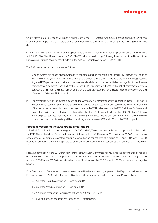On 22 March 2010 93,340 of Mr Wood's options under the PSP vested, with 6,660 options lapsing, following the approval of the Report of the Directors on Remuneration by shareholders at the Annual General Meeting held on that date.

On 6 August 2010 93,340 of Mr Sherriff's options and a further 70,005 of Mr Wood's options under the PSP vested, with 6,660 of Mr Sherriff's options and 4,995 of Mr Wood's options lapsing, following the approval of the Report of the Directors on Remuneration by shareholders at the Annual General Meeting on 22 March 2010.

The PSP performance conditions are as follows:

- 1. 50% of awards are based on the Company's adjusted earnings per share ("Adjusted EPS") growth over each of the three financial years which together comprise the performance period. To achieve the maximum 50% vesting, Adjusted EPS performance must reach the maximum level shown in the relevant table on page 24. If the minimum performance is achieved, then half of the Adjusted EPS proportion will vest. If the actual performance level is between the minimum and maximum criteria, then the quantity vesting will be on a sliding scale between 50% and 100% of the Adjusted EPS proportion.
- 2. The remaining 50% of the award is based on the Company's relative total shareholder return index ("TSR Index") measured against the FTSE All Share Software and Computer Services Index over each of the three financial years of the performance period. Minimum vesting will require the TSR Index to match the FTSE All Share Software and Computer Services Index. Maximum vesting will apply if the TSR Index outperforms the FTSE All Share Software and Computer Services Index by 10%. If the actual performance level is between the minimum and maximum criteria, then the quantity vesting will be on a sliding scale between 50% and 100% of the TSR proportion.

#### **Proposed vesting of the 2008 grants under the PSP**

In 2008 Mr Sherriff and Mr Wood were granted 56,780 and 50,000 options respectively at an option price of 5p under the PSP. The earliest date of exercise in respect of these options is 2 December 2011. A further 25,000 options, at an option price of 5p, granted to another senior executive has an earliest date of exercise of 19 April 2011 with 245,000 options, at an option price of 5p, granted to other senior executives with an earliest date of exercise of 2 December 2011.

Following completion of the 2010 financial year the Remuneration Committee has reviewed the performance conditions of these options and is able to propose that 91.67% of each individual's options vest. 91.67% is the average of the Adjusted EPS Element (83.33% as detailed on page 24 below) and the TSR Element (100.0% as detailed on page 24 below).

If the Remuneration Committee proposals are supported by shareholders, by approval of the Report of the Directors on Remuneration at the AGM, a total of 345,393 options will vest under the Performance Share Plan as follows:

- 52,050 of Mr Sherriff's options on 2 December 2011;
- 45,835 of Mr Wood's options on 2 December 2011;
- 22,917 of one other senior executive's options on 19 April 2011; and
- 224,591 of other senior executives' options on 2 December 2011.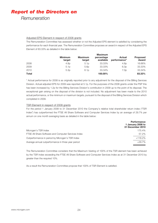# *Report of the Directors on*

### *Remuneration*

### Adjusted EPS Element in respect of 2008 grants

The Remuneration Committee has assessed whether or not the Adjusted EPS element is satisfied by considering the performance for each financial year. The Remuneration Committee proposes an award in respect of the Adjusted EPS Element of 83.33% as detailed in the table below:

|              | <b>Minimum</b><br>target | <b>Maximum</b><br>target | <b>Maximum</b><br>percentage<br>available | <b>Actual</b><br>performance* | <b>Proposed</b><br>Award |
|--------------|--------------------------|--------------------------|-------------------------------------------|-------------------------------|--------------------------|
| 2008         | 4.8 <sub>p</sub>         | 5.1 <sub>p</sub>         | 33.33%                                    | 4.8 <sub>D</sub>              | 16.66%                   |
| 2009         | 5.1 <sub>D</sub>         | 5.6 <sub>p</sub>         | 33.33%                                    | 6.3p                          | 33.33%                   |
| 2010         | 5.3p                     | 6.1p                     | 33.34%                                    | 7.0 <sub>D</sub>              | 33.34%                   |
| <b>Total</b> |                          |                          | 100.00%                                   |                               | 83.33%                   |

\* Actual performance for 2008 is as originally reported prior to any adjustment for the disposal of the Billing Services Division. Actual adjusted EPS for 2009 was reported at 5.1p. For the purposes of the 2008 grants under the PSP this has been increased by 1.2p for the Billing Services Division's contribution in 2009 up to the point of its disposal. The exceptional gain arising on the disposal of the division is not included. No adjustment has been made to the 2010 actual performance, or the minimum or maximum targets, pursuant to the disposal of the Billing Services Division which completed in 2009.

### TSR Element in respect of 2008 grants

For the period 1 January 2008 to 31 December 2010 the Company's relative total shareholder return index ("TSR Index") has outperformed the FTSE All Share Software and Computer Services Index by an average of 29.7% per annum on one month averaging basis as detailed in the table below:

|                                                     | <b>Performance</b><br>1 January 2008 to<br>31 December 2010 |
|-----------------------------------------------------|-------------------------------------------------------------|
| Microgen's TSR Index                                | 175.4%                                                      |
| FTSE All Share Software and Computer Services Index | 57.2%                                                       |
| Outperformance in period by Microgen's TSR Index    | $+118.2%$                                                   |
| Average annual outperformance in three year period  | $+29.7%$                                                    |

The Remuneration Committee considers that the Maximum Vesting of 100% of the TSR element has been achieved by the TSR Index exceeding the FTSE All Share Software and Computer Services Index as at 31 December 2010 by greater than the required 10%.

As a result the Remuneration Committee propose that 100% of TSR Element is satisfied.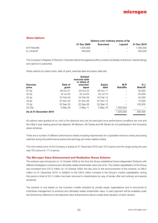

#### **Share Options**

|               | <b>ODUCITS OVER ORIGINALLY SHARES OF JD</b> |                          |        |             |  |  |
|---------------|---------------------------------------------|--------------------------|--------|-------------|--|--|
|               | 31 Dec 2009                                 | Exercised                | Lapsed | 31 Dec 2010 |  |  |
| M R Ratcliffe | 1.000.000                                   | $\overline{\phantom{a}}$ | $\sim$ | 1.000.000   |  |  |
| D J Sherriff  | 300,000                                     |                          |        | 300,000     |  |  |

**Options over ordinary shares of 5p**

The Company's Register of Directors' Interests held at the registered office contains full details of directors' shareholdings and options to subscribe.

Share options by option price, date of grant, exercise date and expiry date are:

| <b>Exercise</b><br>price | Date of<br>grant | <b>Earliest</b><br>exercise date<br>or dates of<br>exercise/<br>lapse | <b>Expiry</b><br>date | <b>MR</b><br><b>Ratcliffe</b> | D J<br><b>Sherriff</b> |
|--------------------------|------------------|-----------------------------------------------------------------------|-----------------------|-------------------------------|------------------------|
| 87.5p                    | 26 Oct 01        | 28 Oct 04                                                             | 26 Oct 11             |                               | 50,000                 |
| 42.5p                    | 22 Jul 02        | 22 Jul 05                                                             | 22 Jul 12             |                               | 25,000                 |
| 24.5p                    | 24 Feb 03        | 24 Feb 06                                                             | 24 Feb 13             |                               | 50,000                 |
| 42.5p                    | 07 Nov 03        | 07 Nov 06                                                             | 07 Nov 13             |                               | 75,000                 |
| 70.5p                    | 22 Sep 05        | 22 Sep 08                                                             | 22 Sep 15             |                               | 100,000                |
| 52.33p                   | 2 May 08         | 2 May 11                                                              | 2 May 18              | 1,000,000                     |                        |
| As at 31 December 2010   |                  |                                                                       |                       | 1,000,000                     | 300,000                |

All options were granted at no cost to the directors and can be exercised once performance conditions are met and the initial 3 year vesting period has elapsed. Mr Bertram, Mr Davies and Mr Kanter do not participate in the Company share schemes.

There are a number of different performance criteria including requirements for a specified minimum share price being reached during the performance period and earnings per share related criteria.

The mid-market price of the Company's shares at 31 December 2010 was 107.0 pence and the range during the year was 78.0 pence to 111.0 pence.

### **The Microgen Value Enhancement and Realisation Bonus Scheme**

The scheme was introduced on 14 October 2008 at the time the Group established three independent Divisions with different strategies to enhance and ultimately realise shareholder value over time. The market capitalisation of the Group has increased from £37.0 million on 13 October 2008, the day prior to the announcement of the scheme, to £86.5 million on 31 December 2010. In addition to the £49.5 million increase in the Group's market capitalisation during this period a total of £21.5 million has been returned to shareholders by way of tender offer and ordinary and special dividends.

The scheme is one based on the incentive models adopted by private equity organisations and is structured to incentivise management to enhance and ultimately realise shareholder value. A cash payment will be available under the Scheme by reference to the absolute value enhancement above a base level valuation of each division.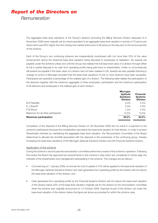## *Report of the Directors on Remuneration*

The aggregate base level valuations of the Group's divisions (including the Billing Services Division disposed of in November 2009) were originally set at a level equivalent to an aggregate base level valuation in excess of 70 pence per share which was 95% higher than the closing mid-market share price of 36 pence on the day prior to the announcement of the scheme.

Each of the Group's two continuing divisions are independently incentivised with not more than 25% of the value enhancement above the divisional base level valuation being allocated to employees at realisation. No awards are payable under the Scheme unless and until the Group has realised the full base level value of a division through either its full or partial disposal or by cash from operating profits being paid back to shareholders. Under no circumstances will awards be payable if the base value of a division has not been realised in full. Awards are also payable following a change of control of Microgen provided that the base level valuations of one or more divisions have been exceeded. Participants are awarded a percentage of the realised gain of a division. The following table details the participation of the directors together with the maximum aggregate of other employees' participation and the maximum participation of all directors and employees in the realised gain of each division:-

|                                    | <b>Microgen</b><br>Aptitude<br><b>Solutions</b><br><b>Division</b> | <b>Financial</b><br><b>Systems</b><br><b>Division</b> |
|------------------------------------|--------------------------------------------------------------------|-------------------------------------------------------|
| M R Ratcliffe                      | 5.0%                                                               | 5.0%                                                  |
| D J Sherriff                       | 5.0%                                                               | 5.0%                                                  |
| P B Wood                           | 1.5%                                                               | 2.0%                                                  |
| Maximum for all other participants | 13.5%                                                              | 13.0%                                                 |
| <b>Maximum participation</b>       | 25.0%                                                              | 25.0%                                                 |

Completion of the disposal of the Billing Services Division on 30 November 2009 did not result in a payment to the scheme's participants because the consideration was below the base level valuation for that division. In order to protect Shareholder interests by maintaining the aggregate base level valuation, the Remuneration Committee of the Board determined to allocate the shortfall associated with the disposal to the businesses of the continuing group, thereby increasing the base level valuations of the Microgen Aptitude Solutions Division and the Financial Systems Division.

#### Application of the scheme

During the scheme's second year the remuneration committee performed a review of the scheme's operation. Following this review the Board has approved two amendments to the scheme's rules which are considered to further align the interests of the shareholders and management participating in the scheme. The changes are as follows:-

- Commencing on 1 January 2009, an annual net cost of capital of 15% will be applied to the base level valuation of the Microgen Aptitude Solutions Division and cash generated from operating profits by the division will not reduce the base level valuation of the division; and
- Cash generated from operating profits by the Financial Systems Division will not reduce the base level valuation of the division below 50% of the base level valuation originally set for the division by the remuneration committee when the scheme was originally announced on 14 October 2008. Disposal of part of the division can lower the base level valuation of the division below the figure set above as provided for within the scheme rules.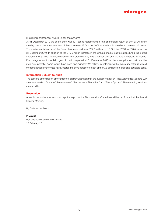#### Illustration of potential award under the scheme

At 31 December 2010 the share price was 107 pence representing a total shareholder return of over 210% since the day prior to the announcement of the scheme on 13 October 2008 at which point the share price was 36 pence. The market capitalisation of the Group has increased from £37.0 million on 13 October 2008 to £86.5 million on 31 December 2010. In addition to the £49.5 million increase in the Group's market capitalisation during this period a total of £21.5 million has been returned to shareholders by way of tender offer and ordinary and special dividends. If a change of control of Microgen plc had completed at 31 December 2010 at the share price on that date the maximum potential award would have been approximately £7 million. In determining the maximum potential award the remuneration committee has allocated the consideration to each of the two divisions on a fair and equitable basis.

#### **Information Subject to Audit**

The sections of the Report of the Directors on Remuneration that are subject to audit by PricewaterhouseCoopers LLP are those headed "Directors' Remuneration", "Performance Share Plan" and "Share Options". The remaining sections are unaudited.

#### **Resolution**

A resolution to shareholders to accept the report of the Remuneration Committee will be put forward at the Annual General Meeting.

By Order of the Board

#### **P Davies**

Remuneration Committee Chairman 23 February 2011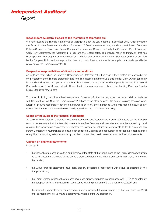# *Independent Auditors'*

*Report*

#### **Independent Auditors' Report to the members of Microgen plc**

We have audited the financial statements of Microgen plc for the year ended 31 December 2010 which comprise the Group Income Statement, the Group Statement of Comprehensive Income, the Group and Parent Company Balance Sheets, the Group and Parent Company Statements of Changes in Equity, the Group and Parent Company Cash Flow Statements, the Accounting Policies and the related notes. The financial reporting framework that has been applied in their preparation is applicable law and International Financial Reporting Standards (IFRSs) as adopted by the European Union and, as regards the parent company financial statements, as applied in accordance with the provisions of the Companies Act 2006.

#### **Respective responsibilities of directors and auditors**

As explained more fully in the Directors' Responsibilities Statement set out on page 6, the directors are responsible for the preparation of the financial statements and for being satisfied that they give a true and fair view. Our responsibility is to audit and express an opinion on the financial statements in accordance with applicable law and International Standards on Auditing (UK and Ireland). Those standards require us to comply with the Auditing Practices Board's Ethical Standards for Auditors.

This report, including the opinions, has been prepared for and only for the company's members as a body in accordance with Chapter 3 of Part 16 of the Companies Act 2006 and for no other purpose. We do not, in giving these opinions, accept or assume responsibility for any other purpose or to any other person to whom this report is shown or into whose hands it may come save where expressly agreed by our prior consent in writing.

#### **Scope of the audit of the financial statements**

An audit involves obtaining evidence about the amounts and disclosures in the financial statements sufficient to give reasonable assurance that the financial statements are free from material misstatement, whether caused by fraud or error. This includes an assessment of: whether the accounting policies are appropriate to the Group's and the Parent Company's circumstances and have been consistently applied and adequately disclosed; the reasonableness of significant accounting estimates made by the directors; and the overall presentation of the financial statements.

#### **Opinion on financial statements**

In our opinion:

- the financial statements give a true and fair view of the state of the Group's and of the Parent Company's affairs as at 31 December 2010 and of the Group's profit and Group's and Parent Company's cash flows for the year then ended;
- the Group financial statements have been properly prepared in accordance with IFRSs as adopted by the European Union;
- the Parent Company financial statements have been properly prepared in accordance with IFRSs as adopted by the European Union and as applied in accordance with the provisions of the Companies Act 2006; and
- the financial statements have been prepared in accordance with the requirements of the Companies Act 2006 and, as regards the group financial statements, Article 4 of the lAS Regulation.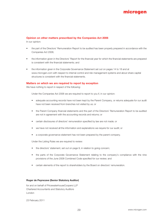#### **Opinion on other matters prescribed by the Companies Act 2006**

In our opinion:

- the part of the Directors' Remuneration Report to be audited has been properly prepared in accordance with the Companies Act 2006;
- the information given in the Directors' Report for the financial year for which the financial statements are prepared is consistent with the financial statements; and
- the information given in the Corporate Governance Statement set out on pages 14 to 18 and at www.microgen.com with respect to internal control and risk management systems and about share capital structures is consistent with the financial statements.

#### **Matters on which we are required to report by exception**

We have nothing to report in respect of the following:

Under the Companies Act 2006 we are required to report to you if, in our opinion:

- adequate accounting records have not been kept by the Parent Company, or returns adequate for our audit have not been received from branches not visited by us; or
- the Parent Company financial statements and the part of the Directors' Remuneration Report to be audited are not in agreement with the accounting records and returns; or
- certain disclosures of directors' remuneration specified by law are not made; or
- we have not received all the information and explanations we require for our audit; or
- a corporate governance statement has not been prepared by the parent company.

Under the Listing Rules we are required to review:

- the directors' statement, set out on page 9, in relation to going concern;
- the parts of the Corporate Governance Statement relating to the company's compliance with the nine provisions of the June 2008 Combined Code specified for our review; and
- certain elements of the report to shareholders by the Board on directors' remuneration.

#### **Roger de Peyrecave (Senior Statutory Auditor)**

for and on behalf of PricewaterhouseCoopers LLP Chartered Accountants and Statutory Auditors London

23 February 2011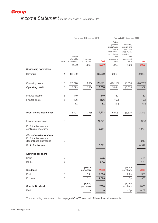|                                                                                       |                | Year ended 31 December 2010          |                            |              |                                                                                                                  | Year ended 31 December 2009                                                                            |              |  |
|---------------------------------------------------------------------------------------|----------------|--------------------------------------|----------------------------|--------------|------------------------------------------------------------------------------------------------------------------|--------------------------------------------------------------------------------------------------------|--------------|--|
|                                                                                       | Note           | Before<br>intangible<br>amortisation | Intangible<br>amortisation | <b>Total</b> | Before<br>goodwill,<br>property and<br>intangible<br>impairment /<br>amortisation<br>and<br>exceptional<br>items | Goodwill,<br>property and<br>intangible<br>impairment /<br>amortisation<br>and<br>exceptional<br>items | <b>Total</b> |  |
|                                                                                       |                | £000                                 | £000                       | £000         | £000                                                                                                             | £000                                                                                                   | £000         |  |
| <b>Continuing operations</b>                                                          |                |                                      |                            |              |                                                                                                                  |                                                                                                        |              |  |
| Revenue                                                                               | 1              | 33,669                               |                            | 33,669       | 29,060                                                                                                           |                                                                                                        | 29,060       |  |
| Operating costs                                                                       | 1, 3           | (25, 576)                            | (255)                      | (25, 831)    | (23, 116)                                                                                                        | (3,635)                                                                                                | (26, 751)    |  |
| Operating profit                                                                      | 3              | 8,093                                | (255)                      | 7,838        | 5,944                                                                                                            | (3,635)                                                                                                | 2,309        |  |
|                                                                                       |                |                                      |                            |              |                                                                                                                  |                                                                                                        |              |  |
| Finance income                                                                        | 5              | 140                                  |                            | 140          | 162                                                                                                              |                                                                                                        | 162          |  |
| Finance costs                                                                         | 5              | (126)                                |                            | (126)        | (198)                                                                                                            |                                                                                                        | (198)        |  |
|                                                                                       |                | 14                                   |                            | 14           | (36)                                                                                                             |                                                                                                        | (36)         |  |
|                                                                                       |                |                                      |                            |              |                                                                                                                  |                                                                                                        |              |  |
| Profit before income tax                                                              |                | 8,107                                | (255)                      | 7,852        | 5,908                                                                                                            | (3,635)                                                                                                | 2,273        |  |
| Income tax expense                                                                    | 6              |                                      |                            | (1, 341)     |                                                                                                                  |                                                                                                        | (974)        |  |
| Profit for the year from<br>continuing operations                                     |                |                                      |                            | 6,511        |                                                                                                                  |                                                                                                        | 1,299        |  |
| <b>Discontinued operations</b><br>Profit for the year from<br>discontinued operations | $\sqrt{2}$     |                                      |                            |              |                                                                                                                  |                                                                                                        | 7,243        |  |
| Profit for the year                                                                   |                |                                      |                            | 6,511        |                                                                                                                  |                                                                                                        | 8,542        |  |
|                                                                                       |                |                                      |                            |              |                                                                                                                  |                                                                                                        |              |  |
| Earnings per share                                                                    |                |                                      |                            |              |                                                                                                                  |                                                                                                        |              |  |
| Basic                                                                                 | $\overline{7}$ |                                      |                            | 7.7p         |                                                                                                                  |                                                                                                        | 9.8p         |  |
| Diluted                                                                               | $\overline{7}$ |                                      |                            | 7.5p         |                                                                                                                  |                                                                                                        | 9.6p         |  |
| <b>Dividends</b>                                                                      |                |                                      | pence<br>per share         | £000         |                                                                                                                  | pence<br>per share                                                                                     | £000         |  |
| Paid                                                                                  | 8              |                                      | 2.4p                       | 2,084        |                                                                                                                  | 2.2p                                                                                                   | 1,900        |  |
| Proposed                                                                              | 8              |                                      | 2.1p                       | 1,698        |                                                                                                                  | 1.5p                                                                                                   | 1,303        |  |
| <b>Special Dividend</b>                                                               |                |                                      | pence<br>per share         | £000         |                                                                                                                  | pence<br>per share                                                                                     | £000         |  |
| Paid                                                                                  |                |                                      |                            |              |                                                                                                                  | 4.0p                                                                                                   | 3,472        |  |

The accounting policies and notes on pages 36 to 78 form part of these financial statements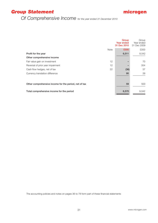# *Group Statement*

microgen

*Of Comprehensive Income for the year ended 31 December 2010*

|                                                       | Group<br><b>Year ended</b><br>31 Dec 2010 | Group<br>Year ended<br>31 Dec 2009 |
|-------------------------------------------------------|-------------------------------------------|------------------------------------|
| <b>Note</b>                                           | £000                                      | £000                               |
| Profit for the year                                   | 6,511                                     | 8,542                              |
| Other comprehensive income                            |                                           |                                    |
| $12 \overline{ }$<br>Fair value gain on investment    |                                           | 70                                 |
| 12<br>Reversal of prior year impairment               |                                           | 354                                |
| 22<br>Cash flow hedges, net of tax                    | (36)                                      | 37                                 |
| Currency translation difference                       | 95                                        | 39                                 |
|                                                       |                                           |                                    |
| Other comprehensive income for the period, net of tax | 59                                        | 500                                |
| Total comprehensive income for the period             | 6,570                                     | 9,042                              |

The accounting policies and notes on pages 36 to 78 form part of these financial statements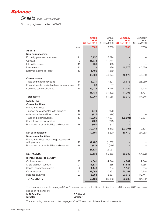

# *Sheets at 31 December 2010*

Company registered number: 1602662

|                                                               |             | Group<br>as at<br>31 Dec 2010 | Group<br>as at<br>31 Dec 2009 | Company<br>as at<br>31 Dec 2010 | Company<br>as at<br>31 Dec 2009 |
|---------------------------------------------------------------|-------------|-------------------------------|-------------------------------|---------------------------------|---------------------------------|
|                                                               | <b>Note</b> | £000                          | £000                          | £000                            | £000                            |
| <b>ASSETS</b>                                                 |             |                               |                               |                                 |                                 |
| Non-current assets                                            |             |                               |                               |                                 |                                 |
| Property, plant and equipment                                 | 11          | 5,157                         | 5,224                         |                                 |                                 |
| Goodwill                                                      | 9           | 41,774                        | 41,774                        |                                 |                                 |
| Intangible assets                                             | 10          | 235                           | 490                           |                                 |                                 |
| Investments                                                   | 12          |                               | 336                           | 40,576                          | 40,539                          |
| Deferred income tax asset                                     | 13          | 1,402                         | 1,350                         |                                 |                                 |
|                                                               |             | 48,568                        | 49,174                        | 40,576                          | 40,539                          |
| <b>Current assets</b>                                         |             |                               |                               |                                 |                                 |
| Trade and other receivables                                   | 14          | 5,971                         | 7,627                         | 20,678                          | 26,989                          |
| Financial assets - derivative financial instruments           | 19          | 56                            | 87                            |                                 |                                 |
| Cash and cash equivalents                                     | 15          | 25,412                        | 24,178                        | 21,025                          | 19,718                          |
|                                                               |             | 31,439                        | 31,892                        | 41,703                          | 46,707                          |
| <b>Total assets</b>                                           |             | 80,007                        | 81,066                        | 82,279                          | 87,246                          |
| <b>LIABILITIES</b>                                            |             |                               |                               |                                 |                                 |
| <b>Current liabilities</b>                                    |             |                               |                               |                                 |                                 |
| <b>Financial liabilities</b>                                  |             |                               |                               |                                 |                                 |
| - borrowings associated with property                         | 16          | (370)                         | (370)                         |                                 |                                 |
| - derivative financial instruments                            | 19          | (115)                         | (74)                          |                                 |                                 |
| Trade and other payables                                      | 17          | (18, 205)                     | (17, 537)                     | (22, 291)                       | (19, 624)                       |
| Current income tax liabilities                                |             | (408)                         | (648)                         |                                 |                                 |
| Provisions for other liabilities and charges                  | 18          | (150)                         | (43)                          |                                 |                                 |
|                                                               |             | (19, 248)                     | (18, 672)                     | (22, 291)                       | (19, 624)                       |
| Net current assets                                            |             | 12,191                        | 13,220                        | 19,412                          | 27,083                          |
| Non-current liabilities                                       |             |                               |                               |                                 |                                 |
| Financial liabilities - borrowings associated                 |             |                               |                               |                                 |                                 |
| with property<br>Provisions for other liabilities and charges | 16<br>18    | (1, 482)                      | (1,852)                       |                                 |                                 |
|                                                               |             | (139)                         | (179)                         |                                 |                                 |
|                                                               |             | (1,621)                       | (2,031)                       |                                 |                                 |
| <b>NET ASSETS</b>                                             |             | 59,138                        | 60,363                        | 59,988                          | 67,622                          |
| <b>SHAREHOLDERS' EQUITY</b>                                   |             |                               |                               |                                 |                                 |
| Ordinary shares                                               | 20          | 4,041                         | 4,344                         | 4,041                           | 4,344                           |
| Share premium account                                         | 21          | 11,531                        | 11,285                        | 11,531                          | 11,285                          |
| Capital redemption reserve                                    | 22          | 1,146                         | 804                           | 1,146                           | 804                             |
| Other reserves                                                | 22          | 37,066                        | 37,293                        | 20,257                          | 20,448                          |
| Retained earnings                                             | 23          | 5,354                         | 6,637                         | 23,013                          | 30,741                          |
| <b>TOTAL EQUITY</b>                                           |             | 59,138                        | 60,363                        | 59,988                          | 67,622                          |

The financial statements on pages 30 to 78 were approved by the Board of Directors on 23 February 2011 and were signed on its behalf by:

| <b>M R Ratcliffe</b> | P B Wood |
|----------------------|----------|
| Director             | Director |

The accounting policies and notes on pages 36 to 78 form part of these financial statements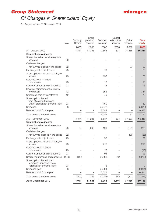# *Group Statement*

# *Of Changes in Shareholders' Equity*

*for the year ended 31 December 2010*

|                                                                                    |      | Ordinary | Share<br>premium | Retained     | Capital<br>redemption | Other                    | Total        |
|------------------------------------------------------------------------------------|------|----------|------------------|--------------|-----------------------|--------------------------|--------------|
|                                                                                    | Note | Shares   | account          | earnings     | reserve               | reserves                 | equity       |
|                                                                                    |      | £000     | £000             | £000         | £000                  | £000                     | £000         |
| At 1 January 2009                                                                  |      | 4,341    | 11,285           | 2,555        | 804                   | 37,256                   | 56,241       |
| Comprehensive income                                                               |      |          |                  |              |                       |                          |              |
| Shares issued under share option<br>schemes                                        | 20   | 3        |                  |              |                       |                          | 3            |
| Cash flow hedges                                                                   |      |          |                  |              |                       |                          |              |
| - net fair value gains in the period                                               | 22   |          |                  |              |                       | 37                       | 37           |
| Exchange rate adjustments                                                          | 23   |          |                  | 79           |                       |                          | 79           |
| Share options - value of employee<br>service                                       | 23   |          |                  | 158          |                       |                          | 158          |
| Deferred tax on financial<br>instruments                                           | 23   |          |                  | 18           |                       | $\overline{\phantom{0}}$ | 18           |
| Corporation tax on share options                                                   | 23   |          |                  | 73           |                       |                          | 73           |
| Reversal of impairment of Scisys<br>revaluation                                    | 12   |          |                  | 354          |                       |                          | 354          |
| Unrealised gain on investments                                                     | 12   |          |                  | 70           |                       |                          | 70           |
| Share options issued<br>from Microgen Employee<br>ShareParticipation Scheme Trust  | 23   |          |                  | 160          |                       |                          | 160          |
| Dividends                                                                          | 8    |          |                  | (5, 372)     |                       |                          | (5, 372)     |
| Retained profit for the year                                                       |      |          |                  | 8,542        |                       |                          | 8,542        |
| Total comprehensive income                                                         |      | 3        |                  | 4,082        |                       | 37                       | 4,122        |
| At 31 December 2009                                                                |      | 4,344    | 11,285           | 6,637        | 804                   | 37,293                   | 60,363       |
| Comprehensive income                                                               |      |          |                  |              |                       |                          |              |
| Shares issued under share option<br>schemes                                        | 20   | 39       | 246              | 191          |                       | (191)                    | 285          |
| Cash flow hedges                                                                   |      |          |                  |              |                       |                          |              |
| - net fair value losses in the period                                              | 22   |          |                  |              |                       | (36)                     | (36)         |
| Exchange rate adjustments                                                          | 23   |          |                  | 95           |                       |                          | 95           |
| Share options - value of employee<br>service                                       | 23   |          |                  | 215          |                       |                          | 215          |
| Deferred tax on financial<br>instruments                                           | 23   |          |                  | (18)         |                       |                          | (18)         |
| Corporation tax on share options                                                   | 23   |          |                  | 93           |                       |                          | 93           |
| Shares repurchased and cancelled 20, 23                                            |      | (342)    |                  | (6, 288)     | 342                   |                          | (6, 288)     |
| Share options issued from<br>Microgen Employee Share<br>Participation Scheme Trust | 23   |          |                  | $\mathbf{2}$ |                       |                          | $\mathbf{2}$ |
| Dividends paid                                                                     | 8    |          |                  | (2,084)      |                       |                          | (2,084)      |
| Retained profit for the year                                                       |      |          |                  | 6,511        |                       |                          | 6,511        |
| Total comprehensive income                                                         |      | (303)    | 246              | (1,283)      | 342                   | (227)                    | (1,225)      |
| At 31 December 2010                                                                |      | 4,041    | 11,531           | 5,354        | 1,146                 | 37,066                   | 59,138       |

microgen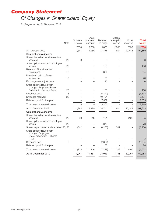# *Company Statement*

# *Of Changes in Shareholders' Equity*

*for the year ended 31 December 2010*

|                                                                                      | Note    | Ordinary<br><b>Shares</b> | Share<br>premium<br>account | Retained<br>earnings | Capital<br>redemption<br>reserve | Other<br>reserves | Total<br>equity    |
|--------------------------------------------------------------------------------------|---------|---------------------------|-----------------------------|----------------------|----------------------------------|-------------------|--------------------|
|                                                                                      |         | £000                      | £000                        | £000                 | £000                             | £000              | £000               |
| At 1 January 2009                                                                    |         | 4,341                     | 11,285                      | 17,478               | 804                              | 20,448            | 54,356             |
| Comprehensive income                                                                 |         |                           |                             |                      |                                  |                   |                    |
| Shares issued under share option<br>schemes                                          | 20      | 3                         |                             |                      |                                  |                   | 3                  |
| Share options - value of employee<br>service                                         | 23      |                           |                             | 158                  |                                  |                   | 158                |
| Reversal of impairment of<br>investment                                              | 12      |                           |                             | 354                  |                                  |                   | 354                |
| Unrealised gain on Scisys<br>revaluation                                             | 12      |                           |                             | 70                   |                                  |                   | 70                 |
| Exchange rate adjustments                                                            |         |                           |                             | 40                   |                                  |                   | 40                 |
| Share options issued from<br>Microgen Employee Share                                 |         |                           |                             |                      |                                  |                   |                    |
| Participation Scheme Trust<br>Dividends paid                                         | 23<br>8 |                           |                             | 160<br>(5, 372)      |                                  |                   | 160                |
| Dividends received                                                                   | 23      |                           |                             | 10,494               |                                  |                   | (5, 372)<br>10,494 |
| Retained profit for the year                                                         |         |                           |                             | 7,359                |                                  |                   | 7,359              |
| Total comprehensive income                                                           |         | 3                         | $\overline{\phantom{0}}$    | 13,263               |                                  |                   | 13,266             |
|                                                                                      |         |                           |                             |                      |                                  |                   |                    |
| At 31 December 2009                                                                  |         | 4,344                     | 11,285                      | 30,741               | 804                              | 20,448            | 67,622             |
| Comprehensive income                                                                 |         |                           |                             |                      |                                  |                   |                    |
| Shares issued under share option<br>schemes                                          | 20      | 39                        | 246                         | 191                  |                                  | (191)             | 285                |
| Share options - value of employee<br>service                                         | 23      |                           |                             | 373                  |                                  |                   | 373                |
| Shares repurchased and cancelled 20, 23                                              |         | (342)                     |                             | (6, 288)             | 342                              |                   | (6, 288)           |
| Share options issued from<br>Microgen Employee<br>ShareParticipation Scheme<br>Trust |         |                           |                             | $\overline{2}$       |                                  |                   | $\overline{2}$     |
| Dividends paid                                                                       | 8       |                           |                             | (2,084)              |                                  |                   | (2,084)            |
| Retained profit for the year                                                         |         |                           |                             | 78                   |                                  |                   | 78                 |
| Total comprehensive income                                                           |         | (303)                     | 246                         | (7, 728)             | 342                              | (191)             | (7,634)            |
| At 31 December 2010                                                                  |         | 4,041                     | 11,531                      | 23,013               | 1,146                            | 20,257            | 59,988             |
|                                                                                      |         |                           |                             |                      |                                  |                   |                    |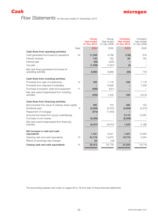# *Cash*

# *Flow Statements for the year ended 31 December 2010*

|                                                                 |             | Group<br><b>Year ended</b><br>31 Dec 2010 | Group<br>Year ended<br>31 Dec 2009 | Company<br><b>Year ended</b><br>31 Dec 2010 | Company<br>Year ended<br>31 Dec 2009 |
|-----------------------------------------------------------------|-------------|-------------------------------------------|------------------------------------|---------------------------------------------|--------------------------------------|
|                                                                 | <b>Note</b> | £000                                      | £000                               | £000                                        | £000                                 |
| Cash flows from operating activities                            |             |                                           |                                    |                                             |                                      |
| Cash generated from/(used in) operations                        | 24          | 11,348                                    | 9,788                              | (136)                                       | 616                                  |
| Interest received                                               |             | 140                                       | 162                                | 82                                          | 162                                  |
| Interest paid                                                   |             | (94)                                      | (205)                              |                                             |                                      |
| Tax paid                                                        |             | (1,506)                                   | (1,057)                            | (4)                                         |                                      |
| Net cash flows generated from/(used in)<br>operating activities |             | 9,888                                     | 8,688                              | (58)                                        | 778                                  |
| Cash flows from investing activities                            |             |                                           |                                    |                                             |                                      |
| Proceeds from sale of investments                               | 12          | 336                                       | 1,118                              | 336                                         | 1,118                                |
| Proceeds from disposal of subsidiary                            |             |                                           | 6,928                              |                                             | 7,400                                |
| Purchase of property, plant and equipment                       | 11          | (586)                                     | (541)                              |                                             |                                      |
| Net cash (used in)/generated from investing                     |             |                                           |                                    |                                             |                                      |
| activities                                                      |             | (250)                                     | 7,505                              | 336                                         | 8,518                                |
| Cash flows from financing activities                            |             |                                           |                                    |                                             |                                      |
| Net proceeds from issue of ordinary share capital               |             | 285                                       | 153                                | 285                                         | 153                                  |
| Dividends paid                                                  | 8           | (2,084)                                   | (5, 372)                           | (2,084)                                     | (5, 372)                             |
| Repayment of mortgage                                           |             | (370)                                     | (1,453)                            |                                             |                                      |
| Amounts borrowed from group undertakings                        |             |                                           |                                    | 9,116                                       | 10,387                               |
| Purchase of own shares                                          |             | (6, 288)                                  |                                    | (6, 288)                                    |                                      |
| Net cash (used in)/generated from financing                     |             |                                           |                                    |                                             |                                      |
| activities                                                      |             | (8, 457)                                  | (6,672)                            | 1,029                                       | 5,168                                |
| Net increase in cash and cash                                   |             |                                           |                                    |                                             |                                      |
| equivalents                                                     |             | 1,181                                     | 9,521                              | 1,307                                       | 14,464                               |
| Opening cash and cash equivalents                               | 15          | 24,178                                    | 14,675                             | 19,718                                      | 5,254                                |
| Effects of exchange rate changes                                |             | 53                                        | (18)                               |                                             |                                      |
| Closing cash and cash equivalents                               | 15          | 25,412                                    | 24,178                             | 21,025                                      | 19,718                               |

The accounting policies and notes on pages 36 to 78 form part of these financial statements

microgen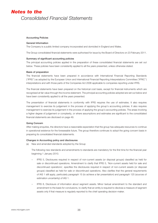#### Accounting Policies

#### General Information

The Company is a public limited company incorporated and domiciled in England and Wales.

The Group consolidated financial statements were authorised for issue by the Board of Directors on 23 February 2011.

### Summary of significant accounting policies

The principal accounting policies applied in the preparation of these consolidated financial statements are set out below. These policies have been consistently applied to all the years presented, unless otherwise stated.

### Basis of preparation

The financial statements have been prepared in accordance with International Financial Reporting Standards (``IFRS'') as adopted by the European Union and International Financial Reporting Interpretations Committee (``IFRIC'') interpretations and with those parts of the Companies Act 2006 applicable to companies reporting under IFRS.

The financial statements have been prepared on the historical cost basis, except for financial instruments which are recognised at fair value through the income statement. The principal accounting policies adopted are set out below and have been consistently applied to all the years presented.

The presentation of financial statements in conformity with IFRS requires the use of estimates. It also requires management to exercise its judgement in the process of applying the group's accounting policies. It also requires management to exercise its judgement in the process of applying the group's accounting policies. The areas involving a higher degree of judgement or complexity, or where assumptions and estimates are significant to the consolidated financial statements are disclosed on page 49.

# Going Concern

After making enquiries, the directors have a reasonable expectation that the group has adequate resources to continue in operational existence for the foreseeable future. The group therefore continues to adopt the going concern basis in preparing its consolidated financial statements.

### Changes in Accounting policy and disclosures

(a) New and amended standards adopted by the Group

The following new standards and amendments to standards are mandatory for the first time for the financial year beginning 1 January 2010.

- IFRS 5, Disclosures required in respect of non-current assets (or disposal groups) classified as held for sale or discontinued operations. Amendment to clarify that IFRS 5, 'Non-current assets held for sale and discontinued operations', specifies the disclosures required in respect of non-current assets (or disposal groups) classified as held for sale or discontinued operations. Also clarifies that the general requirements of IAS 1 still apply, particularly paragraph 15 (to achieve a fair presentation) and paragraph 125 (sources of estimation uncertainty) of IAS 1.
- IFRS 8, Disclosure of information about segment assets. Minor textual amendment to the standard and amendment to the basis for conclusions, to clarify that an entity is required to disclose a measure of segment assets only if that measure is regularly reported to the chief operating decision-maker.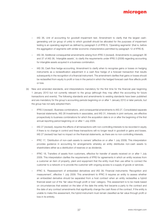- IAS 36, Unit of accounting for goodwill impairment test. Amendment to clarify that the largest cashgenerating unit (or group of units) to which goodwill should be allocated for the purposes of impairment testing is an operating segment as defined by paragraph 5 of IFRS 8, 'Operating segments' (that is, before the aggregation of segments with similar economic characteristics permitted by paragraph 12 of IFRS 8).
- IAS 38, Additional consequential amendments arising from IFRS 3 (revised). Amendments to paragraph 36 and 37 of IAS 38, 'Intangible assets', to clarify the requirements under IFRS 3 (2008) regarding accounting for intangible assets acquired in a business combination.
- IAS 39, Cash flow hedge accounting. Amendment to clarify when to recognise gains or losses on hedging instruments as a reclassification adjustment in a cash flow hedge of a forecast transaction that results subsequently in the recognition of a financial instrument. The amendment clarifies that gains or losses should be reclassified from equity to profit or loss in the period in which the hedged forecast cash flow affects profit or loss.
- (b) New and amended standards, and interpretations mandatory for the first time for the financial year beginning 1 January 2010 but not currently relevant to the group (although they may affect the accounting for future transactions and events). The following standards and amendments to existing standards have been published and are mandatory for the group's accounting periods beginning on or after 1 January 2010 or later periods, but the group has not early adopted them.
	- IFRS 3 (revised) , Business combinations , and consequential amendments to IAS 27, Consolidated separate financial statements, IAS 28 Investments in associates, and IAS 31, Interests in joint ventures, are effective prospectively to business combinations for which the acquisition date is on or after the beginning of the first annual reporting period beginning on or after 1 July 2009.
	- IAS 27 (revised), requires the effects of all transactions with non-controlling interests to be recorded in equity if there is no change in control and these transactions will no longer result in goodwill or gains and losses. IAS 27 (revised) has had no impact on the financial statements, as there are no non-controlling interests.
	- IFRC 17, 'Distribution of non-cash assets to owners' (effective on or after 1 July 2009). This interpretation provides guidance in accounting for arrangements whereby an entity distributes non-cash assets to shareholders either as a distribution of reserves or as dividends.
	- IFRIC 18, Transfers of assets from customers, effective for transfer of assets received on or after 1 July 2009. This interpretation clarifies the requirements of IFRS for agreements in which an entity receives from a customer an item of property, plant and equipment that the entity must then use either to connect the customer to a network or to provide the customer with ongoing access to a supply of goods or services.
	- IFRIC 9, 'Reassessment of embedded derivatives and IAS 39, Financial instruments: Recognition and measurement', effective 1 July 2009. This amendment to IFRIC 9 requires an entity to assess whether an embedded derivative should be separated from a host contract when an entity reclassifies a hybrid financial asset out of the 'fair value through profit or loss' category. This assessment is to be made based on circumstances that existed on the later of the date the entity first became a party to the contract and the date of any contract amendments that significantly change the cash flows of the contract. If the entity is unable to make this assessment, the hybrid instrument must remain classified as fair value through profit or loss in its entirety.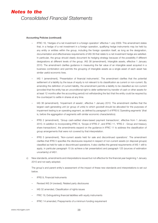### Accounting Policies (continued)

- IFRIC 16, 'Hedges of a net investment in a foreign operation' effective 1 July 2009. This amendment states that, in a hedge of a net investment in a foreign operation, qualifying hedge instruments may be held by any entity or entities within the group, including the foreign operation itself, as long as the designation, documentation and effectiveness requirements of IAS 39 that relate to a net investment hedge are satisfied. In particular, the group should clearly document its hedging strategy because of the possibility if different designations at different levels of the group. IAS 38 (amendment), Intangible assets, effective 1 January 2010. The amendment clarifies guidance in measuring the fair value of an intangible asset acquired in a business combination and permits the grouping of intangible assets as a single asset of each asset has similar useful economic lives.
- IAS 1 (amendment), 'Presentation of financial instruments'. The amendment clarifies that the potential settlement of a liability by the issue of equity is not relevant to its classification as current or non-current. By amending the definition of current liability, the amendment permits a liability to be classified as non-current (provided that the entity has an unconditional right to defer settlement by transfer of cash or other assets for at least 12 months after the accounting period) not withstanding the fact that the entity could be required by the counterpart to settle in shares at any time.
- IAS 36 (amendment), 'Impairment of assets', effective 1 January 2010. The amendment clarifies that the largest cash-generating unit (or group of units) to which goodwill should be allocated for the purposes of impairment testing is an operating segment, as defined by paragraph 5 of IFRS 8,'Operating segments' (that is, before the aggregation of segments with similar economic characteristics).
- IFRS 2 (amendment), 'Group cash-settled share-based payment transactions', effective from 1 January 2010. In addition to incorporating IFRIC 8, 'Scope of IFRS 2', and IFRIC 11, 'IFRS 2 - Group and treasury share transactions', the amendments expand on the guidance in IFRIC 11 to address the classification of group arrangements that were not covered by that interpretation.
- IFRS 5 (amendment), 'Non-current assets held for sale and discontinued operations'. The amendment clarifies that IFRS 5 specifies the disclosures required in respect of non-current assets (or disposal groups) classified as held for sale or discontinued operations. It also clarifies the general requirements of IAS 1 still to apply, in particular paragraph 15 (to achieve a fair presentation) and paragraph 125 (sources of estimation uncertainty) of IAS1.
- c) New standards, amendments and interpretations issued but not effective for the financial year beginning 1 January 2010 and not early adopted.

The group's and parent entity's assessment of the impact of these new standards and interpretations is set out below.

- IFRS 9, Financial Instruments
- Revised IAS 24 (revised), Related party disclosures
- IAS 32 amended, Classification of rights issues
- FRIC 19, Extinguishing financial liabilities with equity instruments
- IFRIC 14 amended, Prepayments of a minimum funding requirement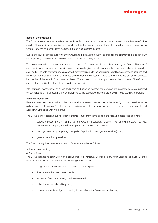# Basis of consolidation

The financial statements consolidate the results of Microgen plc and its subsidiary undertakings ("subsidiaries"). The results of the subsidiaries acquired are included within the income statement from the date that control passes to the Group. They are de-consolidated from the date on which control ceases.

Subsidiaries are all entities over which the Group has the power to govern the financial and operating policies generally accompanying a shareholding of more than one half of the voting rights.

The purchase method of accounting is used to account for the acquisition of subsidiaries by the Group. The cost of an acquisition is measured as the fair value of the assets given, equity instruments issued and liabilities incurred or assumed at the date of exchange, plus costs directly attributable to the acquisition. Identifiable assets and liabilities and contingent liabilities assumed in a business combination are measured initially at their fair values at acquisition date, irrespective of the extent of any minority interest. The excess of cost of acquisition over the fair value of the Group's share of the identifiable net assets is recorded as goodwill.

Inter-company transactions, balances and unrealised gains on transactions between group companies are eliminated on consolidation. The accounting policies adopted by the subsidiaries are consistent with those used by the Group.

### Revenue recognition

Revenue comprises the fair value of the consideration received or receivable for the sale of goods and services in the ordinary course of the group's activities. Revenue is shown net of value-added tax, returns, rebates and discounts and after eliminating sales within the group.

The Group's two operating business derive their revenues from some or all of the following categories of revenue:

- software based activity relating to the Group's intellectual property (comprising software licences, maintenance, support, funded development and related consultancy);
- managed services (comprising principally of application management services); and,
- general consultancy services.

The Group recognises revenue from each of these categories as follows:-

### Software based activity

### *Software licences*

The Group licences its software on an Initial Licence Fee, Perpetual Licence Fee or Annual Licence Fee basis. Licence Fees are first recognised when all of the following criteria are met:

- a signed contract or customer purchase order is in place;
- licence fee is fixed and determinable;
- evidence of software delivery has been received;
- collection of the debt is likely; and,
- no vendor specific obligations relating to the delivered software are outstanding.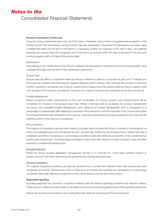### Revenue recognition (continued)

Once all of these criteria have been met, all of the Initial or Perpetual Licence Fee is recognised and recognition of the Annual Licence Fee commences. Annual Licence Fees are recognised in the period the services are provided, using a straight-line basis over the term of the licence. In assessing whether the collection of the debt is likely, any deferred payments for Licence Fees are recognised only if they are to be invoiced within 90 days of the period end and such invoice is payable within 30 days of the invoice date.

### *Maintenance*

Fees relating to the maintenance of the Group's software are recognised in the period the services are provided, using a straight-line basis over the term of the maintenance agreement.

### *Support fees*

Support fees are billed to customers where the Group's software is used by a customer as part of an IT solution and that customer contracts with the Group for support relating to that IT solution. The customer will commit to a minimum monthly, quarterly or annual fee that covers an agreed level of support and then agrees additional fees for support used over and above the minimum commitment. Revenue from support contracts are recognised as the fees are earned.

### *Funded development*

Where a customer seeks enhancement to the core functionality of a Group product such enhancements will be considered for inclusion in the product road map. Where customers wish to accelerate the product development the Group may undertake funded development work. Revenue for funded development work is recognised on a percentage completed basis after deferring a proportion of the revenue to cover the resolution of any issues arising after the enhancement has been delivered to the customer. Once the enhancement has been accepted by the customer the deferred portion of the revenue is recognised.

### *IPR consultancy*

The majority of consultancy services which relate to a project which includes the Group's software is contracted for on a time and materials basis and is recognised as such. Occasionally, small amounts of fixed priced or shared risk work is undertaken and this is recognised on a percentage completion basis after deferring a proportion of the overall revenue until the end of the project. The percentage completed is determined with reference to effort incurred to date and effort required to complete the development.

### Managed Services

Where the Group provides application management services to a customer for a third party software product or solution revenue from these services are recognised as the services are performed.

#### General Consultancy

The majority of general consultancy services are contracted for on a time and materials basis, with revenue and costs recognised as incurred. Revenue and costs on fixed price and shared risk contracts are recognised on a percentage completion basis after deferring a proportion of the overall revenue until the end of the project.

#### Segmental reporting

Operating segments are reported in a manner consistent with the internal reporting provided to key decision makers. These decision makers are responsible for allocating resources and assessing performance of the operating segments.

Segmental reporting is by business sector being Microgen Aptitude Solutions and Financial Systems.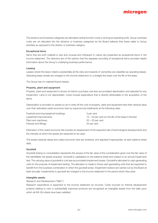The divisions and business categories are allocated central function costs in arriving at operating profit. Group overhead costs are not allocated into the divisions or business categories as the Board believes that these relate to Group activities as opposed to the division or business category.

### Exceptional items

Items that are both material in size and unusual and infrequent in nature are presented as exceptional items in the income statement. The directors are of the opinion that the separate recording of exceptional items provides helpful information about the Group's underlying business performance.

### Leasing

Leases where the lessor retains substantially all the risks and rewards of ownership are classified as operating leases. Operating lease rentals are charged to the income statement on a straight line basis over the life of the lease.

The Group has no material finance leases.

### Property, plant and equipment

Property, plant and equipment is shown at historic purchase cost less accumulated depreciation and adjusted for any impairment. Land is not depreciated. Costs include expenditure that is directly attributable to the acquisition of the items.

Depreciation is provided on assets so as to write off the cost of property, plant and equipment less their residual value over their estimated useful economic lives by equal annual instalments at the following rates.

| Freehold and long leasehold buildings | 2 per cent                                               |
|---------------------------------------|----------------------------------------------------------|
| Leasehold improvements                | $10 - 20$ per cent (or the life of the lease if shorter) |
| Plant and machinery                   | $20 - 50$ per cent                                       |
| Fixtures and fittings                 | 20 per cent                                              |

Estimation of the useful economic life includes an assessment of the expected rate of technological developments and the intensity at which the assets are expected to be used.

The assets residual values and useful economic lives are reviewed, and adjusted if appropriate, at each balance sheet date.

### Goodwill

Goodwill arising on consolidation represents the excess of the fair value of the consideration given over the fair value of the identifiable net assets acquired. Goodwill is capitalised on the balance sheet and subject to an annual impairment test. The carrying value of goodwill is cost less accumulated impairment losses. Goodwill is allocated to cash generating units for the purpose of impairment testing. The allocation is made to those cash generating units that are expected to benefit from the business combination in which the goodwill arose. Impairment reviews are carried out by the Board at least annually. Impairments to goodwill are charged to the income statement in the period which they arise.

### Intangible assets

### *Research and Development (``R&D'')*

Research expenditure is expensed to the income statement as incurred. Costs incurred on internal development projects relating to new or substantially improved products are recognised as intangible assets from the date upon which all IAS 38 criteria have been satisfied.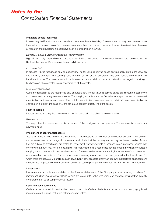### Intangible assets (continued)

In assessing the IAS 38 criteria it is considered that the technical feasibility of development has only been satisfied once the product is deployed into a live customer environment and there after development expenditure is minimal, therefore all research and development costs have been expensed when incurred.

### *Externally Acquired Software Intellectual Property Rights*

Rights in externally acquired software assets are capitalised at cost and amortised over their estimated useful economic life. Useful economic life is assessed on an individual basis.

### *In process R&D*

In process R&D is recognised only on acquisition. The fair value is derived based on time spent on the project at an average daily cost rate. The carrying value is stated at fair value at acquisition less accumulated amortisation and impairment losses. The useful economic life is assessed on an individual basis. Amortisation is charged on a straight line basis over the estimated useful economic life of the assets.

#### *Customer relationships*

Customer relationships are recognised only on acquisition. The fair value is derived based on discounted cash flows from estimated recurring revenue streams. The carrying value is stated at fair value at acquisition less accumulated amortisation and impairment losses. The useful economic life is assessed on an individual basis. Amortisation is charged on a straight line basis over the estimated economic useful life of the assets.

#### Finance income

Interest income is recognised on a time-proportion basis using the effective interest method.

#### Finance costs

The only interest expense incurred is in respect of the mortgage held on property. The expense is recorded as payments arise.

#### Impairment of non-financial assets

Assets that have an indefinite useful economic life are not subject to amortisation and are tested annually for impairment and whenever events or changes in circumstances indicate that the carrying amount may not be recoverable. Assets that are subject to amortisation are tested for impairment whenever events or changes in circumstances indicate that the carrying amount may not be recoverable. An impairment loss is recognised for the amount by which the asset's carrying amount exceeds its recoverable amount. The recoverable amount is the higher of an asset's fair value less costs to sell and value in use. For the purposes of assessing impairment, assets are grouped at the lowest levels for which there are separately identifiable cash flows. Non-financial assets other than goodwill that suffered an impairment are reviewed for possible reversal of the impairment at each reporting date. Any impairment of goodwill is not reversed.

#### **Investments**

Investments in subsidiaries are stated in the financial statements of the Company at cost less any provision for impairment. Other investments available for sale are stated at fair value with unrealised changes in value taken through the statement of other comprehensive income.

#### Cash and cash equivalents

Cash is defined as cash in hand and on demand deposits. Cash equivalents are defined as short term, highly liquid investments with original maturities of three months or less.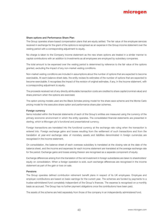### Share options and Performance Share Plan

The Group operates share-based compensation plans that are equity settled. The fair value of the employee services received in exchange for the grant of the options is recognised as an expense in the Group income statement over the vesting period with a corresponding adjustment to equity.

No charge is taken to the Company income statement as the new share options are treated in a similar manner to capital contributions with an addition to investments as all employees are employed by subsidiary companies.

The total amount to be expensed over the vesting period is determined by reference to the fair value of the options granted, excluding the impact of any non-market vesting conditions.

Non-market vesting conditions are included in assumptions about the number of options that are expected to become exercisable. At each balance sheet date, the entity revises its estimates of the number of options that are expected to become exercisable. It recognises the impact of the revision of original estimates, if any, in the income statement, with a corresponding adjustment to equity.

The proceeds received net of any directly attributable transaction costs are credited to share capital (nominal value) and share premium when the options are exercised.

The option pricing models used are the Black Scholes pricing model for the share save scheme and the Monte Carlo pricing model for the executive share option and performance share plan schemes.

### Foreign currency

Items included within the financial statements of each of the Group's entities are measured using the currency of the primary economic environment in which the entity operates. The consolidated financial statements are presented in sterling, which is Microgen plc's functional and presentational currency.

Foreign transactions are translated into the functional currency at the exchange rate ruling when the transaction is entered into. Foreign exchange gains and losses resulting from the settlement of such transactions and from the translation at year-end exchange rates of monetary assets and liabilities denominated in foreign currencies are recognised in the income statement.

On consolidation, the balance sheet of each overseas subsidiary is translated at the closing rate at the date of the balance sheet, and the income and expenses for each income statement are translated at the average exchange rate for the period. Exchange gains and losses arising thereon are recognised as a separate component of equity.

Exchange differences arising from the translation of the net investment in foreign subsidiaries are taken to shareholders' equity on consolidation. When a foreign operation is sold, such exchange differences are recognised in the income statement as part of the gain or loss on sale.

### Pensions

The Group operates defined contribution retirement benefit plans in respect of its UK employees. Employee and employer contributions are based on basic earnings for the current year. The schemes are funded by payments to a trustee-administered fund completely independent of the Group's finances. The expense is recognised on a monthly basis as accrued. The Group has no further payment obligations once the contributions have been paid.

The assets of the scheme are held separately from those of the company in an independently administered fund.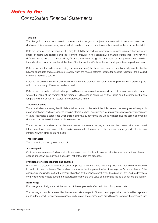### Taxation

The charge for current tax is based on the results for the year as adjusted for items which are non-assessable or disallowed. It is calculated using tax rates that have been enacted or substantively enacted by the balance sheet date.

Deferred income tax is provided in full, using the liability method, on temporary differences arising between the tax bases of assets and liabilities and their carrying amounts in the consolidated financial statements. However, the deferred income tax is not accounted for, if it arises from initial recognition of an asset or liability in a transaction other than a business combination that at the time of the transaction affects neither accounting nor taxable profit and loss.

Deferred income tax is determined using tax rates (and laws) that have been enacted or substantially enacted by the balance sheet date and are expected to apply when the related deferred income tax asset is realised or the deferred income tax liability is settled.

Deferred tax assets are recognised to the extent that it is probable that future taxable profit will be available against which the temporary differences can be utilised.

Deferred income tax is provided on temporary differences arising on investments in subsidiaries and associates, except where the timing of the reversal of the temporary difference is controlled by the Group and it is probable that the temporary difference will not reverse in the foreseeable future.

### Trade receivables

Trade receivables are recognised initially at fair value and to the extent that it is deemed necessary are subsequently measured at amortised cost using the effective interest method, less provision for impairment. A provision for impairment of trade receivables is established when there is objective evidence that the Group will not be able to collect all amounts due according to the original terms of the receivables.

The amount of the provision is the difference between the asset's carrying amount and the present value of estimated future cash flows, discounted at the effective interest rate. The amount of the provision is recognised in the income statement within other operating costs.

### Trade payables

Trade payables are recognised at fair value.

#### Share capital

Ordinary shares are classified as equity. Incremental costs directly attributable to the issue of new ordinary shares or options are shown in equity as a deduction, net of tax, from the proceeds.

#### Provisions for other liabilities and charges

Provisions are created for vacant or sublet properties when the Group has a legal obligation for future expenditure in relation to onerous leases. The provision is measured at the present value of management's best estimate of the expenditure required to settle the present obligation at the balance sheet date. The discount rate used to determine the present value reflects current market assessments of the time value of money and the risks specific to the liability.

#### **Borrowings**

Borrowings are initially stated at the amount of the net proceeds after deduction of any issue costs.

The carrying amount is increased by the finance costs in respect of the accounting period and reduced by payments made in the period. Borrowings are subsequently stated at amortised cost, any difference between the proceeds (net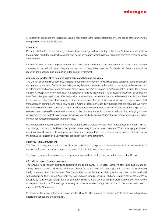of transaction costs) and the redemption value is recognised in the income statement over the period of the borrowings using the effective interest method.

#### Dividends

Dividend distribution to the company's shareholders is recognised as a liability in the Group's financial statements in the period in which the dividends are approved by the company's shareholders or in respect of interim dividends when they are paid.

Dividend income to the company received from subsidiary investments are recognised in the company income statement in the period in which they are paid out as post acquisition reserves. Dividends paid from pre acquisition reserves are recognised as a reduction in the cost of investment.

#### Accounting for derivative financial instruments and hedging activities

The Group has entered into derivative financial instruments in the form of forward exchange contracts, currency options and interest rate swaps. Derivatives are initially recognised and measured at fair value on the date a derivative contract is entered into and subsequently measured at fair value. The gain or loss on re-measurement is taken to the income statement except where the derivative is a designated hedging instrument. The accounting treatment of derivatives classified as hedges depends on their designation, which occurs on the date that the derivative contract is committed to. At year-end the Group has designated its derivatives as a hedge of the cost of a highly probable forecasted transaction or commitment ('cash flow hedge'). Gains or losses on cash flow hedges that are regarded as highly effective are recognised in equity. If the forecasted transaction or commitment results in future income or expenditure, gains or losses deferred in equity are transferred to the income statement in the same period as the underlying income or expenditure. The ineffective portions of the gain or loss on the hedging instrument are not recognised in equity, rather they are recognised immediately in profit or loss.

For the portion of hedges deemed ineffective or transactions that do not qualify for hedge accounting under IAS 39, any change in assets or liabilities is recognised immediately in the income statement. When a hedging instrument expires or is sold, any cumulative gain or loss existing in equity at that time remains in equity and is recognised when the forecasted transaction is ultimately recognised in the income statement.

#### Financial Risk Management

The Group's trading, multi-national operations and debt financing expose it to financial risks that include the effects of changes in foreign currency exchange rates, credit risks, liquidity and interest rates.

The Group manages these risks so as to limit any adverse effects on the financial performance of the Group.

### (a) Market risk – Foreign exchange

The Group's major foreign exchange exposures are to the Euro, Polish Zloty, South African Rand and US Dollar, arising from its trading subsidiaries in Europe, South Africa and the USA. Group policy in this area is to eliminate foreign currency cash flows between Group companies once the size and timing of transactions can be predicted with sufficient certainty. Since April 2007 this has been achieved by hedging Polish Zloty cash outflows 12 months in advance by using forward foreign currency contracts. These have the effect of fixing the sterling amount of Polish Zlotys to be paid in the future. The average remaining life of the forward exchange contracts at 31 December 2010 was 12 months (2009: 12 months).

In respect of its trading activities in Europe and the USA, the Group seeks to contract with its clients in sterling where possible to reduce the exchange risk.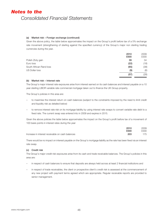# (a) Market risk – Foreign exchange (continued)

Given the above policy, the table below approximates the impact on the Group's profit before tax of a 5% exchange rate movement (strengthening of sterling against the specified currency) of the Group's major non sterling trading currencies during the year.

2010

2009

|                         | 2010<br>£000 | 2009<br>£000 |
|-------------------------|--------------|--------------|
| Polish Zloty gain       | 39           | 34           |
| Euro loss               | (22)         | (18)         |
| South African Rand loss | (65)         | (38)         |
| US Dollar loss          | (9)          | (6)          |
|                         | (57)         | (28)         |
|                         |              |              |

# (b) Market risk – Interest rate

The Group's major interest rate exposures arise from interest earned on its cash balances and interest payable on a 10 year sterling LIBOR variable rate commercial mortgage taken out to finance the UK Group property.

The Group's policies in this area are:

- to maximise the interest return on cash balances (subject to the constraints imposed by the need to limit credit and liquidity risk as detailed below)
- to remove interest rate risk on its mortgage liability by using interest rate swaps to convert variable rate debt to a fixed rate. The current swap was entered into in 2009 and expires in 2015.

Given the above policies the table below approximates the impact on the Group's profit before tax of a movement of 100 basis points in interest rates during the year

|                                                  | 2010 | 2009 |
|--------------------------------------------------|------|------|
|                                                  | £000 | £000 |
| Increase in interest receivable on cash balances | 203  | 175  |

There would be no impact on interest payable on the Group's mortgage liability as the rate has been fixed via an interest rate swap.

# (c) Credit risk

The Group's major credit risk exposures arise from its cash and trade receivable balances. The Group's policies in this area are:

- in respect of cash balances to ensure that deposits are always held across at least 2 financial institutions and
- in respect of trade receivables, the client or prospective client's credit risk is assessed at the commencement of any new project with payment terms agreed which are appropriate. Regular receivable reports are provided to senior management.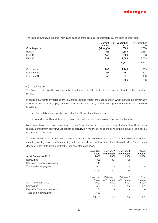

The table below shows the credit rating and balance of the six major counterparties at the balance sheet date:

|              | Current             | 31 December  | 31 December  |
|--------------|---------------------|--------------|--------------|
| Counterparty | Rating<br>(Moody's) | 2010<br>£000 | 2009<br>£000 |
| Bank A       | Aa3                 | 12,585       | 10,858       |
| Bank B       | Aa <sub>3</sub>     | 9,584        | 9,386        |
| Bank C       | Aa <sub>2</sub>     | 2,008        | 2,003        |
|              |                     | 24,177       | 22,247       |
| Customer A   | Aa <sub>2</sub>     | 1,143        | 999          |
| Customer B   | Aa1                 | 751          | 821          |
| Customer C   | A <sub>2</sub>      | 671          | 480          |
|              |                     | 2,565        | 2,300        |

# (d) Liquidity risk

The Group's major liquidity exposures arise from the need to settle its trade, employee and taxation liabilities as they fall due.

In addition, payments of mortgage principal and associated interest are made quarterly. Whilst the Group is comfortably able to finance all of these payments out of operating cash flows, policies are in place to further limit exposure to liquidity risk:

- surplus cash is never deposited for maturities of longer than 3 months; and
- uncommitted facilities will be entered into to support any specific expansion opportunities that arise.

Management monitors rolling forecasts of the Group's liquidity reserve on the basis of expected cash flow. The Group's liquidity management policy involves projecting cashflows in major currencies and considering the level of liquid assets necessary to meet these.

The table below analyses the Group's financial liabilities and net-settled derivative financial liabilities into relevant maturity groupings based on the remaining period at the balance sheet to the contractual maturity date. The amounts disclosed in the table are the contractual undiscounted cash flows.

| At 31 December 2010              | Less than<br>1 year<br>£000 | Between 1<br>and 2 years<br>£000 | Between 2<br>and 5 years<br>£000 | Over<br>5 years<br>£000 |
|----------------------------------|-----------------------------|----------------------------------|----------------------------------|-------------------------|
| <b>Borrowings</b>                | 396                         | 391                              | 1,138                            |                         |
| Derivative financial instruments | 115                         |                                  |                                  |                         |
| Trade and other payables         | 17,950                      |                                  |                                  |                         |
|                                  | 18,461                      | 391                              | 1.138                            |                         |
| At 31 December 2009              | Less than<br>1 year<br>£000 | Between 1<br>and 2 years<br>£000 | Between 2<br>and 5 years<br>£000 | Over<br>5 years<br>£000 |
| <b>Borrowings</b>                | 584                         | 452                              | 1,250                            | 381                     |
| Derivative financial instruments | 74                          |                                  |                                  |                         |
| Trade and other payables         | 17,537                      |                                  |                                  |                         |
|                                  | 18.195                      | 452                              | 1.250                            | 381                     |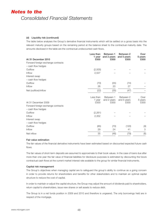# (d) Liquidity risk (continued)

The table below analyses the Group's derivative financial instruments which will be settled on a gross basis into the relevant maturity groups based on the remaining period at the balance sheet to the contractual maturity date. The amounts disclosed in the table are the contractual undiscounted cash flows.

|                                    | Less than<br>1 year | Between 1<br>and 2 years | Between 2<br>and 5 years | Over<br>5 years |
|------------------------------------|---------------------|--------------------------|--------------------------|-----------------|
| At 31 December 2010                | £000                | £000                     | £000                     | £000            |
| Forward foreign exchange contracts |                     |                          |                          |                 |
| - cash flow hedges                 |                     |                          |                          |                 |
| Outflow                            | (2,505)             |                          |                          |                 |
| Inflow                             | 2,527               |                          |                          |                 |
| Interest swap                      |                     |                          |                          |                 |
| - cash flow hedges                 |                     |                          |                          |                 |
| Outflow                            | (70)                | (55)                     | (74)                     |                 |
| Inflow                             | 26                  | 20                       | 27                       |                 |
| Net (outflow)/inflow               | (22)                | (35)                     | (47)                     |                 |
|                                    | Less than<br>1 year | Between 1<br>and 2 years | Between 2<br>and 5 years | Over<br>5 years |
| At 31 December 2009                | £000                | £000                     | £000                     | £000            |
| Forward foreign exchange contracts |                     |                          |                          |                 |
| - cash flow hedges                 |                     |                          |                          |                 |
| Outflow                            | (2, 261)            |                          |                          |                 |
| Inflow                             | 2,352               |                          |                          |                 |
| Interest swap                      |                     |                          |                          |                 |
| - cash flow hedges                 |                     |                          |                          |                 |
| Outflow                            | (85)                | (70)                     | (120)                    | (9)             |
| Inflow                             | 29                  | 24                       | 41                       | 3               |
| Net inflow                         | 35                  | (46)                     | (79)                     | (6)             |

# Fair value estimation

The fair values of the financial derivative instruments have been estimated based on discounted expected future cash flows.

The fair values of short-term deposits are assumed to approximate to their book values. In the case of loans due after more than one year the fair value of financial liabilities for disclosure purposes is estimated by discounting the future contractual cash flows at the current market interest rate available to the group for similar financial instruments.

# Capital risk management

The Group's objectives when managing capital are to safeguard the group's ability to continue as a going concern in order to provide returns for shareholders and benefits for other stakeholders and to maintain an optimal capital structure to reduce the cost of capital.

In order to maintain or adjust the capital structure, the Group may adjust the amount of dividends paid to shareholders, return capital to shareholders, issue new shares or sell assets to reduce debt.

The Group is in a net funds position in 2009 and 2010 and therefore is ungeared. The only borrowings held are in respect of the mortgage.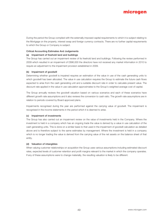During the period the Group complied with the externally imposed capital requirements to which it is subject relating to the Mortgage on the property, interest swap and foreign currency contracts. There are no further capital requirements to which the Group or Company is subject.

# Critical Accounting Estimates And Judgements

### (a) Impairment of freehold land and buildings

The Group has carried out an impairment review of its freehold land and buildings. Following the review performed in 2009 which resulted in an impairment of £896,000 the directors have not received any market information in 2010 to require an adjustment to the impairment provision established in 2009.

### (b) Impairment of goodwill

Determining whether goodwill is impaired requires an estimation of the value in use of the cash generating units to which goodwill has been allocated. The value in use calculation requires the Group to estimate the future cash flows expected to arise from the cash generating unit and a suitable discount rate in order to calculate present value. The discount rate applied in the value in use calculation approximates to the Group's weighted average cost of capital.

The Group annually reviews the goodwill valuation based on various scenarios and each of these scenarios have different growth rate assumptions and it also reviews the conversion to cash ratio. The growth rate assumptions are in relation to periods covered by Board approved plans.

Impairments recognised during the year are performed against the carrying value of goodwill. The impairment is recognised in the income statements in the period which it is deemed to arise.

### (c) Impairment of investments

The Group has also carried out an impairment review on the value of investments held in the Company. Where the investment is held in a company which has an ongoing trade the value is derived by a value in use calculation of the cash generating units. This is done on a similar basis to that used in the impairment of goodwill calculation as detailed above and is therefore subject to the same estimates by management. Where the investment is held in a company which is no longer trading the value is derived from the carrying value of the net assets on the balance sheet of that entity.

# (d) Valuation of intangibles

When valuing customer relationships on acquisition the Group uses various assumptions including estimated discount rates, expected levels of customer retention and profit margins relevant to the market in which the company operates. If any of these assumptions were to change materially, the resulting valuation is likely to be different.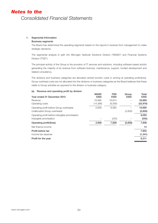# 1. Segmental Information

## Business segments

The Board has determined the operating segments based on the reports it receives from management to make strategic decisions.

The segmental analysis is split into Microgen Aptitude Solutions Division ("MASD") and Financial Systems Division ("FSD").

The principal activity of the Group is the provision of IT services and solutions, including software based activity generating the majority of its revenue from software licences, maintenance, support, funded development and related consultancy.

The divisions and business categories are allocated central function costs in arriving at operating profit/(loss). Group overhead costs are not allocated into the divisions or business categories as the Board believes that these relate to Group activities as opposed to the division or business category.

| Year ended 31 December 2010                     | <b>MASD</b><br>£000 | <b>FSD</b><br>£000 | Group<br>£000 | Total<br>£000 |
|-------------------------------------------------|---------------------|--------------------|---------------|---------------|
| Revenue                                         | 16.995              | 16,674             |               | 33,669        |
| Operating costs                                 | (14, 386)           | (8,590)            |               | (22, 976)     |
| Operating profit before Group overheads         | 2,609               | 8.084              |               | 10,693        |
| Unallocated Group overheads                     |                     |                    | (2,600)       | (2,600)       |
| Operating profit before intangible amortisation |                     |                    |               | 8,093         |
| Intangible amortisation                         |                     | (255)              |               | (255)         |
| Operating profit/(loss)                         | 2,609               | 7,829              | (2,600)       | 7,838         |
| Net finance income                              |                     |                    |               | 14            |
| Profit before tax                               |                     |                    |               | 7,852         |
| Income tax expense                              |                     |                    |               | (1, 341)      |
| Profit for the year                             |                     |                    |               | 6,511         |
|                                                 |                     |                    |               |               |

### (a) Revenue and operating profit by division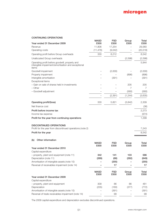# CONTINUING OPERATIONS

| <b>UUNTINUINU UFLIMITUI</b>                                                                                   | <b>MASD</b> | <b>FSD</b> | Group    | Total     |
|---------------------------------------------------------------------------------------------------------------|-------------|------------|----------|-----------|
| Year ended 31 December 2009                                                                                   | £000        | £000       | £000     | £000      |
| Revenue                                                                                                       | 11,806      | 17,254     |          | 29,060    |
| Operating costs                                                                                               | (11, 476)   | (9,042)    |          | (20, 518) |
| Operating profit before Group overheads                                                                       | 330         | 8,212      |          | 8,542     |
| Unallocated Group overheads                                                                                   |             |            | (2,598)  | (2,598)   |
| Operating profit before goodwill, property and<br>intangible impairment/amortisation and exceptional<br>items |             |            |          | 5,944     |
| Goodwill impairment                                                                                           |             | (2,000)    |          | (2,000)   |
| Property impairment                                                                                           |             |            | (896)    | (896)     |
| Intangible amortisation                                                                                       |             | (391)      |          | (391)     |
| Exceptional items                                                                                             |             |            |          |           |
| - Gain on sale of shares held in investments                                                                  |             |            | 205      | 205       |
| - Other                                                                                                       |             |            | 7        | 7         |
| - Goodwill adjustment                                                                                         |             |            | (560)    | (560)     |
|                                                                                                               |             | (2, 391)   | (1, 244) | (3,635)   |
| Operating profit/(loss)                                                                                       | 330         | 5,821      | (3,842)  | 2,309     |
| Net finance cost                                                                                              |             |            |          | (36)      |
| Profit before income tax                                                                                      |             |            |          | 2,273     |
| Income tax expense                                                                                            |             |            |          | (974)     |
| Profit for the year from continuing operations                                                                |             |            |          | 1,299     |
| <b>DISCONTINUED OPERATIONS</b>                                                                                |             |            |          |           |
| Profit for the year from discontinued operations (note 2)                                                     |             |            |          | 7,243     |
| Profit for the year                                                                                           |             |            |          | 8,542     |
| Other information<br>(b)                                                                                      |             |            |          |           |
|                                                                                                               | <b>MASD</b> | <b>FSD</b> | Group    | Total     |
| Year ended 31 December 2010                                                                                   | £000        | £000       | £000     | £000      |
| Capital expenditure                                                                                           |             |            |          |           |
| - property, plant and equipment (note 11)                                                                     | 342         | 141        | 103      | 586       |
| Depreciation (note 11)                                                                                        | (289)       | (68)       | (292)    | (649)     |
| Amortisation of intangible assets (note 10)                                                                   |             | (255)      |          | (255)     |
| Reversal of receivables impairment (note 14)                                                                  |             | 17         |          | 17        |
|                                                                                                               | <b>MASD</b> | <b>FSD</b> | Group    | Total     |
| Year ended 31 December 2009                                                                                   | £000        | £000       | £000     | £000      |
| Capital expenditure                                                                                           |             |            |          |           |
| - property, plant and equipment                                                                               | 309         | 86         | 86       | 481       |
| Depreciation                                                                                                  | (235)       | (160)      | (377)    | (772)     |
| Amortisation of intangible assets (note 10)                                                                   |             | (391)      |          | (391)     |
| Reversal of trade receivables impairment (note 14)                                                            |             | 99         |          | 99        |
|                                                                                                               |             |            |          |           |

The 2009 capital expenditure and depreciation excludes discontinued operations.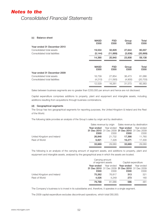| <b>MASD</b> |                                                                                            |                                                                |                                      |
|-------------|--------------------------------------------------------------------------------------------|----------------------------------------------------------------|--------------------------------------|
|             | <b>FSD</b><br>£000                                                                         | Group<br>£000                                                  | Total<br>£000                        |
|             |                                                                                            |                                                                |                                      |
|             |                                                                                            |                                                                | 80,007                               |
|             |                                                                                            | (3,836)                                                        | (20, 869)                            |
|             |                                                                                            |                                                                | 59,138                               |
|             |                                                                                            |                                                                |                                      |
|             | <b>FSD</b><br>£000                                                                         | Group<br>£000                                                  | Total<br>£000                        |
|             |                                                                                            |                                                                |                                      |
|             |                                                                                            |                                                                | 81,066                               |
|             |                                                                                            | (4,900)                                                        | (20, 703)                            |
|             |                                                                                            |                                                                | 60,363                               |
|             | £000<br>19,534<br>(5, 144)<br>14,390<br><b>MASD</b><br>£000<br>16.739<br>(4,210)<br>12,529 | 32,829<br>(11, 889)<br>20,940<br>27,854<br>(11, 593)<br>16.261 | 27,644<br>23,808<br>36,473<br>31,573 |

Sales between business segments are no greater than £250,000 per annum and hence are not disclosed.

Capital expenditure comprises additions to property, plant and equipment and intangible assets, including additions resulting from acquisitions through business combinations.

# (d) Geographical segments

The Group has two geographical segments for reporting purposes, the United Kingdom & Ireland and the Rest of the World.

The following table provides an analysis of the Group's sales by origin and by destination.

|                            | Sales revenue by origin Sales revenue by destination |        |                                                 |            |  |
|----------------------------|------------------------------------------------------|--------|-------------------------------------------------|------------|--|
|                            | Year ended                                           |        | Year ended Year ended                           | Year ended |  |
|                            |                                                      |        | 31 Dec 2010 31 Dec 2009 31 Dec 2010 31 Dec 2009 |            |  |
|                            | £000                                                 | £000   | £000                                            | £000       |  |
| United Kingdom and Ireland | 26,848                                               | 21.732 | 17.398                                          | 11.760     |  |
| Rest of World              | 6.821                                                | 7.328  | 16.271                                          | 17.300     |  |
|                            | 33,669                                               | 29,060 | 33,669                                          | 29,060     |  |

The following is an analysis of the carrying amount of segment assets, and additions to property, plant and equipment and intangible assets, analysed by the geographical area in which the assets are located.

|                            |                    | Carrying amount<br>of segment assets                    |                               | Capital expenditure |
|----------------------------|--------------------|---------------------------------------------------------|-------------------------------|---------------------|
|                            | Year ended<br>£000 | 31 Dec 2010 31 Dec 2009 31 Dec 2010 31 Dec 2009<br>£000 | Year ended Year ended<br>£000 | Year ended<br>£000  |
| United Kingdom and Ireland | 75.262             | 76.817                                                  | 313                           | 321                 |
| Rest of World              | 4.526              | 4.249                                                   | 273                           | 160                 |
|                            | 79.788             | 81.066                                                  | 586                           | 481                 |

The Company's business is to invest in its subsidiaries and, therefore, it operates in a single segment.

The 2009 capital expenditure excludes discontinued operations, which total £60,000.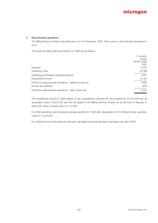# 2. Discontinued operations

The Billing Services Division was disposed of on 30 November 2009. There were no discontinued operations in 2010.

The results for Billing Services Division for 2009 are as follows:

|                                                         | 11 months   |
|---------------------------------------------------------|-------------|
|                                                         | ended       |
|                                                         | 30 Nov 2009 |
|                                                         | £000        |
| Revenue                                                 | 5,257       |
| Operating costs                                         | (3,796)     |
| Operating profit before exceptional items               | 1,461       |
| Exceptional income                                      | 6,189       |
| Profit from discontinued operations – before income tax | 7,650       |
| Income tax expense                                      | (407)       |
| Profit from discontinued operations – after income tax  | 7,243       |

The exceptional income in 2009 relates to the consideration received for the business of £7,531,000 less all associated costs of £537,000 and the net assets of the Billing Services Division as at the time of disposal of £805,000, which included cash of £172,000.

For 2009 operating costs included employee benefits of £1,805,000, depreciation of £72,000 and other operating costs of £1,919,000.

For 2009 the Income tax expense has been calculated using the standard corporation tax rate of 28%.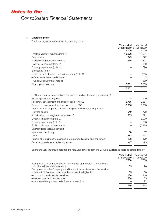# 3. Operating profit

The following items are included in operating costs:

|                                                                                   | Year ended<br>31 Dec 2010<br>£000 | Year ended<br>31 Dec 2009<br>£000 |
|-----------------------------------------------------------------------------------|-----------------------------------|-----------------------------------|
| Employee benefit expense (note 4)                                                 | 19,076                            | 16,961                            |
| Depreciation                                                                      | 649                               | 772                               |
| Intangibles amortisation (note 10)                                                | 255                               | 391                               |
| Goodwill impairment (note 9)                                                      |                                   | 2,000                             |
| Property impairment (note 11)                                                     |                                   | 896                               |
| Exceptional items:                                                                |                                   |                                   |
| - Gain on sale of shares held in investment (note 1)                              |                                   | (205)                             |
| - Other exceptional credit (note 1)                                               |                                   | (7)                               |
| - Goodwill adjustment (note 1)                                                    |                                   | 560                               |
| Other operating costs                                                             | 5,851                             | 5,383                             |
|                                                                                   | 25,831                            | 26,751                            |
| Profit from continuing operations has been arrived at after charging/(crediting): |                                   |                                   |
| Net foreign exchange gains                                                        | 27                                | (19)                              |
| Research, development and support costs - MASD                                    | 2,765                             | 2,827                             |
| Research, development and support costs - FSD                                     | 2,086                             | 2,038                             |
| Depreciation of property, plant and equipment within operating costs:             |                                   |                                   |
| - owned assets                                                                    | 649                               | 772                               |
| Amortisation of intangible assets (note 10)                                       | 255                               | 391                               |
| Goodwill impairment (note 9)                                                      |                                   | 2,000                             |
| Property impairment (note 11)                                                     |                                   | 896                               |
| Profit on disposal of investments                                                 |                                   | (6, 189)                          |
| Operating lease rentals payable:                                                  |                                   |                                   |
| - plant and machinery                                                             | 38                                | 37                                |
| $-$ other                                                                         | 487                               | 437                               |
| Repairs and maintenance expenditure on property, plant and equipment              | 126                               | 172                               |
| Reversal of trade receivables impairment                                          | (17)                              | (99)                              |

During the year the group obtained the following services from the Group's auditors at costs as detailed below:

|                                                                                                                                                                                              | Year ended<br>31 Dec 2010 31 Dec 2009<br>£000 | Year ended<br>£000 |
|----------------------------------------------------------------------------------------------------------------------------------------------------------------------------------------------|-----------------------------------------------|--------------------|
| Fees payable to Company auditor for the audit of the Parent Company and<br>consolidated financial statements<br>Fees payable to the Company's auditor and its associates for other services: | 65                                            | 76                 |
| - the audit of Company's subsidiaries pursuant to legislation                                                                                                                                | 65                                            | 80                 |
| - corporation and sales tax services                                                                                                                                                         | 186                                           | 140                |
| - overseas secondment services                                                                                                                                                               | 260                                           | 85                 |
| - services relating to corporate finance transactions                                                                                                                                        |                                               | 92                 |
|                                                                                                                                                                                              | 576                                           | 473                |
|                                                                                                                                                                                              |                                               |                    |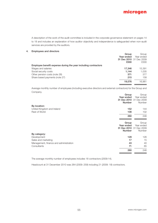A description of the work of the audit committee is included in the corporate governance statement on pages 14 to 18 and includes an explanation of how auditor objectivity and independence is safeguarded when non–audit services are provided by the auditors.

# 4. Employees and directors

|                                                                | Group      | Group                   |
|----------------------------------------------------------------|------------|-------------------------|
|                                                                | Year ended | Year ended              |
|                                                                |            | 31 Dec 2010 31 Dec 2009 |
|                                                                | £000       | £000                    |
| Employee benefit expense during the year including contractors |            |                         |
| Wages and salaries                                             | 17,346     | 15,391                  |
| Social security costs                                          | 1.144      | 1,035                   |
| Other pension costs (note 28)                                  | 371        | 377                     |
| Share based payments (note 27)                                 | 215        | 158                     |
|                                                                | 19,076     | 16.961                  |

Average monthly number of employees (including executive directors and external contractors) for the Group and Company.  $\overline{a}$ 

|                                        | Group<br>Year ended | Group<br>Year ended |
|----------------------------------------|---------------------|---------------------|
|                                        | 31 Dec 2010         | 31 Dec 2009         |
|                                        | <b>Number</b>       | Number              |
| By location:                           |                     |                     |
| United Kingdom and Ireland             | 152                 | 144                 |
| <b>Rest of World</b>                   | 108                 | 102                 |
|                                        | 260                 | 246                 |
|                                        | Group               | Group               |
|                                        | Year ended          | Year ended          |
|                                        | 31 Dec 2010         | 31 Dec 2009         |
|                                        | <b>Number</b>       | Number              |
| By category:                           |                     |                     |
| Development                            | 129                 | 126                 |
| Sales and marketing                    | 17                  | 15                  |
| Management, finance and administration | 43                  | 40                  |
| Consultants                            | 71                  | 65                  |
|                                        | 260                 | 246                 |
|                                        |                     |                     |

The average monthly number of employees includes 18 contractors (2009:14).

Headcount at 31 December 2010 was 264 (2009: 259) including 21 (2009: 18) contractors.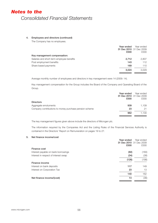# 4. Employees and directors (continued)

The Company has no employees.

|                                           | Year ended<br>£000 | Year ended<br>31 Dec 2010 31 Dec 2009<br>£000 |
|-------------------------------------------|--------------------|-----------------------------------------------|
| Key management compensation:              |                    |                                               |
| Salaries and short-term employee benefits | 2,712              | 2,807                                         |
| Post employment benefits                  | 143                | 112                                           |
| Share based payments                      | 169                | 110                                           |
|                                           | 3.024              | 3.029                                         |

Average monthly number of employees and directors in key management were 14 (2009: 14).

Key management compensation for the Group includes the Board of the Company and Operating Board of the Group.

|                                                        | Year ended | Year ended<br><b>31 Dec 2010</b> 31 Dec 2009 |
|--------------------------------------------------------|------------|----------------------------------------------|
|                                                        | £000       | £000                                         |
| <b>Directors</b>                                       |            |                                              |
| Aggregate emoluments                                   | 939        | 1.109                                        |
| Company contributions to money purchase pension scheme | 23         | 21                                           |
|                                                        | 962        | 1.130                                        |

The key management figures given above include the directors of Microgen plc.

The information required by the Companies Act and the Listing Rules of the Financial Services Authority is contained in the Directors' Report on Remuneration on pages 19 to 27.

# 5. Net finance income/cost

| 31 Dec 2010 31 Dec 2009<br>£000              | £000  |
|----------------------------------------------|-------|
| Finance cost                                 |       |
| (92)<br>Interest payable on bank borrowings  | (160) |
| Interest in respect of interest swap<br>(34) | (38)  |
| (126)                                        | (198) |
| Finance income                               |       |
| 117<br>Interest on bank deposits             | 149   |
| Interest on Corporation Tax<br>23            | 13    |
| 140                                          | 162   |
| 14<br>Net finance income/(cost)              | (36)  |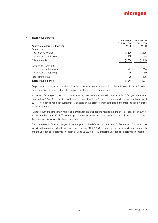

#### 6. Income tax expense

| Year ended<br>Year ended<br>31 Dec 2010 31 Dec 2009 |
|-----------------------------------------------------|
| £000<br>£000                                        |
|                                                     |
| (1,526)<br>(1, 105)                                 |
| (44)<br>160                                         |
| (1, 149)<br>(1,366)                                 |
|                                                     |
| (11)<br>264                                         |
| (89)<br>36                                          |
| 175<br>25                                           |
| (974)<br>(1, 341)                                   |
|                                                     |

Corporation tax is calculated at 28% (2009: 28%) of the estimated assessable profit for the year. Taxation for other jurisdictions is calculated at the rates prevailing in the respective jurisdictions.

A number of changes to the UK corporation tax system were announced in the June 2010 Budget Statement. Finance (No.2) Act 2010 includes legislation to reduce the rate by 1 per cent per annum to 27 per cent from 1 April 2011. This change has been substantively enacted at the balance sheet date and is therefore included in these financial statements.

Further reductions to the main rate of corporation tax are proposed to reduce the rate by 1 per cent per annum to 24 per cent by 1 April 2014. These changes had not been substantively enacted at the balance sheet date and, therefore, are not included in these financial statements.

The overall effect of these changes, if these applied to the deferred tax balance at 31 December 2010, would be to reduce the recognised deferred tax asset by up to £154,220 (11% of closing recognised deferred tax asset) and the unrecognised deferred tax asset by up to £266,408 (11% of closing unrecognised deferred tax asset).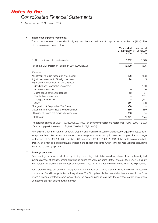*for the year ended 31 December 2010*

# 6. Income tax expense (continued)

The tax for the year is lower (2009: higher) than the standard rate of corporation tax in the UK (28%). The differences are explained below:

|                                                       | Year ended<br>31 Dec 2010<br>£000 | Year ended<br>31 Dec 2009<br>£000 |
|-------------------------------------------------------|-----------------------------------|-----------------------------------|
| Profit on ordinary activities before tax              | 7,852                             | 2,273                             |
| Tax at the UK corporation tax rate of 28% (2009: 28%) | (2, 199)                          | (636)                             |
| Effects of:                                           |                                   |                                   |
| Adjustment to tax in respect of prior period          | 196                               | (133)                             |
| Adjustment in respect of foreign tax rates            | 24                                | 5                                 |
| Expenses not deductible for tax purposes              |                                   |                                   |
| Goodwill and intangibles impairment                   |                                   | (560)                             |
| Income not taxable                                    |                                   | 56                                |
| Share based payment expenses                          | 13                                | 84                                |
| Revaluation of property                               |                                   | (251)                             |
| Changes in Goodwill                                   |                                   | (157)                             |
| Other                                                 | (11)                              | (26)                              |
| Changes in UK Corporation Tax Rates                   | (30)                              |                                   |
| Movement in unrecognised deferred taxation            | 360                               | 560                               |
| Utilisation of losses not previously recognised       | 306                               | 84                                |
| <b>Total taxation</b>                                 | (1, 341)                          | (974)                             |

The total tax charge of £1,341,000 (2009: £974,000) on continuing operations represents 17.1% (2009: 42.9%) of the Group profit before tax of £7,852,000 (2009: £2,273,000).

After adjusting for the impact of goodwill, property and intangible impairment/amortisation, goodwill adjustment, exceptional items, tax impact of share options, change in tax rates and prior year tax charges, the tax charge for the year of £2,221,000 (2009: £1,560,000) represents 27.4% (2009: 26.4%) of the profit before goodwill, property and intangible impairment/amortisation and exceptional items, which is the tax rate used for calculating the adjusted earnings per share.

# 7. Earnings per share

Basic earnings per share is calculated by dividing the earnings attributable to ordinary shareholders by the weighted average number of ordinary shares outstanding during the year, excluding 60,000 shares (2009: 64,213) held by the Microgen Employee Share Participation Scheme Trust, which are treated as cancelled for dividend purposes.

For diluted earnings per share, the weighted average number of ordinary shares in issue is adjusted to assume conversion of all dilutive potential ordinary shares. The Group has dilutive potential ordinary shares in the form of share options granted to employees where the exercise price is less than the average market price of the Company's ordinary shares during the year.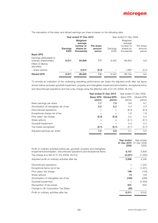

The calculation of the basic and diluted earnings per share is based on the following data:

|                                                   | Earnings<br>£000 | Year ended 31 Dec 2010<br>Weighted<br>average<br>number of<br>shares (in<br>thousands) | Per-share<br>amount<br>pence | Earnings<br>£000 | Year ended 31 Dec 2009<br>Weighted<br>average<br>number of<br>shares (in<br>thousands) | Per-share<br>amount<br>pence |
|---------------------------------------------------|------------------|----------------------------------------------------------------------------------------|------------------------------|------------------|----------------------------------------------------------------------------------------|------------------------------|
| <b>Basic EPS</b>                                  |                  |                                                                                        |                              |                  |                                                                                        |                              |
| Earnings attributable to<br>ordinary shareholders | 6,511            | 84,606                                                                                 | 7.7                          | 8.542            | 86,850                                                                                 | 9.8                          |
| Effect of dilutive<br>securities:                 |                  |                                                                                        |                              |                  |                                                                                        |                              |
| - share options                                   |                  | 2.014                                                                                  | (0.2)                        |                  | 1.894                                                                                  | (0.2)                        |
| <b>Diluted EPS</b>                                | 6,511            | 86,620                                                                                 | 7.5                          | 8.542            | 88,744                                                                                 | 9.6                          |

To provide an indication of the underlying operating performance per share the adjusted profit after tax figure shown below excludes goodwill impairment, property and intangibles impairment/amortisation, exceptional items and discontinued operations and has a tax charge using the effective rate of 27.4% (2009: 26.4%).

|                                        | Year ended 31 Dec 2010 |                    | Year ended 31 Dec 2009 |                    |
|----------------------------------------|------------------------|--------------------|------------------------|--------------------|
|                                        | <b>Basic EPS</b>       | <b>Diluted EPS</b> | Basic EPS              | <b>Diluted EPS</b> |
|                                        | pence                  | pence              | pence                  | pence              |
| Basic earnings per share               | 7.7                    | 7.5                | 9.8                    | 9.7                |
| Amortisation of intangibles net of tax | 0.2                    | 0.2                | 0.3                    | 0.3                |
| Discontinued operations                |                        |                    | (8.3)                  | (8.3)              |
| Exceptional charge net of tax          |                        |                    | 1.6                    | 1.6                |
| Prior years' tax charge                | (0.2)                  | (0.2)              | 0.2                    | 0.2                |
| Share options                          |                        |                    | (0.1)                  | (0.1)              |
| Goodwill impairment                    |                        |                    | 2.3                    | 2.3                |
| Tax losses recognised                  | (0.7)                  | (0.7)              | (0.7)                  | (0.7)              |
| Adjusted earnings per share            | 7.0                    | 6.8                | 5.1                    | 5.0                |

|                                                                                                                                                        | Year ended<br><b>31 Dec 2010</b> 31 Dec 2009<br>£000 | Year ended<br>£000 |
|--------------------------------------------------------------------------------------------------------------------------------------------------------|------------------------------------------------------|--------------------|
| Profit on ordinary activities before tax, goodwill, property and intangibles<br>impairment/amortisation, discontinued operations and exceptional items | 8,107                                                | 5,908              |
| Tax charge at a rate of 27.4% (2009: 26.4%)                                                                                                            | (2, 221)                                             | (1,560)            |
| Adjusted profit on ordinary activities after tax                                                                                                       | 5,886                                                | 4,348              |
| Discontinued operations                                                                                                                                |                                                      | 7,243              |
| Exceptional items net of tax                                                                                                                           |                                                      | (1,401)            |
| Prior years' tax charge                                                                                                                                | 196                                                  | (133)              |
| Share options                                                                                                                                          | 13                                                   | 129                |
| Amortisation of intangibles net of tax                                                                                                                 | (185)                                                | (288)              |
| Goodwill impairment                                                                                                                                    |                                                      | (2,000)            |
| Recognition of tax losses                                                                                                                              | 631                                                  | 644                |
| Change in UK Corporation Tax Rates                                                                                                                     | (30)                                                 |                    |
| Profit on ordinary activities after tax                                                                                                                | 6,511                                                | 8,542              |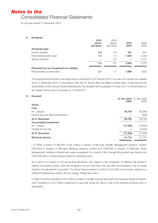*for the year ended 31 December 2010*

### 8. Dividends

|                                                                              | 2010<br>pence<br>per share | 2009<br>pence<br>per share | 2010<br>£000 | 2009<br>£000 |
|------------------------------------------------------------------------------|----------------------------|----------------------------|--------------|--------------|
| Dividends paid:                                                              |                            |                            |              |              |
| Interim dividend                                                             | 0.9                        | 0.8                        | 781          | 691          |
| Final dividend (prior year)                                                  | 1.5                        | 1.4                        | 1,303        | 1,209        |
| Special dividend                                                             |                            | 4.0                        | -            | 3,472        |
|                                                                              | 2.4                        | 6.2                        | 2.084        | 5.372        |
| Proposed but not recognised as a liability:<br>Final dividend (current year) | 2.1                        | 1.5                        | 1.698        | 1,303        |

The proposed final dividend was approved by the Board on 23 February 2011 but was not included as a liability as at 31 December 2010, in accordance with IAS 10 'Events after the Balance Sheet date'. If approved by the shareholders at the Annual General Meeting this final dividend will be payable on 6 May 2011 to shareholders on the register at the close of business on 15 April 2011.

### 9. Goodwill

| 31 Dec 2010 31 Dec 2009<br>£000                              |
|--------------------------------------------------------------|
|                                                              |
|                                                              |
| 60,269                                                       |
| (560)                                                        |
| 59,709                                                       |
|                                                              |
| (15,935)                                                     |
| (2,000)                                                      |
| (17, 935)                                                    |
| 41.774                                                       |
| £000<br>59,709<br>59,709<br>(17, 935)<br>(17, 935)<br>41,774 |

\* In 2009, a further £1,460,000 of tax losses in respect of Microgen Wealth Management Systems Limited, £340,000 in respect of Microgen Banking Systems Limited and £200,000 in respect of Microgen Asset Management Solutions Limited have been recognised. As a result of this change the goodwill was reduced by £560,000 with a corresponding increase to operating costs.

As a result of a revision to the accounting standards, with regard to the recognition of deferred tax assets in respect of acquired losses, when the recognition occurs more than one year after the acquisition; this no longer results in an adjustment to goodwill. The Group has recognised a further £2,378,000 of tax losses, leading to a £666,000 deferred tax credit in the tax charge. Please see note 6.

In 2009, the Group decided to end-of-life a number of smaller product lines within the Financial Systems Division, which resulted in a £2.0 million impairment to goodwill, being the value in use of the software products prior to termination.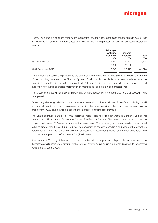Goodwill acquired in a business combination is allocated, at acquisition, to the cash generating units (CGUs) that are expected to benefit from that business combination. The carrying amount of goodwill had been allocated as follows:

|                     | Microgen<br>Aptitude<br>Solutions<br>£000 | Financial<br><b>Systems</b><br>£000 | Total<br>£000 |
|---------------------|-------------------------------------------|-------------------------------------|---------------|
| At 1 January 2010   | 12.347                                    | 29,427                              | 41,774        |
| Transfer            | 3.000                                     | (3,000)                             |               |
| At 31 December 2010 | 15.347                                    | 26,427                              | 41.774        |

The transfer of £3,000,000 is pursuant to the purchase by the Microgen Aptitude Solutions Division of elements of the consulting business of the Financial Systems Division. Whilst no clients have been transferred from the Financial Systems Division to the Microgen Aptitude Solutions Division there has been a transfer of employees and their know how including project implementation methodology and relevant sector experience.

The Group tests goodwill annually for impairment, or more frequently if there are indications that goodwill might be impaired.

Determining whether goodwill is impaired requires an estimation of the value in use of the CGUs to which goodwill has been allocated. The value in use calculation requires the Group to estimate the future cash flows expected to arise from the CGU and a suitable discount rate in order to calculate present value.

The Board approved plans project that operating income from the Microgen Aptitude Solutions Division will increase by 10% per annum for the next 5 years. The Financial Systems Division estimates project a reduction in operating income of 2.5% per annum over the same period. The terminal growth rates therafter are estimated to be no greater than 2.25% (2009: 2.25%). The conversion to cash ratio used is 72% based on the current UK corporation tax rate. The utilsation of deferred tax losses to offset the tax payable has not been considered. The discount rate applied to the CGUs was 9.8% (2009: 9.8%).

A movement of 5% in any of the assumptions would not result in an impairment. It is possible that outcomes within the forthcoming financial years different to the key assumptions could require a material adjustment to the carrying value of the Group's goodwill.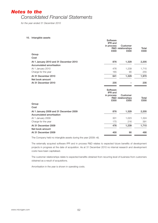*for the year ended 31 December 2010*

### 10. Intangible assets

| mumiyinin assam                        | Software<br><b>IPR</b> and<br>in process<br>£000 | Customer<br>R&D relationships<br>£000 | Total<br>£000 |
|----------------------------------------|--------------------------------------------------|---------------------------------------|---------------|
| Group                                  |                                                  |                                       |               |
| Cost                                   |                                                  |                                       |               |
| At 1 January 2010 and 31 December 2010 | 876                                              | 1,329                                 | 2,205         |
| Accumulated amortisation               |                                                  |                                       |               |
| At 1 January 2010                      | 476                                              | 1,239                                 | 1,715         |
| Charge for the year                    | 165                                              | 90                                    | 255           |
| At 31 December 2010                    | 641                                              | 1,329                                 | 1,970         |
| Net book amount                        |                                                  |                                       |               |
| At 31 December 2010                    | 235                                              |                                       | 235           |
|                                        | Software<br>IPR and<br>in process<br>£000        | Customer<br>R&D relationships<br>£000 | Total<br>£000 |
| Group                                  |                                                  |                                       |               |
| Cost                                   |                                                  |                                       |               |
| At 1 January 2009 and 31 December 2009 | 876                                              | 1,329                                 | 2,205         |
| <b>Accumulated amortisation</b>        |                                                  |                                       |               |
| At 1 January 2009                      | 301                                              | 1,023                                 | 1,324         |
| Charge for the year                    | 175                                              | 216                                   | 391           |
| At 31 December 2009                    | 476                                              | 1,239                                 | 1,715         |
| Net book amount<br>At 31 December 2009 | 400                                              | 90                                    | 490           |
|                                        |                                                  |                                       |               |

The Company held no intangible assets during the year (2009: nil).

The externally acquired software IPR and in process R&D relates to expected future benefits of development projects in progress at the date of acquisition. As at 31 December 2010 no internal research and development costs have been capitalised.

The customer relationships relate to expected benefits obtained from recurring level of business from customers obtained as a result of acquisitions.

Amortisation in the year is shown in operating costs.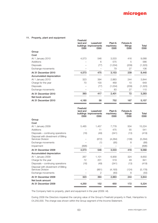## 11. Property, plant and equipment

| rioperty, plant and equipment | Freehold<br>land and<br>£000 | Leasehold<br>buildings improvements<br>£000 | Plant &<br>machinery<br>£000 | <b>Fixtures &amp;</b><br>fittings<br>£000 | Total<br>£000 |
|-------------------------------|------------------------------|---------------------------------------------|------------------------------|-------------------------------------------|---------------|
| Group                         |                              |                                             |                              |                                           |               |
| Cost                          |                              |                                             |                              |                                           |               |
| At 1 January 2010             | 4,573                        | 546                                         | 3,533                        | 416                                       | 9,068         |
| <b>Additions</b>              |                              | 6                                           | 575                          | 5                                         | 586           |
| <b>Disposals</b>              |                              | (77)                                        | (1,034)                      | (209)                                     | (1,320)       |
| Exchange movements            |                              |                                             | 79                           | 27                                        | 106           |
| At 31 December 2010           | 4,573                        | 475                                         | 3,153                        | 239                                       | 8,440         |
| Accumulated depreciation      |                              |                                             |                              |                                           |               |
| At 1 January 2010             | 323                          | 394                                         | 2,883                        | 244                                       | 3,844         |
| Charge for the year           | 70                           | 100                                         | 469                          | 10                                        | 649           |
| <b>Disposals</b>              |                              | (77)                                        | (1,034)                      | (209)                                     | (1, 320)      |
| Exchange movements            |                              |                                             | 83                           | 27                                        | 110           |
| At 31 December 2010           | 393                          | 417                                         | 2,401                        | 72                                        | 3,283         |
| Net book amount               |                              |                                             |                              |                                           |               |
| At 31 December 2010           | 4,180                        | 58                                          | 752                          | 167                                       | 5,157         |

|                                                          | Freehold<br>land and<br>£000 | Leasehold<br>buildings improvements<br>£000 | Plant &<br>machinery<br>£000 | Fixtures &<br>fittings<br>£000 | Total<br>£000 |
|----------------------------------------------------------|------------------------------|---------------------------------------------|------------------------------|--------------------------------|---------------|
| Group                                                    |                              |                                             |                              |                                |               |
| Cost                                                     |                              |                                             |                              |                                |               |
| At 1 January 2009                                        | 5,485                        | 1,457                                       | 7,778                        | 504                            | 15,224        |
| Additions                                                |                              | 11                                          | 475                          | 55                             | 541           |
| Disposals - continuing operations                        | (16)                         | (49)                                        | (341)                        | (13)                           | (419)         |
| Disposal with divestment of Billing<br>Services Division |                              | (872)                                       | (4,284)                      | (138)                          | (5, 294)      |
| Exchange movements                                       |                              | (1)                                         | (95)                         | 8                              | (88)          |
| Impairment                                               | (896)                        |                                             |                              |                                | (896)         |
| At 31 December 2009                                      | 4,573                        | 546                                         | 3,533                        | 416                            | 9,068         |
| Accumulated depreciation                                 |                              |                                             |                              |                                |               |
| At 1 January 2009                                        | 267                          | 1,101                                       | 6.958                        | 324                            | 8,650         |
| Charge for the year                                      | 72                           | 201                                         | 519                          | 49                             | 841           |
| Disposals – continuing operations                        | (16)                         | (49)                                        | (341)                        | (13)                           | (419)         |
| Disposal with divestment of Billing<br>Services Division |                              | (861)                                       | (4, 193)                     | (124)                          | (5, 178)      |
| Exchange movements                                       |                              | 2                                           | (60)                         | 8                              | (50)          |
| At 31 December 2009                                      | 323                          | 394                                         | 2,883                        | 244                            | 3,844         |
| Net book amount<br>At 31 December 2009                   | 4,250                        | 152                                         | 650                          | 172                            | 5,224         |

The Company held no property, plant and equipment in the year (2009: nil).

During 2009 the Directors impaired the carrying value of the Group's Freehold property in Fleet, Hampshire to £4,250,000. The charge was shown within the Group segment of the Income Statement.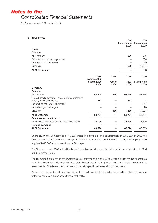*for the year ended 31 December 2010*

### 12. Investments

|                                                                              |                       |               | 2010<br>Investments<br>£000 | 2009<br>Investments<br>£000 |
|------------------------------------------------------------------------------|-----------------------|---------------|-----------------------------|-----------------------------|
| Group                                                                        |                       |               |                             |                             |
| <b>Balance</b>                                                               |                       |               |                             |                             |
| At 1 January                                                                 |                       |               | 336                         | 916                         |
| Reversal of prior year impairment                                            |                       |               |                             | 354                         |
| Unrealised gain in the year                                                  |                       |               |                             | 70                          |
| <b>Disposals</b>                                                             |                       |               | (336)                       | (1,004)                     |
| At 31 December                                                               |                       |               |                             | 336                         |
|                                                                              | 2010<br>Investment in | 2010          | 2010                        | 2009                        |
|                                                                              | subsidiaries<br>£000  | Other<br>£000 | Total<br>£000               | Investments<br>£000         |
| Company                                                                      |                       |               |                             |                             |
| <b>Balance</b>                                                               |                       |               |                             |                             |
| At 1 January                                                                 | 53,358                | 336           | 53,694                      | 54,274                      |
| Share based payments – share options granted to<br>employees of subsidiaries | 373                   |               | 373                         |                             |
| Reversal of prior year impairment                                            |                       |               |                             | 354                         |
| Unrealised gain in the year                                                  |                       |               |                             | 70                          |
| <b>Disposals</b>                                                             |                       | (336)         | (336)                       | (1,004)                     |
| At 31 December                                                               | 53,731                |               | 53,731                      | 53,694                      |
| Accumulated impairment                                                       |                       |               |                             |                             |
| At 31 December 2009 and 31 December 2010                                     | 13,155                |               | 13,155                      | 13,155                      |
| Net book amount                                                              |                       |               |                             |                             |
| At 31 December                                                               | 40,576                |               | 40,576                      | 40,539                      |

During 2010, the Company sold 770,686 shares in Scisys plc for a consideration of £336,000. In 2009 the Company sold 2,900,000 shares in Scisys plc for a total consideration of £1,209,000. In total, the Company made a gain of £345,000 from its investment in Scisys plc.

The Company also in 2009 sold all its shares in its subsidiary Microgen UK Limited which were held at cost of £nil at 30 November 2009.

The recoverable amounts of the investments are determined by calculating a value in use for the appropriate subsidiary investment. Management estimates discount rates using pre-tax rates that reflect current market assessments of the time value of money and the risks specific to the subsidiary investments.

Where the investment is held in a company which is no longer trading the value is derived from the carrying value of the net assets on the balance sheet of that entity.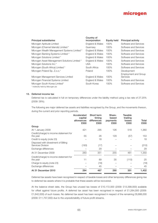|                                               | Country of      |             |                           |
|-----------------------------------------------|-----------------|-------------|---------------------------|
| <b>Principal subsidiaries</b>                 | incorporation   | Equity held | <b>Principal activity</b> |
| Microgen Aptitude Limited                     | England & Wales | 100%        | Software and Services     |
| Microgen (Channel Islands) Limited *          | Guernsey        | 100%        | Software and Services     |
| Microgen Wealth Management Systems Limited *  | England & Wales | 100%        | Software and Services     |
| Microgen Banking Systems Limited *            | England & Wales | 100%        | Software and Services     |
| Microgen Solutions Limited *                  | England & Wales | 100%        | Software and Services     |
| Microgen Asset Management Solutions Limited * | England & Wales | 100%        | Software and Services     |
| Microgen Solutions Inc.*                      | <b>USA</b>      | 100%        | Software and Services     |
| Microgen (South Africa) Limited *             | South Africa    | 100%        | Software and Services     |
| Microgen Poland Sp. Z.o.o.*                   | Poland          | 100%        | Development               |
|                                               |                 |             | Employment and Group      |
| Microgen Management Services Limited          | England & Wales | 100%        | Services                  |
| Microgen Financial Systems Limited            | England & Wales | 100%        | Software and Services     |
| Microgen South Korea Limited*                 | South Korea     | 100%        | Software and Services     |
| * Indirectly held by Microgen plc             |                 |             |                           |

### 13. Deferred income tax

Deferred tax is calculated in full on temporary differences under the liability method using a tax rate of 27.25% (2009: 28%).

The following are major deferred tax assets and liabilities recognised by the Group, and the movements thereon, during the current and prior reporting periods.

|                                                          | Accelerated<br>capital<br>allowances<br>£000 | Short term<br>timing<br>differences<br>£000 | Share-<br>based<br>payments<br>£000 | Taxable<br>trading<br>losses<br>£000 | Total<br>£000 |
|----------------------------------------------------------|----------------------------------------------|---------------------------------------------|-------------------------------------|--------------------------------------|---------------|
| Group                                                    |                                              |                                             |                                     |                                      |               |
| At 1 January 2009                                        | 421                                          | 295                                         | 126                                 | 518                                  | 1,360         |
| Credit/(charge) to income statement for<br>the year      | 55                                           | 26                                          | 129                                 | (57)                                 | 153           |
| Credit to equity (note 23)                               |                                              | 18                                          |                                     |                                      | 18            |
| Disposed with divestment of Billing<br>Services Division | (193)                                        | (17)                                        |                                     |                                      | (210)         |
| Exchange differences                                     |                                              | 29                                          |                                     |                                      | 29            |
| At 31 December 2009                                      | 283                                          | 351                                         | 255                                 | 461                                  | 1,350         |
| Credit/(charge) to income statement for<br>the year      | 11                                           | 89                                          | 35                                  | (110)                                | 25            |
| Charge to equity (note 23)                               |                                              | (18)                                        |                                     |                                      | (18)          |
| Exchange differences                                     |                                              | 45                                          |                                     |                                      | 45            |
| At 31 December 2010                                      | 294                                          | 467                                         | 290                                 | 351                                  | 1,402         |

Deferred tax assets have been recognised in respect of taxable losses and other temporary differences giving rise to deferred tax assets where it is probable that these assets will be recovered.

At the balance sheet date, the Group has unused tax losses of £10,172,000 (2009: £13,399,000) available for offset against future profits. A deferred tax asset has been recognised in respect of £1,284,000 (2009: £1,642,000) of such losses. No deferred tax asset has been recognised in respect of the remaining £8,888,000 (2009: £11,757,000) due to the unpredictability of future profit streams.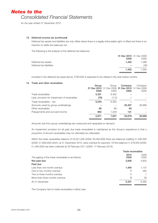*for the year ended 31 December 2010*

## 13. Deferred income tax (continued)

Deferred tax assets and liabilities are only offset where there is a legally enforceable right of offset and there is an intention to settle the balances net.

The following is the analysis of the deferred tax balances:

|                          | 31 Dec 2010 31 Dec 2009 |       |
|--------------------------|-------------------------|-------|
|                          | £000                    | £000  |
| Deferred tax assets      | 1.402                   | 1.389 |
| Deferred tax liabilities | -                       | (39)  |
|                          | 1.402                   | 1.350 |
|                          |                         |       |

Included in the deferred tax asset above, £760,000 is expected to be utilised in the next twelve months.

# 14. Trade and other receivables

|                                               | Group | Group | Company                                         | Company |
|-----------------------------------------------|-------|-------|-------------------------------------------------|---------|
|                                               |       |       | 31 Dec 2010 31 Dec 2009 31 Dec 2010 31 Dec 2009 |         |
|                                               | £000  | £000  | £000                                            | £000    |
| Trade receivables                             | 5,321 | 6,462 |                                                 |         |
| Less: provision for impairment of receivables | (78)  | (112) |                                                 |         |
| Trade receivables – net                       | 5,243 | 6,350 |                                                 |         |
| Amounts owed by group undertakings            |       |       | 20.497                                          | 26,989  |
| Other receivables                             | 66    | 68    | 60                                              |         |
| Prepayments and accrued income                | 662   | 1.209 | 121                                             |         |
|                                               | 5.971 | 7.627 | 20,678                                          | 26,989  |

Amounts due from group undertakings are unsecured and repayable on demand.

An impairment provision for all past due trade receivables is maintained as the Group's experience is that a proportion of all such receivables may not ultimately be collectable.

Within the trade receivables balance of £5,321,000 (2009: £6,462,000) there are balances totalling £1,495,000 (2009: £1,659,000) which, at 31 December 2010, were overdue for payment. Of this balance £1,478,000 (2009: £1,494,000) has been collected at 23 February 2011 (2009: 17 February 2010).

|                                                    |              | <b>Trade receivables</b> |  |
|----------------------------------------------------|--------------|--------------------------|--|
| The ageing of the trade receivables is as follows: | 2010<br>£000 | 2009<br>£000             |  |
| Not past due                                       | 3,826        | 4,803                    |  |
| Past due                                           |              |                          |  |
| Less than one month overdue                        | 1,484        | 1.137                    |  |
| One to two months overdue                          |              | 482                      |  |
| Two to three months overdue                        |              |                          |  |
| More than three months overdue                     | 3            | 39                       |  |
| At 31 December                                     | 5.321        | 6.462                    |  |

The Company had no trade receivables in either year.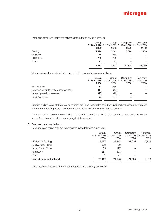Trade and other receivables are denominated in the following currencies:

|                   | Group | Group<br>31 Dec 2010 31 Dec 2009 31 Dec 2010 31 Dec 2009 | Company | Company |
|-------------------|-------|----------------------------------------------------------|---------|---------|
|                   | £000  | £000                                                     | £000    | £000    |
| Sterling          | 5,494 | 7.075                                                    | 20,678  | 26,989  |
| <b>SA Rand</b>    | 176   | 250                                                      |         |         |
| <b>US Dollars</b> | 289   | 269                                                      | -       |         |
| Other             | 12    | 33                                                       | -       |         |
|                   | 5,971 | 7.627                                                    | 20,678  | 26,989  |

Movements on the provision for impairment of trade receivables are as follows:

|                                          | Group<br>£000 | Group<br>31 Dec 2010 31 Dec 2009 31 Dec 2010 31 Dec 2009<br>£000 | Company<br>£000 | Company<br>£000 |
|------------------------------------------|---------------|------------------------------------------------------------------|-----------------|-----------------|
| At 1 January                             | 112           | 255                                                              |                 |                 |
| Receivables written off as uncollectable | (17)          | (44)                                                             |                 |                 |
| Unused provisions reversed               | (17)          | (99)                                                             |                 |                 |
| At 31 December                           | 78            | 112                                                              |                 |                 |

Creation and reversals of the provision for impaired trade receivables have been included in the income statement under other operating costs. Non-trade receivables do not contain any impaired assets.

The maximum exposure to credit risk at the reporting date is the fair value of each receivable class mentioned above. No collateral is held as security against these assets.

### 15. Cash and cash equivalents

Cash and cash equivalents are denominated in the following currencies:

|                          | Group  | Group  | Company                                         | Company |
|--------------------------|--------|--------|-------------------------------------------------|---------|
|                          |        |        | 31 Dec 2010 31 Dec 2009 31 Dec 2010 31 Dec 2009 |         |
|                          | £000   | £000   | £000                                            | £000    |
| UK Pounds Sterling       | 24,177 | 22,247 | 21,025                                          | 19.718  |
| South African Rand       | 896    | 809    |                                                 |         |
| United States Dollar     | 85     | 197    |                                                 |         |
| Polish Zloty             | 253    | 898    |                                                 |         |
| Other                    |        | 27     |                                                 |         |
| Cash at bank and in hand | 25.412 | 24.178 | 21,025                                          | 19.718  |

The effective interest rate on short term deposits was 0.35% (2009: 0.3%).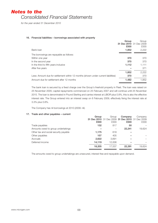*for the year ended 31 December 2010*

## 16. Financial liabilities – borrowings associated with property

|                                                                                    | Group<br>31 Dec 2010 31 Dec 2009<br>£000 | Group<br>£000 |
|------------------------------------------------------------------------------------|------------------------------------------|---------------|
| Bank loan                                                                          | 1.852                                    | 2,222         |
| The borrowings are repayable as follows:                                           |                                          |               |
| Within one year                                                                    | 370                                      | 370           |
| In the second year                                                                 | 370                                      | 370           |
| In the third to fifth years inclusive                                              | 1,112                                    | 1,111         |
| After five years                                                                   |                                          | 371           |
|                                                                                    | 1,852                                    | 2.222         |
| Less: Amount due for settlement within 12 months (shown under current liabilities) | 370                                      | 370           |
| Amount due for settlement after 12 months                                          | 1,482                                    | 1.852         |

The bank loan is secured by a fixed charge over the Group's freehold property in Fleet. The loan was raised on 25 November 2005; capital repayments commenced on 25 February 2007 and will continue until 25 November 2015. The loan is denominated in Pound Sterling and carries interest at LIBOR plus 0.8%, this is also the effective interest rate. The Group entered into an interest swap on 6 February 2009, effectively fixing the interest rate at 3.3% plus 0.8%.

The Company has nil borrowings at 2010 (2009: nil).

## 17. Trade and other payables – current

|                                       | Group  | Group  | Company                                         | Company |
|---------------------------------------|--------|--------|-------------------------------------------------|---------|
|                                       |        |        | 31 Dec 2010 31 Dec 2009 31 Dec 2010 31 Dec 2009 |         |
|                                       | £000   | £000   | £000                                            | £000    |
| Trade payables                        | 132    | 817    | 50                                              |         |
| Amounts owed to group undertakings    |        |        | 22,241                                          | 19,624  |
| Other tax and social security payable | 1,175  | 618    |                                                 |         |
| Other payables                        | 157    | 405    |                                                 |         |
| Accruals                              | 2,622  | 3.691  |                                                 |         |
| Deferred income                       | 14.119 | 12.006 |                                                 |         |
|                                       | 18.205 | 17.537 | 22,291                                          | 19,624  |

The amounts owed to group undertakings are unsecured, interest free and repayable upon demand.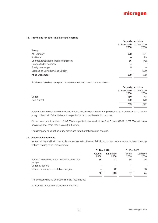

### 18. Provisions for other liabilities and charges

|                                        | Property provision |                         |  |
|----------------------------------------|--------------------|-------------------------|--|
|                                        |                    | 31 Dec 2010 31 Dec 2009 |  |
|                                        | £000               | £000                    |  |
| Group                                  |                    |                         |  |
| At 1 January                           | 222                | 391                     |  |
| Additions                              |                    | 93                      |  |
| Charged/(credited) to income statement | 66                 | (42)                    |  |
| Reclassified to accruals               | (4)                |                         |  |
| Foreign exchange                       | 5                  |                         |  |
| Disposal of Billing Services Division  |                    | (220)                   |  |
| At 31 December                         | 289                | 222                     |  |

Provisions have been analysed between current and non-current as follows:

|             |                                 | <b>Property provision</b> |  |  |
|-------------|---------------------------------|---------------------------|--|--|
|             | 31 Dec 2010 31 Dec 2009<br>£000 | £000                      |  |  |
| Current     | 150                             | 43                        |  |  |
| Non-current | 139                             | 179                       |  |  |
|             | 289                             | 222                       |  |  |

Pursuant to the Group's exit from unoccupied leasehold properties, the provision at 31 December 2010 relates solely to the cost of dilapidations in respect of its occupied leasehold premises.

Of the non-current provision, £139,000 is expected to unwind within 2 to 5 years (2009: £179,000) with zero unwinding after more than 5 years (2009: zero).

The Company does not hold any provisions for other liabilities and charges.

# 19. Financial instruments

Numerical financial instruments disclosures are set out below. Additional disclosures are set out in the accounting policies relating to risk management.

|                                                          | 31 Dec 2010           |                     | 31 Dec 2009    |                     |
|----------------------------------------------------------|-----------------------|---------------------|----------------|---------------------|
|                                                          | <b>Assets</b><br>£000 | Liabilities<br>£000 | Assets<br>£000 | Liabilities<br>£000 |
| Forward foreign exchange contracts – cash flow<br>hedges | 56                    | 43                  | 86             | 36                  |
| Currency options                                         |                       |                     |                |                     |
| Interest rate swaps – cash flow hedges                   |                       | 72                  |                | 38                  |
|                                                          | 56                    | 115                 | 87             | 74                  |

The company has no derivative financial instruments.

All financial instruments disclosed are current.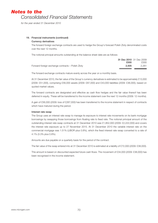*for the year ended 31 December 2010*

# 19. Financial instruments (continued)

## Currency derivatives

The forward foreign exchange contracts are used to hedge the Group's forecast Polish Zloty denominated costs over the next 12 months.

The notional principal amounts outstanding at the balance sheet date are as follows:

|                                                   | <b>31 Dec 2010</b> 31 Dec 2009<br>£000 | £000  |
|---------------------------------------------------|----------------------------------------|-------|
| Forward foreign exchange contracts – Polish Zloty | 2.505                                  | 2.261 |

The forward exchange contracts mature evenly across the year on a monthly basis.

At 31 December 2010, the fair value of the Group's currency derivatives is estimated to be approximately £13,000 (2009: £51,000), comprising £56,000 assets (2009: £87,000) and £43,000 liabilities (2009: £36,000), based on quoted market values.

The forward contracts are designated and effective as cash flow hedges and the fair value thereof has been deferred in equity. These will be transferred to the income statement over the next 12 months (2009: 12 months).

A gain of £56,000 (2009: loss of £287,000) has been transferred to the income statement in respect of contracts which have matured during the period.

### Interest rate swap

The Group uses an interest rate swap to manage its exposure to interest rate movements on its bank mortgage borrowings by swapping those borrowings from floating rate to fixed rate. The notional principal amount of the outstanding interest rate swap contracts at 31 December 2010 was £1,852,000 (2009: £2,222,000) and covers the interest rate exposure up to 27 November 2015. At 31 December 2010 the variable interest rate on the commercial mortgage was 1.51% (LIBOR plus 0.8%), which the fixed interest rate swap converted to a rate of 4.1% (3.3% plus 0.8%).

Amounts are due payable on a quarterly basis for the period of the contract.

The fair value of the swap entered into at 31 December 2010 is estimated at a liability of £72,000 (2009: £38,000).

This amount is based on discounted expected future cash flows. The movement of £34,000 (2009: £38,000) has been recognised in the income statement.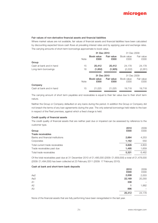### Fair values of non-derivative financial assets and financial liabilities

Where market values are not available, fair values of financial assets and financial liabilities have been calculated by discounting expected future cash flows at prevailing interest rates and by applying year-end exchange rates. The carrying amounts of short-term borrowings approximate to book value.

|                          |             | 31 Dec 2010        |                    | 31 Dec 2009        |                    |
|--------------------------|-------------|--------------------|--------------------|--------------------|--------------------|
|                          | <b>Note</b> | Book value<br>£000 | Fair value<br>£000 | Book value<br>£000 | Fair value<br>£000 |
| Group                    |             |                    |                    |                    |                    |
| Cash at bank and in hand | 15          | 25,412             | 25,412             | 24.178             | 24,178             |
| Long-term borrowings     | 16          | (1, 852)           | (1,925)            | (2,222)            | (2,261)            |
|                          |             | 31 Dec 2010        |                    | 31 Dec 2009        |                    |
|                          | <b>Note</b> | Book value<br>£000 | Fair value<br>£000 | Book value<br>£000 | Fair value<br>£000 |
| Company                  |             |                    |                    |                    |                    |
| Cash at bank and in hand | 15          | 21.025             | 21,025             | 19,718             | 19,718             |

The carrying amount of short term payables and receivables is equal to their fair value due to their short term nature.

Neither the Group or Company defaulted on any loans during the period. In addition the Group or Company did not breach the terms of any loan agreements during the year. The only external borrowings held relate to the loan in respect of the Fleet premises, against which a fixed charge is held.

### Credit quality of financial assets

The credit quality of financial assets that are neither past due or impaired can be assessed by reference to the customer type.

| 2010  | 2009  |
|-------|-------|
| £000  | £000  |
|       |       |
| 2.664 | 4.253 |
| 1.162 | 550   |
| 3.826 | 4.803 |
| 1.495 | 1.659 |
| 5.321 | 6.462 |
|       |       |

Of the total receivables past due at 31 December 2010 of £1,495,000 (2009: £1,659,000) a total of £1,478,000 (2009: £1,494,000) has been collected at 23 February 2011 (2009: 17 February 2010).

### Cash at bank and short-term bank deposits

|     | 2010<br>£000 | 2009<br>£000 |
|-----|--------------|--------------|
| Aa2 | 2,008        | 2,003        |
| Aa3 | 22,169       | 20,293       |
| A1  | 338          |              |
| A2  |              | 1,882        |
| A3  | 896          |              |
|     | 25,412       | 24,178       |

None of the financial assets that are fully performing have been renegotiated in the last year.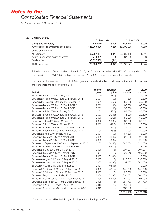*for the year ended 31 December 2010*

### 20. Ordinary shares

|                                       | 31 Dec 2010   |       | 31 Dec 2009 |       |
|---------------------------------------|---------------|-------|-------------|-------|
| Group and company                     | <b>Number</b> | £000  | Number      | £000  |
| Authorised ordinary shares of 5p each | 145,000,000   | 7.250 | 145,000,000 | 7.250 |
| Issued and fully paid:                |               |       |             |       |
| At 1 January                          | 86,897,277    | 4.344 | 86,830,192  | 4.341 |
| Issued under share option schemes     | 779,321       | 39    | 67.085      | 3     |
| Tender offer                          | (6,837,339)   | (342) |             |       |
| At 31 December                        | 80,839,259    | 4.041 | 86,897,277  | 4.344 |
|                                       |               |       |             |       |

Following a tender offer to all shareholders in 2010, the Company repurchased 6,837,339 ordinary shares for consideration of £6,154,000 in cash plus expenses of £134,000. These shares were then cancelled.

The number of ordinary shares for which Microgen employees hold options and the period to which the options are exercisable are as follows (note 27):

|                                                 | Year of | Exercise           | 2010      | 2009      |
|-------------------------------------------------|---------|--------------------|-----------|-----------|
| Period                                          | grant   | price              | Number    | Number    |
| Between 4 May 2003 and 4 May 2010               | 2000    | 397.5p             |           | 1,500     |
| Between 27 February 2004 and 27 February 2011   | 2001    | 168p               | 500       | 2,500     |
| Between 26 October 2004 and 26 October 2011     | 2001    | 87.5p              | 50,000    | 50,000    |
| Between 8 March 2005 and 8 March 2012 *         | 2002    | 93 <sub>p</sub>    | 60,000    | 60,000    |
| Between 8 March 2005 and 8 March 2012           | 2002    | 93 <sub>p</sub>    | 30,000    | 30,000    |
| Between 22 July 2005 and 22 July 2012           | 2002    | 42.5p              | 55,000    | 87,500    |
| Between 18 February 2006 and 18 February 2013   | 2003    | 20.33 <sub>p</sub> | 6,000     | 20,500    |
| Between 24 February 2006 and 24 February 2013   | 2003    | 24.5p              | 50,000    | 50,000    |
| Between 15 June 2006 and 15 June 2016           | 2006    | 59.33p             | 60,000    | 97,001    |
| Between 28 July 2006 and 28 July 2013           | 2003    | 42.5p              | 25,000    | 25,000    |
| Between 7 November 2006 and 7 November 2013     | 2003    | 42.5p              | 75,000    | 100,000   |
| Between 25 February 2007 and 25 February 2014   | 2004    | 55.8p              | 10,000    | 20,000    |
| Between 28 April 2007 and 28 April 2014         | 2004    | 60 <sub>p</sub>    | 67,500    | 175,000   |
| Between 1 March 2008 and 1 March 2015           | 2005    | 70.67p             | 20,000    | 20,000    |
| Between 1 March 2008 and 1 March 2015           | 2005    | 70.67p             |           | 25,000    |
| Between 22 September 2008 and 22 September 2015 | 2005    | 70.50 <sub>p</sub> | 345,000   | 520,500   |
| Between 1 November 2008 and 30 April 2009       | 2003    | 49.75p             |           | 4,046     |
| Between 24 May 2009 and 24 May 2016             | 2006    | 5p                 | 397,991   | 397,991   |
| Between 5 March 2010 and 5 March 2017           | 2007    | 5p                 | 93,340    | 100,000   |
| Between 5 March 2010 and 5 March 2017           | 2007    | 51.33p             |           | 25,000    |
| Between 6 August 2010 and 6 August 2017         | 2007    | 5p                 | 210,015   | 550,000   |
| Between 6 August 2010 and 6 August 2017         | 2007    | 46.83p             | 104,007   | 340,000   |
| Between 6 August 2010 and 6 August 2017         | 2007    | 46.83p             |           | 10,000    |
| Between 28 February 2011 and 28 February 2018   | 2008    | 48.17p             | 145,000   | 145,000   |
| Between 28 February 2011 and 28 February 2018   | 2008    | 5p                 | 25,000    | 25,000    |
| Between 2 May 2011 and 2 May 2018               | 2008    | 52.33p             | 1,000,000 | 1,000,000 |
| Between 2 December 2011 and 2 December 2018     | 2008    | 43.50 <sub>p</sub> | 250,000   | 295,000   |
| Between 2 December 2011 and 2 December 2018     | 2008    | 5p                 | 351,780   | 351,780   |
| Between 16 April 2013 and 16 April 2020         | 2010    | 76 <sub>p</sub>    | 50,000    |           |
| Between 13 December 2013 and 13 December 2020   | 2010    | 5p                 | 130,000   |           |
|                                                 |         |                    | 3,611,133 | 4,528,318 |

\* Share options issued by the Microgen Employee Share Participation Trust.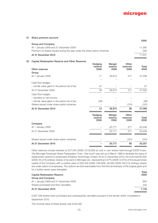

| 21. | Share premium account                                                                                                                                                |                            |                           |                           | £000                    |
|-----|----------------------------------------------------------------------------------------------------------------------------------------------------------------------|----------------------------|---------------------------|---------------------------|-------------------------|
|     | <b>Group and Company</b><br>At 1 January 2009 and 31 December 2009<br>Premium on shares issued during the year under the share option schemes<br>At 31 December 2010 |                            |                           |                           | 11,285<br>246<br>11,531 |
| 22. | <b>Capital Redemption Reserve and Other Reserves</b><br>Other reserves                                                                                               | Hedging<br>reserve<br>£000 | Merger<br>reserve<br>£000 | Other<br>reserves<br>£000 | Total<br>£000           |
|     | Group                                                                                                                                                                |                            |                           |                           |                         |
|     | At 1 January 2009                                                                                                                                                    | 11                         | 36,974                    | 271                       | 37,256                  |
|     |                                                                                                                                                                      |                            |                           |                           |                         |
|     | Cash flow hedges                                                                                                                                                     |                            |                           |                           |                         |
|     | - net fair value gains in the period net of tax                                                                                                                      | 37                         |                           |                           | 37                      |
|     | At 31 December 2009                                                                                                                                                  | 48                         | 36,974                    | 271                       | 37,293                  |
|     | Cash flow hedges                                                                                                                                                     |                            |                           |                           |                         |
|     | - transfers to net income                                                                                                                                            |                            |                           |                           |                         |
|     | - net fair value gains in the period net of tax                                                                                                                      | (36)                       |                           |                           | (36)                    |
|     | Shares issued under share option schemes                                                                                                                             |                            |                           | (191)                     | (191)                   |
|     | At 31 December 2010                                                                                                                                                  | 12                         | 36,974                    | 80                        | 37,066                  |
|     |                                                                                                                                                                      | Hedging<br>reserve<br>£000 | Merger<br>reserve<br>£000 | Other<br>reserves<br>£000 | Total<br>£000           |
|     | Company                                                                                                                                                              |                            |                           |                           |                         |
|     | At 1 January 2009                                                                                                                                                    |                            | 20,177                    | 271                       | 20,448                  |
|     | At 31 December 2009                                                                                                                                                  |                            | 20,177                    | 271                       | 20,448                  |
|     | Shares issued under share option schemes                                                                                                                             |                            |                           | (191)                     | (191)                   |
|     | At 31 December 2010                                                                                                                                                  |                            | 20,177                    | 80                        | 20,257                  |

Other reserves include interests of £27,540 (2009: £219,000) at cost in own shares held through ESOP trusts. The Microgen Employee Share Participation Trust ("the trust") was set up in March 1999 to facilitate the issue of replacement options to employees of Kaisha Technology Limited. As at 31 December 2010, the trust held 60,000 (2009: 64,213) ordinary shares of 5p each in Microgen plc, representing 0.07% (2009: 0.07%) of the issued share capital of the Company with a market value of £65,400 (2009: £56,828). 60,000 (2009: 64,213) ordinary shares are under option to employees. The options are first exercisable from the third anniversary of the original grant and for a further seven years thereafter.  $\overline{a}$ 

| <b>Capital Redemption Reserve</b>      | Total<br>£000 |
|----------------------------------------|---------------|
| Group and Company                      |               |
| At 1 January 2009 and 31 December 2009 | 804           |
| Shares purchased and then cancelled    | 342           |
| At 31 December 2010                    | 1.146         |

6,837,339 shares were purchased and subsequently cancelled pursuant to the tender which completed in September 2010.

The nominal value of these shares was £342,000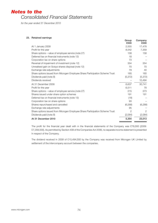*for the year ended 31 December 2010*

## 23. Retained earnings

|                                                                              | Group<br>£000 | Company<br>£000 |
|------------------------------------------------------------------------------|---------------|-----------------|
| At 1 January 2009                                                            | 2,555         | 17,478          |
| Profit for the year                                                          | 8,542         | 7,359           |
| Share options – value of employee service (note 27)                          | 158           | 158             |
| Deferred tax on financial instruments (note 13)                              | 18            |                 |
| Corporation tax on share options                                             | 73            |                 |
| Reversal of impairment of investment (note 12)                               | 354           | 354             |
| Unrealised gain on Scisys shares disposal (note 12)                          | 70            | 70              |
| Exchange rate adjustments                                                    | 79            | 40              |
| Share options issued from Microgen Employee Share Participation Scheme Trust | 160           | 160             |
| Dividends paid (note 8)                                                      | (5, 372)      | (5, 372)        |
| Dividends received                                                           |               | 10,494          |
| At 31 December 2009                                                          | 6,637         | 30,741          |
| Profit for the year                                                          | 6,511         | 78              |
| Share options – value of employee service (note 27)                          | 215           | 373             |
| Shares issued under share option schemes                                     | 191           | 191             |
| Deferred tax on financial instruments (note 13)                              | (18)          |                 |
| Corporation tax on share options                                             | 93            |                 |
| Shares repurchased and cancelled                                             | (6, 288)      | (6, 288)        |
| Exchange rate adjustments                                                    | 95            |                 |
| Share options issued from Microgen Employee Share Participation Scheme Trust | 2             | 2               |
| Dividends paid (note 8)                                                      | (2,084)       | (2,084)         |
| At 31 December 2010                                                          | 5,354         | 23,013          |

The profit for the financial year dealt with in the financial statements of the Company was £78,000 (2009: £7,359,000). As permitted by Section 408 of the Companies Act 2006, no separate income statement is presented in respect of the Company.

The dividend received in 2009 of £10,494,000 by the Company was received from Microgen UK Limited by settlement of the intercompany account between the companies.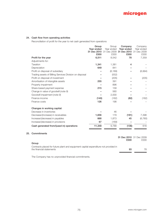## 24. Cash flow from operating activities

Reconciliation of profit for the year to net cash generated from operations

|     |                                                         | Group<br>Year ended<br>31 Dec 2010<br>£000 | Group<br>Year ended<br>£000 | Company<br>Year ended<br>31 Dec 2009 31 Dec 2010 31 Dec 2009<br>£000 | Company<br>Year ended<br>£000   |
|-----|---------------------------------------------------------|--------------------------------------------|-----------------------------|----------------------------------------------------------------------|---------------------------------|
|     | Profit for the year                                     | 6,511                                      | 8,542                       | 78                                                                   | 7,359                           |
|     | Adjustments for:                                        |                                            |                             |                                                                      |                                 |
|     | Taxation                                                | 1,341                                      | 1,381                       | 4                                                                    |                                 |
|     | Depreciation                                            | 649                                        | 841                         |                                                                      |                                 |
|     | Profit on disposal of subsidiary                        |                                            | (6, 189)                    |                                                                      | (6,994)                         |
|     | Trading assets of Billing Services Division on disposal |                                            | (552)                       |                                                                      |                                 |
|     | Profit on disposal of investment                        |                                            | (205)                       |                                                                      | (205)                           |
|     | Amortisation of intangible assets                       | 255                                        | 391                         |                                                                      |                                 |
|     | Property impairment                                     |                                            | 896                         |                                                                      |                                 |
|     | Share-based payment expense                             | 215                                        | 158                         |                                                                      |                                 |
|     | Change in value of goodwill (note 9)                    |                                            | 560                         |                                                                      |                                 |
|     | Goodwill impairment (note 9)                            |                                            | 2,000                       |                                                                      |                                 |
|     | Finance income                                          | (140)                                      | (162)                       | (82)                                                                 | (162)                           |
|     | Finance costs                                           | 126                                        | 198                         |                                                                      |                                 |
|     | Changes in working capital:                             |                                            |                             |                                                                      |                                 |
|     | Decrease in inventories                                 |                                            | 46                          |                                                                      |                                 |
|     | Decrease/(increase) in receivables                      | 1,656                                      | 179                         | (181)                                                                | 7,398                           |
|     | Increase/(decrease) in payables                         | 668                                        | 1,873                       | 45                                                                   | (6,780)                         |
|     | Increase/(decrease) in provisions                       | 67                                         | (169)                       |                                                                      |                                 |
|     | Cash generated from/(used in) operations                | 11,348                                     | 9,788                       | (136)                                                                | 616                             |
| 25. | Commitments                                             |                                            |                             |                                                                      |                                 |
|     |                                                         |                                            |                             | £000                                                                 | 31 Dec 2010 31 Dec 2009<br>£000 |
|     | Group                                                   |                                            |                             |                                                                      |                                 |

Contracts placed for future plant and equipment capital expenditure not provided in the financial statements and the statements of the statements of the statements of the statements of the statements of the statements of the statements of the statements of the statements of the statements of the statement

The Company has no unprovided financial commitments.

ä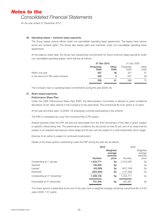*for the year ended 31 December 2010*

## 26. Operating leases – minimum lease payments

The Group leases various offices under non-cancellable operating lease agreements. The leases have various terms and renewal rights. The Group also leases plant and machines under non-cancellable operating lease agreements.

At the balance sheet date, the Group had outstanding commitments for future minimum lease payments under non-cancellable operating leases, which fall due as follows:

|                                        | 31 Dec 2010               |               | 31 Dec 2009        |               |
|----------------------------------------|---------------------------|---------------|--------------------|---------------|
|                                        | <b>Properties</b><br>£000 | Other<br>£000 | Properties<br>£000 | Other<br>£000 |
| Within one year                        | 297                       | 38            | 351                | 37            |
| In the second to fifth years inclusive | 229                       |               | 637                | 38            |
|                                        | 526                       | 41            | 988                | 75            |

The Company had no operating lease commitments during the year (2009: nil).

## 27. Share based payments

## Performance Share Plan

Under the 2006 Performance Share Plan (PSP), the Remuneration Committee is allowed to grant conditional allocations of par value options in the Company to key executives. The contractual life of an option is 10 years.

At the year end there were 12 (2009: 12) employees currently participating in the scheme.

The PSP is considered an Long Term Incentive Plan (LTIP) award.

Awards granted under the PSP will become exercisable from the third anniversary of the date of grant, subject to specific criteria being met. The performance conditions are structured so that 50 per cent of an award will be subject to an adjusted earnings per share target and 50 per cent are subject to a total shareholder return target.

Exercise of an option is subject to continued employment.

Details of the share options outstanding under the PSP during the year are as follows:

|                            | 2010          |                                 | 2009       |                                 |
|----------------------------|---------------|---------------------------------|------------|---------------------------------|
|                            |               | Weighted<br>average<br>exercise |            | Weighted<br>average<br>exercise |
|                            | <b>Number</b> | price                           | Number     | price                           |
| Outstanding at 1 January   | 1,424,771     | 5p                              | 2,010,000  | 5p                              |
| Granted                    | 130,000       | 5p                              |            | 5p                              |
| Lapsed                     | (43, 290)     | 5p                              | (457, 769) | 5p                              |
| Exercised                  | (303, 355)    | 5p                              | (127, 460) | 5p                              |
| Outstanding at 31 December | 1,208,126     | 5p                              | 1,424,771  | 5p                              |
| Exercisable at 31 December | 701,346       | 5p                              | 397,991    | 5p                              |

The share options outstanding at the end of the year have a weighted average remaining contractual life of 6.93 years (2009: 7.57 years).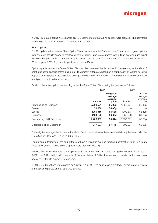# microgen

In 2010, 130,000 options were granted on 13 December 2010 (2009: no options were granted). The estimated fair value of the options granted on that date was 102.98p.

### Share options

The Group has set up several Share Option Plans, under which the Remuneration Committee can grant options over shares in the Company to employees of the Group. Options are granted with a fixed exercise price equal to the market price of the shares under option at the date of grant. The contractual life of an option is 10 years. 60 employees (2009: 91) currently participate in these Plans.

Options granted under the Share Option Plans will become exercisable on the third anniversary of the date of grant, subject to specific criteria being met. The present criteria are based on a combination of factors including adjusted earnings per share and share price growth over a minimum period of three years. Exercise of an option is subject to continued employment.

Details of the share options outstanding under the Share Option Plans during the year are as follows:

|                            | 2010          |                                 | 2009       |                                 |
|----------------------------|---------------|---------------------------------|------------|---------------------------------|
|                            |               | Weighted<br>average<br>exercise |            | Weighted<br>average<br>exercise |
|                            | <b>Number</b> | price                           | Number     | price                           |
| Outstanding at 1 January   | 3,099,501     | 55.33 <sub>p</sub>              | 4,352,374  | 52.40 <sub>p</sub>              |
| Granted                    | 50,000        | 78.00p                          |            |                                 |
| Lapsed                     | (266, 315)    | 54.68p                          | (900, 373) | 53.42p                          |
| Exercised                  | (480, 179)    | 56.67p                          | (352, 500) | 31.82p                          |
| Outstanding at 31 December | 2,403,007     | 55.61 <sub>p</sub>              | 3,099,501  | 55.33 <sub>p</sub>              |
| Exercisable at 31 December | 817,507       | 57.14 <sub>p</sub>              | 399,001    | 63.59p                          |

The weighted average share price at the date of exercise for share options exercised during the year under the Share Option Plans was 97.15p (2009: 91.46p).

The options outstanding at the end of the year have a weighted average remaining contractual life of 6.01 years (2009: 6.74 years). In 2010 50,000 options were granted (2009 nil).

Included within the outstanding share options at 31 December 2010 were outstanding share options of 1,417,991 (2009: 1,417,991) which whilst outside of the Association of British Insurers recommended limits have been approved by the Company's Shareholders.

In 2010, 50,000 options were granted on 16 April 2010 (2009: no options were granted). The estimated fair value of the options granted on that date was 30.94p.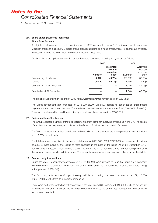*for the year ended 31 December 2010*

# 27. Share based payments (continued)

### Share Save Scheme

All eligible employees were able to contribute up to £250 per month over a 3, 5 or 7 year term to purchase Microgen shares at a discount. Exercise of an option is subject to continued employment. No share save invitation was issued in either 2010 or 2009. The scheme closed in May 2010.

Details of the share options outstanding under the share save scheme during the year are as follows:

|                            |               | 2010                            |           | 2009                            |  |
|----------------------------|---------------|---------------------------------|-----------|---------------------------------|--|
|                            |               | Weighted<br>average<br>exercise |           | Weighted<br>average<br>exercise |  |
|                            | <b>Number</b> | price                           | Number    | price                           |  |
| Outstanding at 1 January   | 4.046         | 49.75p                          | 26,982    | 68.08p                          |  |
| Lapsed                     | (4,046)       | 49.75p                          | (22, 936) | 71.31p                          |  |
| Outstanding at 31 December |               |                                 | 4.046     | 49.75p                          |  |
| Exercisable at 31 December |               |                                 | 4.046     | 49.75p                          |  |

The options outstanding at the end of 2009 had a weighted average remaining life of 0.67 years.

The Group recognised total expenses of £215,000 (2009: £158,000) related to equity-settled share-based payment transactions during the year. The total credit in the income statement was £180,000 (2009: £30,000). There was no deferred tax credit taken directly to equity on these transactions (2009: £nil).

### 28. Retirement benefit schemes

The Group operates defined contribution retirement benefit plans for qualifying employees in the UK. The assets of the plans are held separately from those of the Group in funds under the control of trustees.

The Group also operates defined contribution retirement benefit plans for its overseas employees with contributions up to 9.76% of basic salary.

The total expense recognised in the income statement of £371,000 (2009: £377,000) represents contributions payable to these plans by the Group at rates specified in the rules of the plans. As at 31 December 2010, contributions of £69,000 (2009: £92,000) due in respect of the 2010 reporting period had not been paid over to the plans and were included within accruals. The amounts were paid over subsequent to the balance sheet date.

### 29. Related party transactions

During the year, IT consultancy services of £1,100 (2009: £nil) were invoiced to Sagentia Group plc, a company which Mr Ratcliffe is chairman. Mr Ratcliffe is also the chairman of the Company. No balances were outstanding at the year end (2009: £nil).

The Company acts as the Group's treasury vehicle and during the year borrowed a net £9,116,000 (2009: £10,387,000) from its subsidiary companies.

There were no further related party transactions in the year ended 31 December 2010 (2009: nil), as defined by International Accounting Standard No 24 "Related Party Disclosures" other than key management compensation as disclosed in note 4.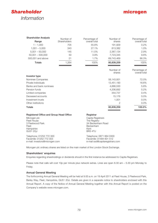

# microgen

| <b>Shareholder Analysis</b>             | Number of    | Percentage of | Number of           | Percentage of                  |
|-----------------------------------------|--------------|---------------|---------------------|--------------------------------|
| Range                                   | Shareholders | overall total | shares              | overall total                  |
| $1 - 1,000$                             | 705          | 55.8%         | 191,929             | 0.2%                           |
| $1,001 - 5,000$                         | 343          | 27.1%         | 813,382             | 1.0%                           |
| $5,001 - 50,000$                        | 145          | 11.5%         | 2,367,134           | 2.9%                           |
| $50,001 - 500,000$                      | 50           | 3.9%          | 7,723,345           | 9.6%                           |
| 500,001 and above                       | 21           | 1.7%          | 69,743,469          | 86.3%                          |
| Totals                                  | 1,264        | 100%          | 80,839,259          | 100%                           |
|                                         |              |               | Number of<br>shares | Percentage of<br>overall total |
| Investor type                           |              |               |                     |                                |
| Nominee Companies                       |              |               | 58,143,931          | 72.0%                          |
| Private individuals                     |              |               | 13,451,190          | 16.6%                          |
| Banks and bank nominees                 |              |               | 4,666,530           | 5.8%                           |
| Pension funds                           |              |               | 4,206,692           | 5.2%                           |
| Limited companies                       |              |               | 354,737             | 0.4%                           |
| Deceased accounts                       |              |               | 15,176              | 0.0%                           |
| Investment trusts                       |              |               | 1,001               | 0.0%                           |
| Other institutions                      |              |               | 2                   | 0.0%                           |
| <b>Totals</b>                           |              |               | 80,839,259          | 100.0%                         |
| Registered Office and Group Head Office |              | Registrar     |                     |                                |

Microgen plc Fleet House 3 Fleetwood Park Fleet Hampshire GU51 2QJ

Telephone: 01252 772 300 Facsimile: 01252 772 303 e-mail: investors@microgen.com

Capita Registrars The Registry 34 Beckenham Road Beckenham Kent BR3 4TU

Telephone: 0871 664 0300 Facsimile: 01484 601 512 e-mail ssd@capitaregistrars.com

Microgen plc ordinary shares are listed on the main market of the London Stock Exchange.

## Shareholders' enquiries

Enquiries regarding shareholdings or dividends should in the first instance be addressed to Capita Registrars.

Please note that calls will cost 10p per minute plus network extras. Lines are open 8.30 am - 5.30 pm Monday to Friday.

# Annual General Meeting

The forthcoming Annual General Meeting will be held at 9.00 a.m. on 19 April 2011 at Fleet House, 3 Fleetwood Park, Barley Way, Fleet, Hampshire, GU51 2QJ. Details are given in a separate notice to shareholders enclosed with this Annual Report. A copy of the Notice of Annual General Meeting together with this Annual Report is posted on the Company's website www.microgen.com.